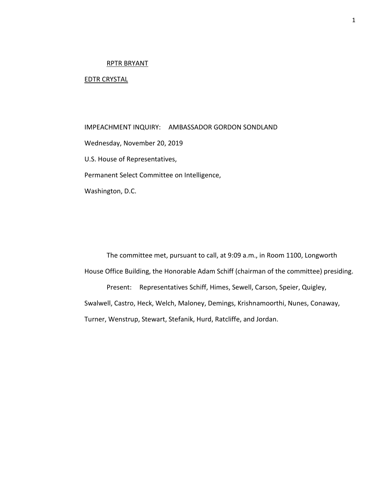## RPTR BRYANT

## EDTR CRYSTAL

IMPEACHMENT INQUIRY: AMBASSADOR GORDON SONDLAND Wednesday, November 20, 2019 U.S. House of Representatives, Permanent Select Committee on Intelligence, Washington, D.C.

The committee met, pursuant to call, at 9:09 a.m., in Room 1100, Longworth House Office Building, the Honorable Adam Schiff (chairman of the committee) presiding. Present: Representatives Schiff, Himes, Sewell, Carson, Speier, Quigley, Swalwell, Castro, Heck, Welch, Maloney, Demings, Krishnamoorthi, Nunes, Conaway, Turner, Wenstrup, Stewart, Stefanik, Hurd, Ratcliffe, and Jordan.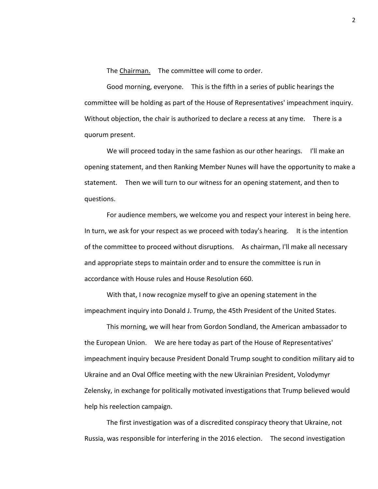The Chairman. The committee will come to order.

Good morning, everyone. This is the fifth in a series of public hearings the committee will be holding as part of the House of Representatives' impeachment inquiry. Without objection, the chair is authorized to declare a recess at any time. There is a quorum present.

We will proceed today in the same fashion as our other hearings. I'll make an opening statement, and then Ranking Member Nunes will have the opportunity to make a statement. Then we will turn to our witness for an opening statement, and then to questions.

For audience members, we welcome you and respect your interest in being here. In turn, we ask for your respect as we proceed with today's hearing. It is the intention of the committee to proceed without disruptions. As chairman, I'll make all necessary and appropriate steps to maintain order and to ensure the committee is run in accordance with House rules and House Resolution 660.

With that, I now recognize myself to give an opening statement in the impeachment inquiry into Donald J. Trump, the 45th President of the United States.

This morning, we will hear from Gordon Sondland, the American ambassador to the European Union. We are here today as part of the House of Representatives' impeachment inquiry because President Donald Trump sought to condition military aid to Ukraine and an Oval Office meeting with the new Ukrainian President, Volodymyr Zelensky, in exchange for politically motivated investigations that Trump believed would help his reelection campaign.

The first investigation was of a discredited conspiracy theory that Ukraine, not Russia, was responsible for interfering in the 2016 election. The second investigation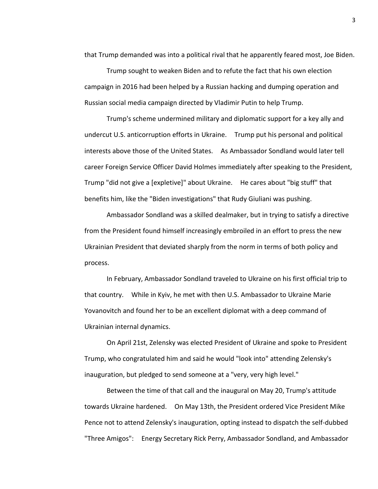that Trump demanded was into a political rival that he apparently feared most, Joe Biden.

Trump sought to weaken Biden and to refute the fact that his own election campaign in 2016 had been helped by a Russian hacking and dumping operation and Russian social media campaign directed by Vladimir Putin to help Trump.

Trump's scheme undermined military and diplomatic support for a key ally and undercut U.S. anticorruption efforts in Ukraine. Trump put his personal and political interests above those of the United States. As Ambassador Sondland would later tell career Foreign Service Officer David Holmes immediately after speaking to the President, Trump "did not give a [expletive]" about Ukraine. He cares about "big stuff" that benefits him, like the "Biden investigations" that Rudy Giuliani was pushing.

Ambassador Sondland was a skilled dealmaker, but in trying to satisfy a directive from the President found himself increasingly embroiled in an effort to press the new Ukrainian President that deviated sharply from the norm in terms of both policy and process.

In February, Ambassador Sondland traveled to Ukraine on his first official trip to that country. While in Kyiv, he met with then U.S. Ambassador to Ukraine Marie Yovanovitch and found her to be an excellent diplomat with a deep command of Ukrainian internal dynamics.

On April 21st, Zelensky was elected President of Ukraine and spoke to President Trump, who congratulated him and said he would "look into" attending Zelensky's inauguration, but pledged to send someone at a "very, very high level."

Between the time of that call and the inaugural on May 20, Trump's attitude towards Ukraine hardened. On May 13th, the President ordered Vice President Mike Pence not to attend Zelensky's inauguration, opting instead to dispatch the self-dubbed "Three Amigos": Energy Secretary Rick Perry, Ambassador Sondland, and Ambassador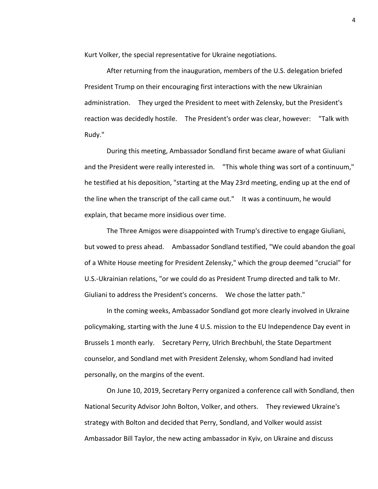Kurt Volker, the special representative for Ukraine negotiations.

After returning from the inauguration, members of the U.S. delegation briefed President Trump on their encouraging first interactions with the new Ukrainian administration. They urged the President to meet with Zelensky, but the President's reaction was decidedly hostile. The President's order was clear, however: "Talk with Rudy."

During this meeting, Ambassador Sondland first became aware of what Giuliani and the President were really interested in. "This whole thing was sort of a continuum," he testified at his deposition, "starting at the May 23rd meeting, ending up at the end of the line when the transcript of the call came out." It was a continuum, he would explain, that became more insidious over time.

The Three Amigos were disappointed with Trump's directive to engage Giuliani, but vowed to press ahead. Ambassador Sondland testified, "We could abandon the goal of a White House meeting for President Zelensky," which the group deemed "crucial" for U.S.-Ukrainian relations, "or we could do as President Trump directed and talk to Mr. Giuliani to address the President's concerns. We chose the latter path."

In the coming weeks, Ambassador Sondland got more clearly involved in Ukraine policymaking, starting with the June 4 U.S. mission to the EU Independence Day event in Brussels 1 month early. Secretary Perry, Ulrich Brechbuhl, the State Department counselor, and Sondland met with President Zelensky, whom Sondland had invited personally, on the margins of the event.

On June 10, 2019, Secretary Perry organized a conference call with Sondland, then National Security Advisor John Bolton, Volker, and others. They reviewed Ukraine's strategy with Bolton and decided that Perry, Sondland, and Volker would assist Ambassador Bill Taylor, the new acting ambassador in Kyiv, on Ukraine and discuss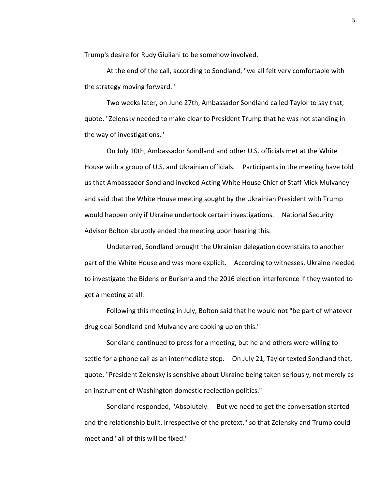Trump's desire for Rudy Giuliani to be somehow involved.

At the end of the call, according to Sondland, "we all felt very comfortable with the strategy moving forward."

Two weeks later, on June 27th, Ambassador Sondland called Taylor to say that, quote, "Zelensky needed to make clear to President Trump that he was not standing in the way of investigations."

On July 10th, Ambassador Sondland and other U.S. officials met at the White House with a group of U.S. and Ukrainian officials. Participants in the meeting have told us that Ambassador Sondland invoked Acting White House Chief of Staff Mick Mulvaney and said that the White House meeting sought by the Ukrainian President with Trump would happen only if Ukraine undertook certain investigations. National Security Advisor Bolton abruptly ended the meeting upon hearing this.

Undeterred, Sondland brought the Ukrainian delegation downstairs to another part of the White House and was more explicit. According to witnesses, Ukraine needed to investigate the Bidens or Burisma and the 2016 election interference if they wanted to get a meeting at all.

Following this meeting in July, Bolton said that he would not "be part of whatever drug deal Sondland and Mulvaney are cooking up on this."

Sondland continued to press for a meeting, but he and others were willing to settle for a phone call as an intermediate step. On July 21, Taylor texted Sondland that, quote, "President Zelensky is sensitive about Ukraine being taken seriously, not merely as an instrument of Washington domestic reelection politics."

Sondland responded, "Absolutely. But we need to get the conversation started and the relationship built, irrespective of the pretext," so that Zelensky and Trump could meet and "all of this will be fixed."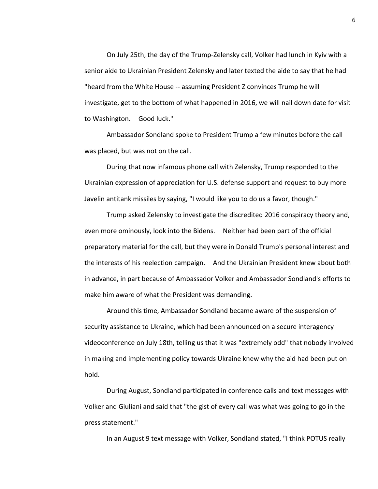On July 25th, the day of the Trump-Zelensky call, Volker had lunch in Kyiv with a senior aide to Ukrainian President Zelensky and later texted the aide to say that he had "heard from the White House -- assuming President Z convinces Trump he will investigate, get to the bottom of what happened in 2016, we will nail down date for visit to Washington. Good luck."

Ambassador Sondland spoke to President Trump a few minutes before the call was placed, but was not on the call.

During that now infamous phone call with Zelensky, Trump responded to the Ukrainian expression of appreciation for U.S. defense support and request to buy more Javelin antitank missiles by saying, "I would like you to do us a favor, though."

Trump asked Zelensky to investigate the discredited 2016 conspiracy theory and, even more ominously, look into the Bidens. Neither had been part of the official preparatory material for the call, but they were in Donald Trump's personal interest and the interests of his reelection campaign. And the Ukrainian President knew about both in advance, in part because of Ambassador Volker and Ambassador Sondland's efforts to make him aware of what the President was demanding.

Around this time, Ambassador Sondland became aware of the suspension of security assistance to Ukraine, which had been announced on a secure interagency videoconference on July 18th, telling us that it was "extremely odd" that nobody involved in making and implementing policy towards Ukraine knew why the aid had been put on hold.

During August, Sondland participated in conference calls and text messages with Volker and Giuliani and said that "the gist of every call was what was going to go in the press statement."

In an August 9 text message with Volker, Sondland stated, "I think POTUS really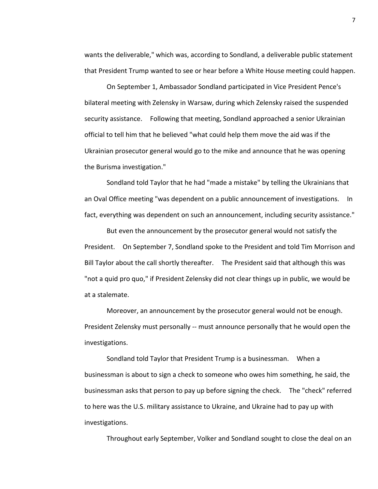wants the deliverable," which was, according to Sondland, a deliverable public statement that President Trump wanted to see or hear before a White House meeting could happen.

On September 1, Ambassador Sondland participated in Vice President Pence's bilateral meeting with Zelensky in Warsaw, during which Zelensky raised the suspended security assistance. Following that meeting, Sondland approached a senior Ukrainian official to tell him that he believed "what could help them move the aid was if the Ukrainian prosecutor general would go to the mike and announce that he was opening the Burisma investigation."

Sondland told Taylor that he had "made a mistake" by telling the Ukrainians that an Oval Office meeting "was dependent on a public announcement of investigations. In fact, everything was dependent on such an announcement, including security assistance."

But even the announcement by the prosecutor general would not satisfy the President. On September 7, Sondland spoke to the President and told Tim Morrison and Bill Taylor about the call shortly thereafter. The President said that although this was "not a quid pro quo," if President Zelensky did not clear things up in public, we would be at a stalemate.

Moreover, an announcement by the prosecutor general would not be enough. President Zelensky must personally -- must announce personally that he would open the investigations.

Sondland told Taylor that President Trump is a businessman. When a businessman is about to sign a check to someone who owes him something, he said, the businessman asks that person to pay up before signing the check. The "check" referred to here was the U.S. military assistance to Ukraine, and Ukraine had to pay up with investigations.

Throughout early September, Volker and Sondland sought to close the deal on an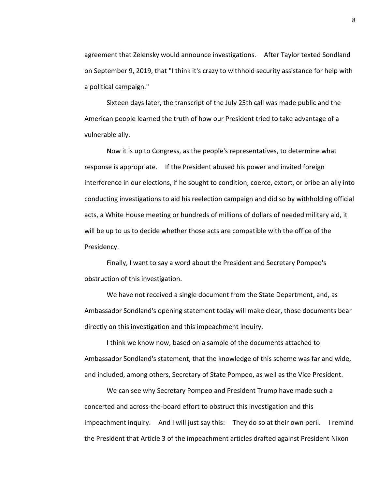agreement that Zelensky would announce investigations. After Taylor texted Sondland on September 9, 2019, that "I think it's crazy to withhold security assistance for help with a political campaign."

Sixteen days later, the transcript of the July 25th call was made public and the American people learned the truth of how our President tried to take advantage of a vulnerable ally.

Now it is up to Congress, as the people's representatives, to determine what response is appropriate. If the President abused his power and invited foreign interference in our elections, if he sought to condition, coerce, extort, or bribe an ally into conducting investigations to aid his reelection campaign and did so by withholding official acts, a White House meeting or hundreds of millions of dollars of needed military aid, it will be up to us to decide whether those acts are compatible with the office of the Presidency.

Finally, I want to say a word about the President and Secretary Pompeo's obstruction of this investigation.

We have not received a single document from the State Department, and, as Ambassador Sondland's opening statement today will make clear, those documents bear directly on this investigation and this impeachment inquiry.

I think we know now, based on a sample of the documents attached to Ambassador Sondland's statement, that the knowledge of this scheme was far and wide, and included, among others, Secretary of State Pompeo, as well as the Vice President.

We can see why Secretary Pompeo and President Trump have made such a concerted and across-the-board effort to obstruct this investigation and this impeachment inquiry. And I will just say this: They do so at their own peril. I remind the President that Article 3 of the impeachment articles drafted against President Nixon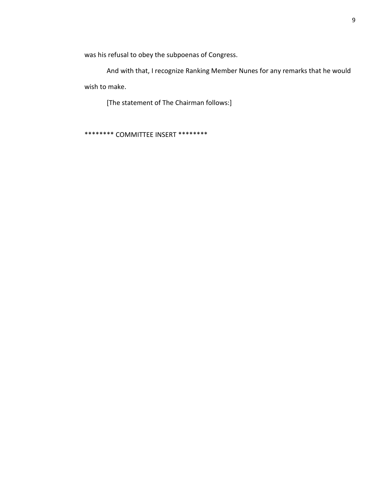was his refusal to obey the subpoenas of Congress.

And with that, I recognize Ranking Member Nunes for any remarks that he would wish to make.

[The statement of The Chairman follows:]

\*\*\*\*\*\*\*\* COMMITTEE INSERT \*\*\*\*\*\*\*\*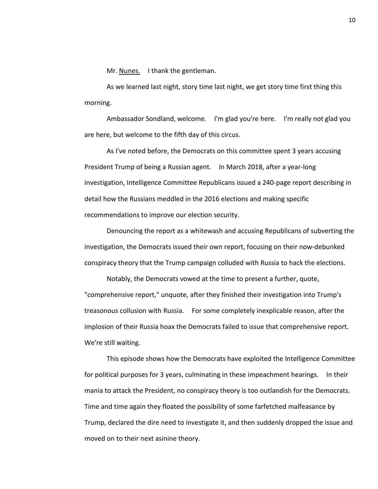Mr. Nunes. I thank the gentleman.

As we learned last night, story time last night, we get story time first thing this morning.

Ambassador Sondland, welcome. I'm glad you're here. I'm really not glad you are here, but welcome to the fifth day of this circus.

As I've noted before, the Democrats on this committee spent 3 years accusing President Trump of being a Russian agent. In March 2018, after a year-long investigation, Intelligence Committee Republicans issued a 240-page report describing in detail how the Russians meddled in the 2016 elections and making specific recommendations to improve our election security.

Denouncing the report as a whitewash and accusing Republicans of subverting the investigation, the Democrats issued their own report, focusing on their now-debunked conspiracy theory that the Trump campaign colluded with Russia to hack the elections.

Notably, the Democrats vowed at the time to present a further, quote, "comprehensive report," unquote, after they finished their investigation into Trump's treasonous collusion with Russia. For some completely inexplicable reason, after the implosion of their Russia hoax the Democrats failed to issue that comprehensive report. We're still waiting.

This episode shows how the Democrats have exploited the Intelligence Committee for political purposes for 3 years, culminating in these impeachment hearings. In their mania to attack the President, no conspiracy theory is too outlandish for the Democrats. Time and time again they floated the possibility of some farfetched malfeasance by Trump, declared the dire need to investigate it, and then suddenly dropped the issue and moved on to their next asinine theory.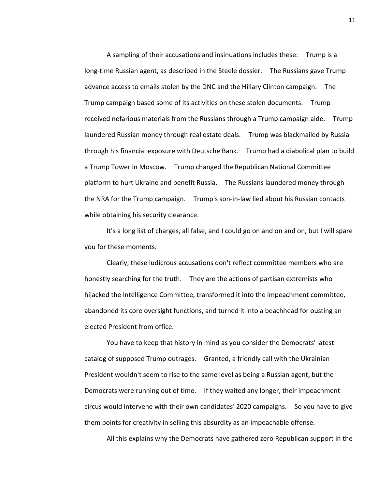A sampling of their accusations and insinuations includes these: Trump is a long-time Russian agent, as described in the Steele dossier. The Russians gave Trump advance access to emails stolen by the DNC and the Hillary Clinton campaign. The Trump campaign based some of its activities on these stolen documents. Trump received nefarious materials from the Russians through a Trump campaign aide. Trump laundered Russian money through real estate deals. Trump was blackmailed by Russia through his financial exposure with Deutsche Bank. Trump had a diabolical plan to build a Trump Tower in Moscow. Trump changed the Republican National Committee platform to hurt Ukraine and benefit Russia. The Russians laundered money through the NRA for the Trump campaign. Trump's son-in-law lied about his Russian contacts while obtaining his security clearance.

It's a long list of charges, all false, and I could go on and on and on, but I will spare you for these moments.

Clearly, these ludicrous accusations don't reflect committee members who are honestly searching for the truth. They are the actions of partisan extremists who hijacked the Intelligence Committee, transformed it into the impeachment committee, abandoned its core oversight functions, and turned it into a beachhead for ousting an elected President from office.

You have to keep that history in mind as you consider the Democrats' latest catalog of supposed Trump outrages. Granted, a friendly call with the Ukrainian President wouldn't seem to rise to the same level as being a Russian agent, but the Democrats were running out of time. If they waited any longer, their impeachment circus would intervene with their own candidates' 2020 campaigns. So you have to give them points for creativity in selling this absurdity as an impeachable offense.

All this explains why the Democrats have gathered zero Republican support in the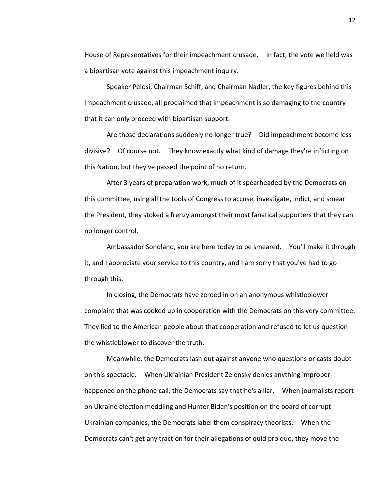House of Representatives for their impeachment crusade. In fact, the vote we held was a bipartisan vote against this impeachment inquiry.

Speaker Pelosi, Chairman Schiff, and Chairman Nadler, the key figures behind this impeachment crusade, all proclaimed that impeachment is so damaging to the country that it can only proceed with bipartisan support.

Are those declarations suddenly no longer true? Did impeachment become less divisive? Of course not. They know exactly what kind of damage they're inflicting on this Nation, but they've passed the point of no return.

After 3 years of preparation work, much of it spearheaded by the Democrats on this committee, using all the tools of Congress to accuse, investigate, indict, and smear the President, they stoked a frenzy amongst their most fanatical supporters that they can no longer control.

Ambassador Sondland, you are here today to be smeared. You'll make it through it, and I appreciate your service to this country, and I am sorry that you've had to go through this.

In closing, the Democrats have zeroed in on an anonymous whistleblower complaint that was cooked up in cooperation with the Democrats on this very committee. They lied to the American people about that cooperation and refused to let us question the whistleblower to discover the truth.

Meanwhile, the Democrats lash out against anyone who questions or casts doubt on this spectacle. When Ukrainian President Zelensky denies anything improper happened on the phone call, the Democrats say that he's a liar. When journalists report on Ukraine election meddling and Hunter Biden's position on the board of corrupt Ukrainian companies, the Democrats label them conspiracy theorists. When the Democrats can't get any traction for their allegations of quid pro quo, they move the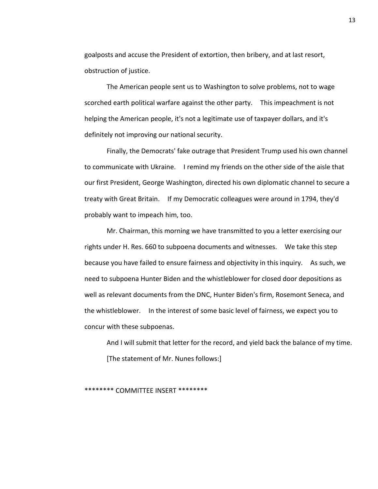goalposts and accuse the President of extortion, then bribery, and at last resort, obstruction of justice.

The American people sent us to Washington to solve problems, not to wage scorched earth political warfare against the other party. This impeachment is not helping the American people, it's not a legitimate use of taxpayer dollars, and it's definitely not improving our national security.

Finally, the Democrats' fake outrage that President Trump used his own channel to communicate with Ukraine. I remind my friends on the other side of the aisle that our first President, George Washington, directed his own diplomatic channel to secure a treaty with Great Britain. If my Democratic colleagues were around in 1794, they'd probably want to impeach him, too.

Mr. Chairman, this morning we have transmitted to you a letter exercising our rights under H. Res. 660 to subpoena documents and witnesses. We take this step because you have failed to ensure fairness and objectivity in this inquiry. As such, we need to subpoena Hunter Biden and the whistleblower for closed door depositions as well as relevant documents from the DNC, Hunter Biden's firm, Rosemont Seneca, and the whistleblower. In the interest of some basic level of fairness, we expect you to concur with these subpoenas.

And I will submit that letter for the record, and yield back the balance of my time. [The statement of Mr. Nunes follows:]

\*\*\*\*\*\*\*\* COMMITTEE INSERT \*\*\*\*\*\*\*\*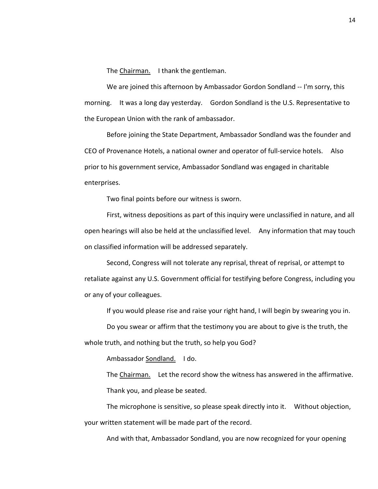The Chairman. I thank the gentleman.

We are joined this afternoon by Ambassador Gordon Sondland -- I'm sorry, this morning. It was a long day yesterday. Gordon Sondland is the U.S. Representative to the European Union with the rank of ambassador.

Before joining the State Department, Ambassador Sondland was the founder and CEO of Provenance Hotels, a national owner and operator of full-service hotels. Also prior to his government service, Ambassador Sondland was engaged in charitable enterprises.

Two final points before our witness is sworn.

First, witness depositions as part of this inquiry were unclassified in nature, and all open hearings will also be held at the unclassified level. Any information that may touch on classified information will be addressed separately.

Second, Congress will not tolerate any reprisal, threat of reprisal, or attempt to retaliate against any U.S. Government official for testifying before Congress, including you or any of your colleagues.

If you would please rise and raise your right hand, I will begin by swearing you in.

Do you swear or affirm that the testimony you are about to give is the truth, the whole truth, and nothing but the truth, so help you God?

Ambassador Sondland. I do.

The Chairman. Let the record show the witness has answered in the affirmative. Thank you, and please be seated.

The microphone is sensitive, so please speak directly into it. Without objection, your written statement will be made part of the record.

And with that, Ambassador Sondland, you are now recognized for your opening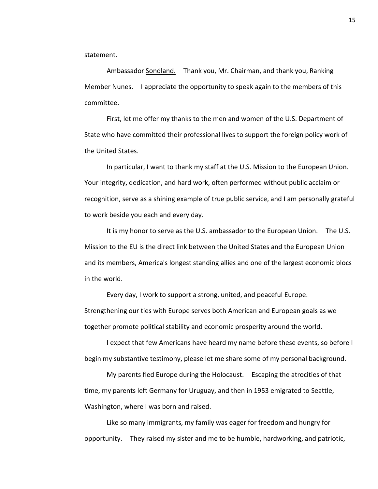statement.

Ambassador Sondland. Thank you, Mr. Chairman, and thank you, Ranking Member Nunes. I appreciate the opportunity to speak again to the members of this committee.

First, let me offer my thanks to the men and women of the U.S. Department of State who have committed their professional lives to support the foreign policy work of the United States.

In particular, I want to thank my staff at the U.S. Mission to the European Union. Your integrity, dedication, and hard work, often performed without public acclaim or recognition, serve as a shining example of true public service, and I am personally grateful to work beside you each and every day.

It is my honor to serve as the U.S. ambassador to the European Union. The U.S. Mission to the EU is the direct link between the United States and the European Union and its members, America's longest standing allies and one of the largest economic blocs in the world.

Every day, I work to support a strong, united, and peaceful Europe. Strengthening our ties with Europe serves both American and European goals as we together promote political stability and economic prosperity around the world.

I expect that few Americans have heard my name before these events, so before I begin my substantive testimony, please let me share some of my personal background.

My parents fled Europe during the Holocaust. Escaping the atrocities of that time, my parents left Germany for Uruguay, and then in 1953 emigrated to Seattle, Washington, where I was born and raised.

Like so many immigrants, my family was eager for freedom and hungry for opportunity. They raised my sister and me to be humble, hardworking, and patriotic,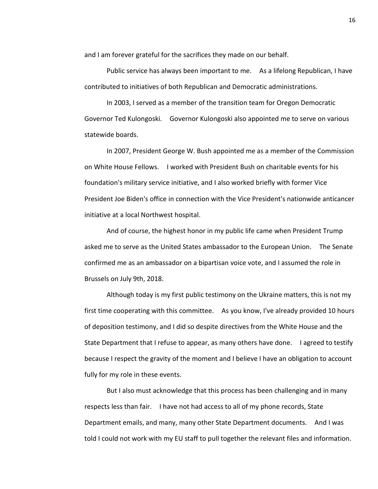and I am forever grateful for the sacrifices they made on our behalf.

Public service has always been important to me. As a lifelong Republican, I have contributed to initiatives of both Republican and Democratic administrations.

In 2003, I served as a member of the transition team for Oregon Democratic Governor Ted Kulongoski. Governor Kulongoski also appointed me to serve on various statewide boards.

In 2007, President George W. Bush appointed me as a member of the Commission on White House Fellows. I worked with President Bush on charitable events for his foundation's military service initiative, and I also worked briefly with former Vice President Joe Biden's office in connection with the Vice President's nationwide anticancer initiative at a local Northwest hospital.

And of course, the highest honor in my public life came when President Trump asked me to serve as the United States ambassador to the European Union. The Senate confirmed me as an ambassador on a bipartisan voice vote, and I assumed the role in Brussels on July 9th, 2018.

Although today is my first public testimony on the Ukraine matters, this is not my first time cooperating with this committee. As you know, I've already provided 10 hours of deposition testimony, and I did so despite directives from the White House and the State Department that I refuse to appear, as many others have done. I agreed to testify because I respect the gravity of the moment and I believe I have an obligation to account fully for my role in these events.

But I also must acknowledge that this process has been challenging and in many respects less than fair. I have not had access to all of my phone records, State Department emails, and many, many other State Department documents. And I was told I could not work with my EU staff to pull together the relevant files and information.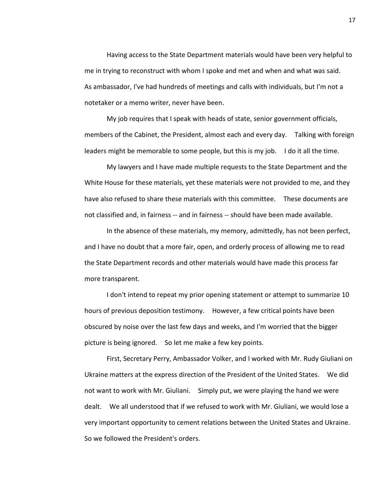Having access to the State Department materials would have been very helpful to me in trying to reconstruct with whom I spoke and met and when and what was said. As ambassador, I've had hundreds of meetings and calls with individuals, but I'm not a notetaker or a memo writer, never have been.

My job requires that I speak with heads of state, senior government officials, members of the Cabinet, the President, almost each and every day. Talking with foreign leaders might be memorable to some people, but this is my job. I do it all the time.

My lawyers and I have made multiple requests to the State Department and the White House for these materials, yet these materials were not provided to me, and they have also refused to share these materials with this committee. These documents are not classified and, in fairness -- and in fairness -- should have been made available.

In the absence of these materials, my memory, admittedly, has not been perfect, and I have no doubt that a more fair, open, and orderly process of allowing me to read the State Department records and other materials would have made this process far more transparent.

I don't intend to repeat my prior opening statement or attempt to summarize 10 hours of previous deposition testimony. However, a few critical points have been obscured by noise over the last few days and weeks, and I'm worried that the bigger picture is being ignored. So let me make a few key points.

First, Secretary Perry, Ambassador Volker, and I worked with Mr. Rudy Giuliani on Ukraine matters at the express direction of the President of the United States. We did not want to work with Mr. Giuliani. Simply put, we were playing the hand we were dealt. We all understood that if we refused to work with Mr. Giuliani, we would lose a very important opportunity to cement relations between the United States and Ukraine. So we followed the President's orders.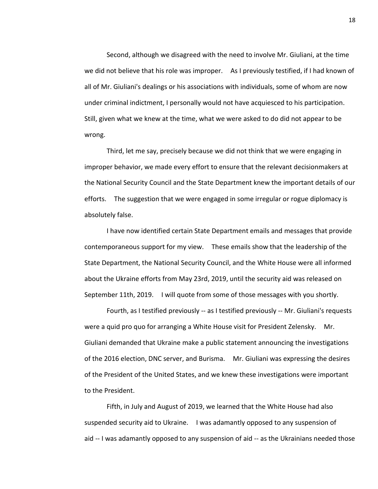Second, although we disagreed with the need to involve Mr. Giuliani, at the time we did not believe that his role was improper. As I previously testified, if I had known of all of Mr. Giuliani's dealings or his associations with individuals, some of whom are now under criminal indictment, I personally would not have acquiesced to his participation. Still, given what we knew at the time, what we were asked to do did not appear to be wrong.

Third, let me say, precisely because we did not think that we were engaging in improper behavior, we made every effort to ensure that the relevant decisionmakers at the National Security Council and the State Department knew the important details of our efforts. The suggestion that we were engaged in some irregular or rogue diplomacy is absolutely false.

I have now identified certain State Department emails and messages that provide contemporaneous support for my view. These emails show that the leadership of the State Department, the National Security Council, and the White House were all informed about the Ukraine efforts from May 23rd, 2019, until the security aid was released on September 11th, 2019. I will quote from some of those messages with you shortly.

Fourth, as I testified previously -- as I testified previously -- Mr. Giuliani's requests were a quid pro quo for arranging a White House visit for President Zelensky. Mr. Giuliani demanded that Ukraine make a public statement announcing the investigations of the 2016 election, DNC server, and Burisma. Mr. Giuliani was expressing the desires of the President of the United States, and we knew these investigations were important to the President.

Fifth, in July and August of 2019, we learned that the White House had also suspended security aid to Ukraine. I was adamantly opposed to any suspension of aid -- I was adamantly opposed to any suspension of aid -- as the Ukrainians needed those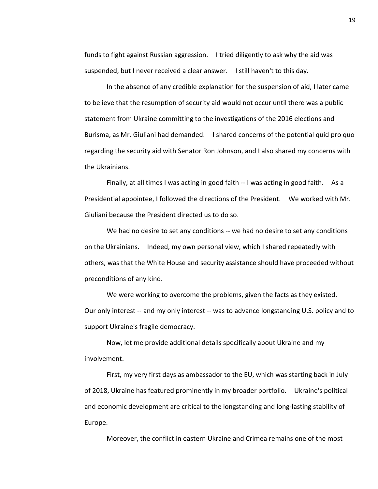funds to fight against Russian aggression. I tried diligently to ask why the aid was suspended, but I never received a clear answer. I still haven't to this day.

In the absence of any credible explanation for the suspension of aid, I later came to believe that the resumption of security aid would not occur until there was a public statement from Ukraine committing to the investigations of the 2016 elections and Burisma, as Mr. Giuliani had demanded. I shared concerns of the potential quid pro quo regarding the security aid with Senator Ron Johnson, and I also shared my concerns with the Ukrainians.

Finally, at all times I was acting in good faith -- I was acting in good faith. As a Presidential appointee, I followed the directions of the President. We worked with Mr. Giuliani because the President directed us to do so.

We had no desire to set any conditions -- we had no desire to set any conditions on the Ukrainians. Indeed, my own personal view, which I shared repeatedly with others, was that the White House and security assistance should have proceeded without preconditions of any kind.

We were working to overcome the problems, given the facts as they existed. Our only interest -- and my only interest -- was to advance longstanding U.S. policy and to support Ukraine's fragile democracy.

Now, let me provide additional details specifically about Ukraine and my involvement.

First, my very first days as ambassador to the EU, which was starting back in July of 2018, Ukraine has featured prominently in my broader portfolio. Ukraine's political and economic development are critical to the longstanding and long-lasting stability of Europe.

Moreover, the conflict in eastern Ukraine and Crimea remains one of the most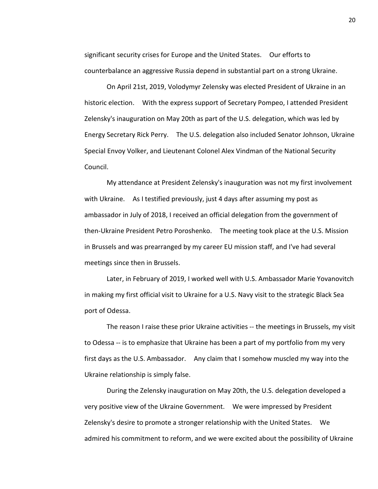significant security crises for Europe and the United States. Our efforts to counterbalance an aggressive Russia depend in substantial part on a strong Ukraine.

On April 21st, 2019, Volodymyr Zelensky was elected President of Ukraine in an historic election. With the express support of Secretary Pompeo, I attended President Zelensky's inauguration on May 20th as part of the U.S. delegation, which was led by Energy Secretary Rick Perry. The U.S. delegation also included Senator Johnson, Ukraine Special Envoy Volker, and Lieutenant Colonel Alex Vindman of the National Security Council.

My attendance at President Zelensky's inauguration was not my first involvement with Ukraine. As I testified previously, just 4 days after assuming my post as ambassador in July of 2018, I received an official delegation from the government of then-Ukraine President Petro Poroshenko. The meeting took place at the U.S. Mission in Brussels and was prearranged by my career EU mission staff, and I've had several meetings since then in Brussels.

Later, in February of 2019, I worked well with U.S. Ambassador Marie Yovanovitch in making my first official visit to Ukraine for a U.S. Navy visit to the strategic Black Sea port of Odessa.

The reason I raise these prior Ukraine activities -- the meetings in Brussels, my visit to Odessa -- is to emphasize that Ukraine has been a part of my portfolio from my very first days as the U.S. Ambassador. Any claim that I somehow muscled my way into the Ukraine relationship is simply false.

During the Zelensky inauguration on May 20th, the U.S. delegation developed a very positive view of the Ukraine Government. We were impressed by President Zelensky's desire to promote a stronger relationship with the United States. We admired his commitment to reform, and we were excited about the possibility of Ukraine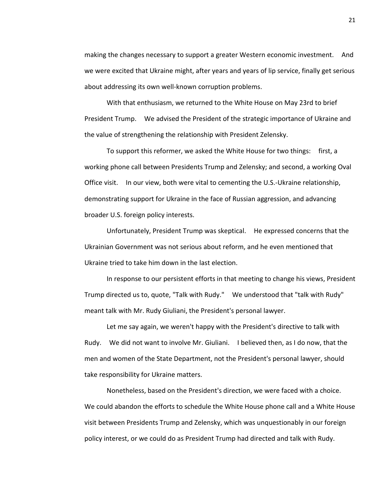making the changes necessary to support a greater Western economic investment. And we were excited that Ukraine might, after years and years of lip service, finally get serious about addressing its own well-known corruption problems.

With that enthusiasm, we returned to the White House on May 23rd to brief President Trump. We advised the President of the strategic importance of Ukraine and the value of strengthening the relationship with President Zelensky.

To support this reformer, we asked the White House for two things: first, a working phone call between Presidents Trump and Zelensky; and second, a working Oval Office visit. In our view, both were vital to cementing the U.S.-Ukraine relationship, demonstrating support for Ukraine in the face of Russian aggression, and advancing broader U.S. foreign policy interests.

Unfortunately, President Trump was skeptical. He expressed concerns that the Ukrainian Government was not serious about reform, and he even mentioned that Ukraine tried to take him down in the last election.

In response to our persistent efforts in that meeting to change his views, President Trump directed us to, quote, "Talk with Rudy." We understood that "talk with Rudy" meant talk with Mr. Rudy Giuliani, the President's personal lawyer.

Let me say again, we weren't happy with the President's directive to talk with Rudy. We did not want to involve Mr. Giuliani. I believed then, as I do now, that the men and women of the State Department, not the President's personal lawyer, should take responsibility for Ukraine matters.

Nonetheless, based on the President's direction, we were faced with a choice. We could abandon the efforts to schedule the White House phone call and a White House visit between Presidents Trump and Zelensky, which was unquestionably in our foreign policy interest, or we could do as President Trump had directed and talk with Rudy.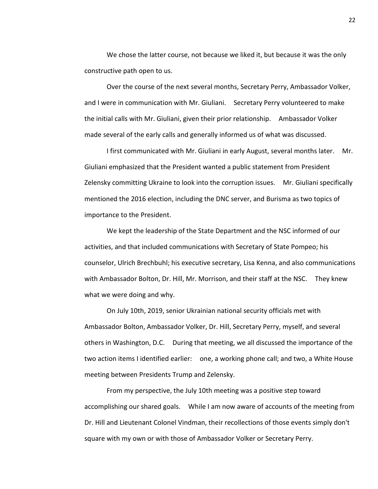We chose the latter course, not because we liked it, but because it was the only constructive path open to us.

Over the course of the next several months, Secretary Perry, Ambassador Volker, and I were in communication with Mr. Giuliani. Secretary Perry volunteered to make the initial calls with Mr. Giuliani, given their prior relationship. Ambassador Volker made several of the early calls and generally informed us of what was discussed.

I first communicated with Mr. Giuliani in early August, several months later. Mr. Giuliani emphasized that the President wanted a public statement from President Zelensky committing Ukraine to look into the corruption issues. Mr. Giuliani specifically mentioned the 2016 election, including the DNC server, and Burisma as two topics of importance to the President.

We kept the leadership of the State Department and the NSC informed of our activities, and that included communications with Secretary of State Pompeo; his counselor, Ulrich Brechbuhl; his executive secretary, Lisa Kenna, and also communications with Ambassador Bolton, Dr. Hill, Mr. Morrison, and their staff at the NSC. They knew what we were doing and why.

On July 10th, 2019, senior Ukrainian national security officials met with Ambassador Bolton, Ambassador Volker, Dr. Hill, Secretary Perry, myself, and several others in Washington, D.C. During that meeting, we all discussed the importance of the two action items I identified earlier: one, a working phone call; and two, a White House meeting between Presidents Trump and Zelensky.

From my perspective, the July 10th meeting was a positive step toward accomplishing our shared goals. While I am now aware of accounts of the meeting from Dr. Hill and Lieutenant Colonel Vindman, their recollections of those events simply don't square with my own or with those of Ambassador Volker or Secretary Perry.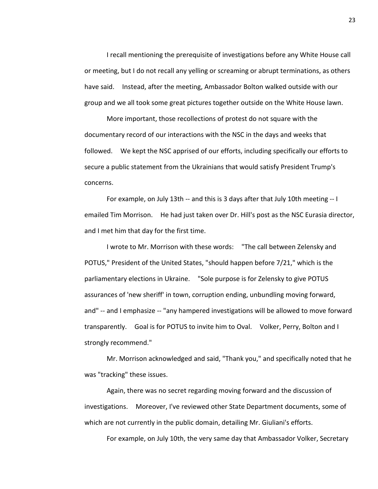I recall mentioning the prerequisite of investigations before any White House call or meeting, but I do not recall any yelling or screaming or abrupt terminations, as others have said. Instead, after the meeting, Ambassador Bolton walked outside with our group and we all took some great pictures together outside on the White House lawn.

More important, those recollections of protest do not square with the documentary record of our interactions with the NSC in the days and weeks that followed. We kept the NSC apprised of our efforts, including specifically our efforts to secure a public statement from the Ukrainians that would satisfy President Trump's concerns.

For example, on July 13th -- and this is 3 days after that July 10th meeting -- I emailed Tim Morrison. He had just taken over Dr. Hill's post as the NSC Eurasia director, and I met him that day for the first time.

I wrote to Mr. Morrison with these words: "The call between Zelensky and POTUS," President of the United States, "should happen before 7/21," which is the parliamentary elections in Ukraine. "Sole purpose is for Zelensky to give POTUS assurances of 'new sheriff' in town, corruption ending, unbundling moving forward, and" -- and I emphasize -- "any hampered investigations will be allowed to move forward transparently. Goal is for POTUS to invite him to Oval. Volker, Perry, Bolton and I strongly recommend."

Mr. Morrison acknowledged and said, "Thank you," and specifically noted that he was "tracking" these issues.

Again, there was no secret regarding moving forward and the discussion of investigations. Moreover, I've reviewed other State Department documents, some of which are not currently in the public domain, detailing Mr. Giuliani's efforts.

For example, on July 10th, the very same day that Ambassador Volker, Secretary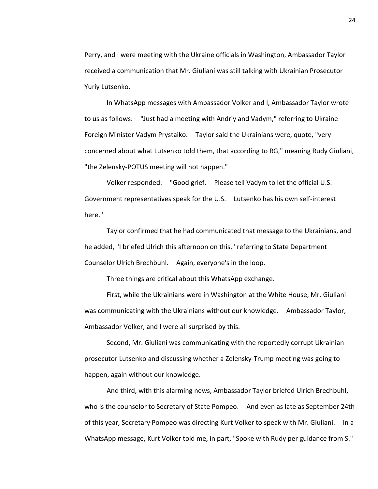Perry, and I were meeting with the Ukraine officials in Washington, Ambassador Taylor received a communication that Mr. Giuliani was still talking with Ukrainian Prosecutor Yuriy Lutsenko.

In WhatsApp messages with Ambassador Volker and I, Ambassador Taylor wrote to us as follows: "Just had a meeting with Andriy and Vadym," referring to Ukraine Foreign Minister Vadym Prystaiko. Taylor said the Ukrainians were, quote, "very concerned about what Lutsenko told them, that according to RG," meaning Rudy Giuliani, "the Zelensky-POTUS meeting will not happen."

Volker responded: "Good grief. Please tell Vadym to let the official U.S. Government representatives speak for the U.S. Lutsenko has his own self-interest here."

Taylor confirmed that he had communicated that message to the Ukrainians, and he added, "I briefed Ulrich this afternoon on this," referring to State Department Counselor Ulrich Brechbuhl. Again, everyone's in the loop.

Three things are critical about this WhatsApp exchange.

First, while the Ukrainians were in Washington at the White House, Mr. Giuliani was communicating with the Ukrainians without our knowledge. Ambassador Taylor, Ambassador Volker, and I were all surprised by this.

Second, Mr. Giuliani was communicating with the reportedly corrupt Ukrainian prosecutor Lutsenko and discussing whether a Zelensky-Trump meeting was going to happen, again without our knowledge.

And third, with this alarming news, Ambassador Taylor briefed Ulrich Brechbuhl, who is the counselor to Secretary of State Pompeo. And even as late as September 24th of this year, Secretary Pompeo was directing Kurt Volker to speak with Mr. Giuliani. In a WhatsApp message, Kurt Volker told me, in part, "Spoke with Rudy per guidance from S."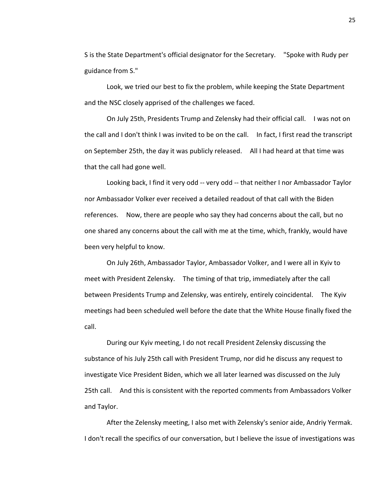S is the State Department's official designator for the Secretary. "Spoke with Rudy per guidance from S."

Look, we tried our best to fix the problem, while keeping the State Department and the NSC closely apprised of the challenges we faced.

On July 25th, Presidents Trump and Zelensky had their official call. I was not on the call and I don't think I was invited to be on the call. In fact, I first read the transcript on September 25th, the day it was publicly released. All I had heard at that time was that the call had gone well.

Looking back, I find it very odd -- very odd -- that neither I nor Ambassador Taylor nor Ambassador Volker ever received a detailed readout of that call with the Biden references. Now, there are people who say they had concerns about the call, but no one shared any concerns about the call with me at the time, which, frankly, would have been very helpful to know.

On July 26th, Ambassador Taylor, Ambassador Volker, and I were all in Kyiv to meet with President Zelensky. The timing of that trip, immediately after the call between Presidents Trump and Zelensky, was entirely, entirely coincidental. The Kyiv meetings had been scheduled well before the date that the White House finally fixed the call.

During our Kyiv meeting, I do not recall President Zelensky discussing the substance of his July 25th call with President Trump, nor did he discuss any request to investigate Vice President Biden, which we all later learned was discussed on the July 25th call. And this is consistent with the reported comments from Ambassadors Volker and Taylor.

After the Zelensky meeting, I also met with Zelensky's senior aide, Andriy Yermak. I don't recall the specifics of our conversation, but I believe the issue of investigations was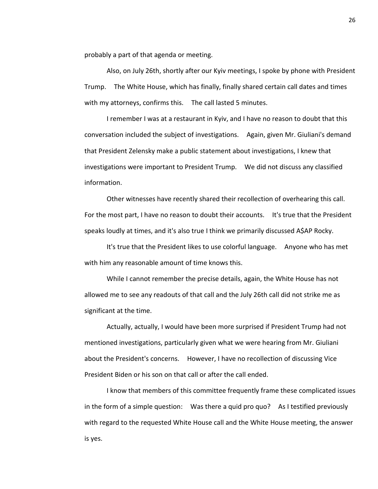probably a part of that agenda or meeting.

Also, on July 26th, shortly after our Kyiv meetings, I spoke by phone with President Trump. The White House, which has finally, finally shared certain call dates and times with my attorneys, confirms this. The call lasted 5 minutes.

I remember I was at a restaurant in Kyiv, and I have no reason to doubt that this conversation included the subject of investigations. Again, given Mr. Giuliani's demand that President Zelensky make a public statement about investigations, I knew that investigations were important to President Trump. We did not discuss any classified information.

Other witnesses have recently shared their recollection of overhearing this call. For the most part, I have no reason to doubt their accounts. It's true that the President speaks loudly at times, and it's also true I think we primarily discussed A\$AP Rocky.

It's true that the President likes to use colorful language. Anyone who has met with him any reasonable amount of time knows this.

While I cannot remember the precise details, again, the White House has not allowed me to see any readouts of that call and the July 26th call did not strike me as significant at the time.

Actually, actually, I would have been more surprised if President Trump had not mentioned investigations, particularly given what we were hearing from Mr. Giuliani about the President's concerns. However, I have no recollection of discussing Vice President Biden or his son on that call or after the call ended.

I know that members of this committee frequently frame these complicated issues in the form of a simple question: Was there a quid pro quo? As I testified previously with regard to the requested White House call and the White House meeting, the answer is yes.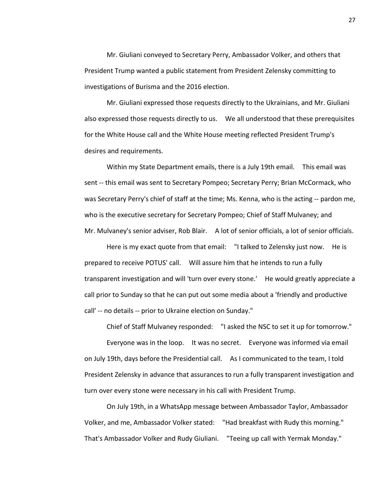Mr. Giuliani conveyed to Secretary Perry, Ambassador Volker, and others that President Trump wanted a public statement from President Zelensky committing to investigations of Burisma and the 2016 election.

Mr. Giuliani expressed those requests directly to the Ukrainians, and Mr. Giuliani also expressed those requests directly to us. We all understood that these prerequisites for the White House call and the White House meeting reflected President Trump's desires and requirements.

Within my State Department emails, there is a July 19th email. This email was sent -- this email was sent to Secretary Pompeo; Secretary Perry; Brian McCormack, who was Secretary Perry's chief of staff at the time; Ms. Kenna, who is the acting -- pardon me, who is the executive secretary for Secretary Pompeo; Chief of Staff Mulvaney; and Mr. Mulvaney's senior adviser, Rob Blair. A lot of senior officials, a lot of senior officials.

Here is my exact quote from that email: "I talked to Zelensky just now. He is prepared to receive POTUS' call. Will assure him that he intends to run a fully transparent investigation and will 'turn over every stone.' He would greatly appreciate a call prior to Sunday so that he can put out some media about a 'friendly and productive call' -- no details -- prior to Ukraine election on Sunday."

Chief of Staff Mulvaney responded: "I asked the NSC to set it up for tomorrow."

Everyone was in the loop. It was no secret. Everyone was informed via email on July 19th, days before the Presidential call. As I communicated to the team, I told President Zelensky in advance that assurances to run a fully transparent investigation and turn over every stone were necessary in his call with President Trump.

On July 19th, in a WhatsApp message between Ambassador Taylor, Ambassador Volker, and me, Ambassador Volker stated: "Had breakfast with Rudy this morning." That's Ambassador Volker and Rudy Giuliani. "Teeing up call with Yermak Monday."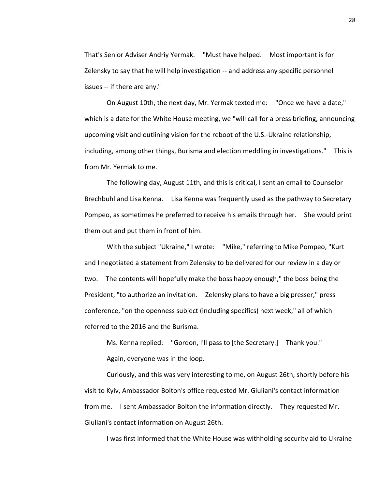That's Senior Adviser Andriy Yermak. "Must have helped. Most important is for Zelensky to say that he will help investigation -- and address any specific personnel issues -- if there are any."

On August 10th, the next day, Mr. Yermak texted me: "Once we have a date," which is a date for the White House meeting, we "will call for a press briefing, announcing upcoming visit and outlining vision for the reboot of the U.S.-Ukraine relationship, including, among other things, Burisma and election meddling in investigations." This is from Mr. Yermak to me.

The following day, August 11th, and this is critical, I sent an email to Counselor Brechbuhl and Lisa Kenna. Lisa Kenna was frequently used as the pathway to Secretary Pompeo, as sometimes he preferred to receive his emails through her. She would print them out and put them in front of him.

With the subject "Ukraine," I wrote: "Mike," referring to Mike Pompeo, "Kurt and I negotiated a statement from Zelensky to be delivered for our review in a day or two. The contents will hopefully make the boss happy enough," the boss being the President, "to authorize an invitation. Zelensky plans to have a big presser," press conference, "on the openness subject (including specifics) next week," all of which referred to the 2016 and the Burisma.

Ms. Kenna replied: "Gordon, I'll pass to [the Secretary.] Thank you." Again, everyone was in the loop.

Curiously, and this was very interesting to me, on August 26th, shortly before his visit to Kyiv, Ambassador Bolton's office requested Mr. Giuliani's contact information from me. I sent Ambassador Bolton the information directly. They requested Mr. Giuliani's contact information on August 26th.

I was first informed that the White House was withholding security aid to Ukraine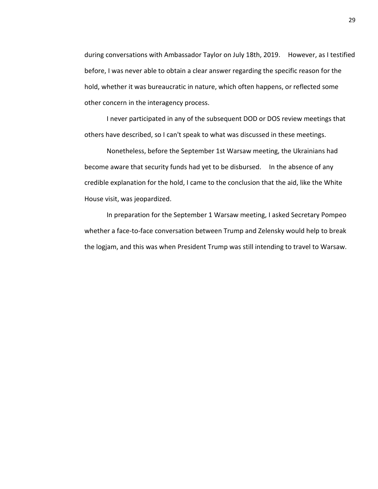during conversations with Ambassador Taylor on July 18th, 2019. However, as I testified before, I was never able to obtain a clear answer regarding the specific reason for the hold, whether it was bureaucratic in nature, which often happens, or reflected some other concern in the interagency process.

I never participated in any of the subsequent DOD or DOS review meetings that others have described, so I can't speak to what was discussed in these meetings.

Nonetheless, before the September 1st Warsaw meeting, the Ukrainians had become aware that security funds had yet to be disbursed. In the absence of any credible explanation for the hold, I came to the conclusion that the aid, like the White House visit, was jeopardized.

In preparation for the September 1 Warsaw meeting, I asked Secretary Pompeo whether a face-to-face conversation between Trump and Zelensky would help to break the logjam, and this was when President Trump was still intending to travel to Warsaw.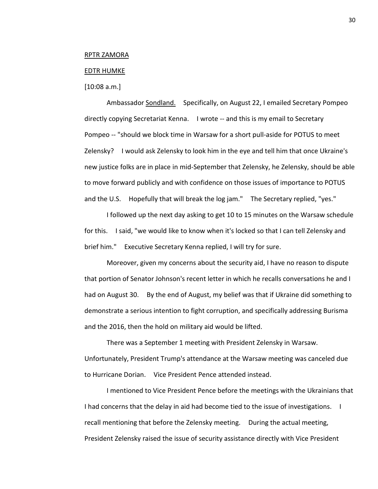## RPTR ZAMORA

## EDTR HUMKE

[10:08 a.m.]

Ambassador Sondland. Specifically, on August 22, I emailed Secretary Pompeo directly copying Secretariat Kenna. I wrote -- and this is my email to Secretary Pompeo -- "should we block time in Warsaw for a short pull-aside for POTUS to meet Zelensky? I would ask Zelensky to look him in the eye and tell him that once Ukraine's new justice folks are in place in mid-September that Zelensky, he Zelensky, should be able to move forward publicly and with confidence on those issues of importance to POTUS and the U.S. Hopefully that will break the log jam." The Secretary replied, "yes."

I followed up the next day asking to get 10 to 15 minutes on the Warsaw schedule for this. I said, "we would like to know when it's locked so that I can tell Zelensky and brief him." Executive Secretary Kenna replied, I will try for sure.

Moreover, given my concerns about the security aid, I have no reason to dispute that portion of Senator Johnson's recent letter in which he recalls conversations he and I had on August 30. By the end of August, my belief was that if Ukraine did something to demonstrate a serious intention to fight corruption, and specifically addressing Burisma and the 2016, then the hold on military aid would be lifted.

There was a September 1 meeting with President Zelensky in Warsaw. Unfortunately, President Trump's attendance at the Warsaw meeting was canceled due to Hurricane Dorian. Vice President Pence attended instead.

I mentioned to Vice President Pence before the meetings with the Ukrainians that I had concerns that the delay in aid had become tied to the issue of investigations. I recall mentioning that before the Zelensky meeting. During the actual meeting, President Zelensky raised the issue of security assistance directly with Vice President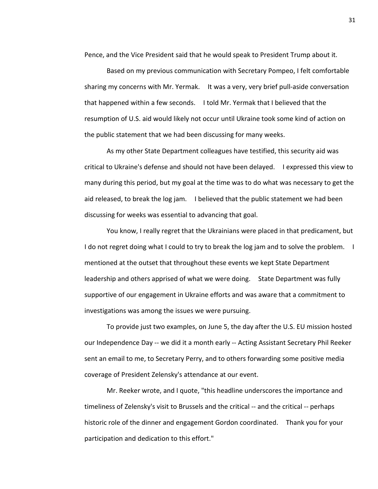Pence, and the Vice President said that he would speak to President Trump about it.

Based on my previous communication with Secretary Pompeo, I felt comfortable sharing my concerns with Mr. Yermak. It was a very, very brief pull-aside conversation that happened within a few seconds. I told Mr. Yermak that I believed that the resumption of U.S. aid would likely not occur until Ukraine took some kind of action on the public statement that we had been discussing for many weeks.

As my other State Department colleagues have testified, this security aid was critical to Ukraine's defense and should not have been delayed. I expressed this view to many during this period, but my goal at the time was to do what was necessary to get the aid released, to break the log jam. I believed that the public statement we had been discussing for weeks was essential to advancing that goal.

You know, I really regret that the Ukrainians were placed in that predicament, but I do not regret doing what I could to try to break the log jam and to solve the problem. I mentioned at the outset that throughout these events we kept State Department leadership and others apprised of what we were doing. State Department was fully supportive of our engagement in Ukraine efforts and was aware that a commitment to investigations was among the issues we were pursuing.

To provide just two examples, on June 5, the day after the U.S. EU mission hosted our Independence Day -- we did it a month early -- Acting Assistant Secretary Phil Reeker sent an email to me, to Secretary Perry, and to others forwarding some positive media coverage of President Zelensky's attendance at our event.

Mr. Reeker wrote, and I quote, "this headline underscores the importance and timeliness of Zelensky's visit to Brussels and the critical -- and the critical -- perhaps historic role of the dinner and engagement Gordon coordinated. Thank you for your participation and dedication to this effort."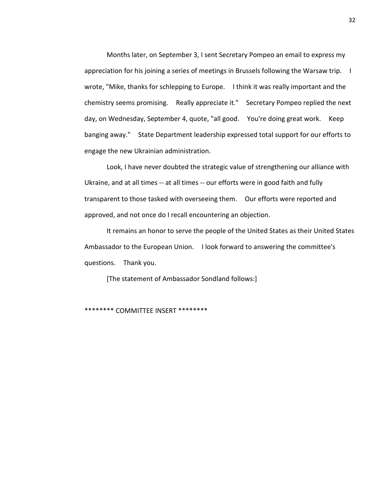Months later, on September 3, I sent Secretary Pompeo an email to express my appreciation for his joining a series of meetings in Brussels following the Warsaw trip. I wrote, "Mike, thanks for schlepping to Europe. I think it was really important and the chemistry seems promising. Really appreciate it." Secretary Pompeo replied the next day, on Wednesday, September 4, quote, "all good. You're doing great work. Keep banging away." State Department leadership expressed total support for our efforts to engage the new Ukrainian administration.

Look, I have never doubted the strategic value of strengthening our alliance with Ukraine, and at all times -- at all times -- our efforts were in good faith and fully transparent to those tasked with overseeing them. Our efforts were reported and approved, and not once do I recall encountering an objection.

It remains an honor to serve the people of the United States as their United States Ambassador to the European Union. I look forward to answering the committee's questions. Thank you.

[The statement of Ambassador Sondland follows:]

\*\*\*\*\*\*\*\* COMMITTEE INSERT \*\*\*\*\*\*\*\*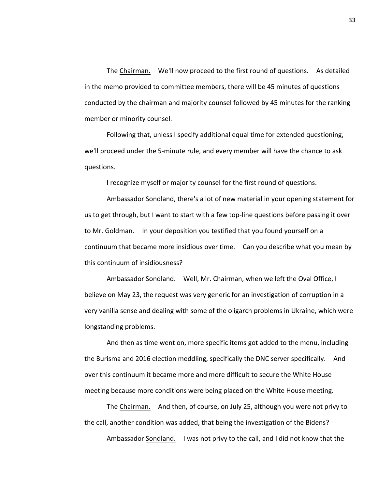The Chairman. We'll now proceed to the first round of questions. As detailed in the memo provided to committee members, there will be 45 minutes of questions conducted by the chairman and majority counsel followed by 45 minutes for the ranking member or minority counsel.

Following that, unless I specify additional equal time for extended questioning, we'll proceed under the 5-minute rule, and every member will have the chance to ask questions.

I recognize myself or majority counsel for the first round of questions.

Ambassador Sondland, there's a lot of new material in your opening statement for us to get through, but I want to start with a few top-line questions before passing it over to Mr. Goldman. In your deposition you testified that you found yourself on a continuum that became more insidious over time. Can you describe what you mean by this continuum of insidiousness?

Ambassador Sondland. Well, Mr. Chairman, when we left the Oval Office, I believe on May 23, the request was very generic for an investigation of corruption in a very vanilla sense and dealing with some of the oligarch problems in Ukraine, which were longstanding problems.

And then as time went on, more specific items got added to the menu, including the Burisma and 2016 election meddling, specifically the DNC server specifically. And over this continuum it became more and more difficult to secure the White House meeting because more conditions were being placed on the White House meeting.

The Chairman. And then, of course, on July 25, although you were not privy to the call, another condition was added, that being the investigation of the Bidens?

Ambassador Sondland. I was not privy to the call, and I did not know that the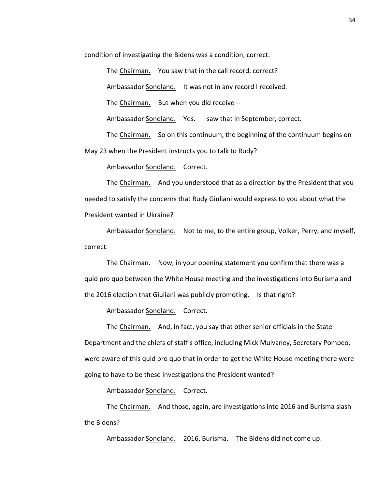condition of investigating the Bidens was a condition, correct.

The Chairman. You saw that in the call record, correct?

Ambassador Sondland. It was not in any record I received.

The Chairman. But when you did receive --

Ambassador Sondland. Yes. I saw that in September, correct.

The Chairman. So on this continuum, the beginning of the continuum begins on May 23 when the President instructs you to talk to Rudy?

Ambassador Sondland. Correct.

The Chairman. And you understood that as a direction by the President that you needed to satisfy the concerns that Rudy Giuliani would express to you about what the President wanted in Ukraine?

Ambassador Sondland. Not to me, to the entire group, Volker, Perry, and myself, correct.

The Chairman. Now, in your opening statement you confirm that there was a quid pro quo between the White House meeting and the investigations into Burisma and the 2016 election that Giuliani was publicly promoting. Is that right?

Ambassador Sondland. Correct.

The Chairman. And, in fact, you say that other senior officials in the State Department and the chiefs of staff's office, including Mick Mulvaney, Secretary Pompeo, were aware of this quid pro quo that in order to get the White House meeting there were going to have to be these investigations the President wanted?

Ambassador Sondland. Correct.

The Chairman. And those, again, are investigations into 2016 and Burisma slash the Bidens?

Ambassador Sondland. 2016, Burisma. The Bidens did not come up.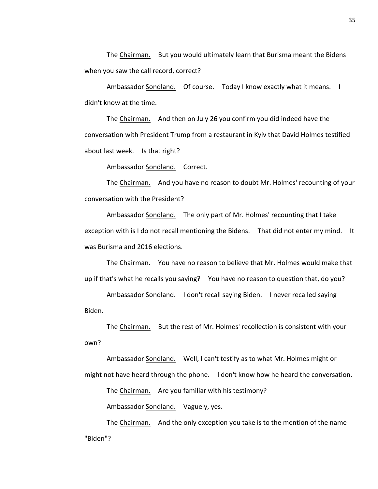The Chairman. But you would ultimately learn that Burisma meant the Bidens when you saw the call record, correct?

Ambassador Sondland. Of course. Today I know exactly what it means. I didn't know at the time.

The Chairman. And then on July 26 you confirm you did indeed have the conversation with President Trump from a restaurant in Kyiv that David Holmes testified about last week. Is that right?

Ambassador Sondland. Correct.

The Chairman. And you have no reason to doubt Mr. Holmes' recounting of your conversation with the President?

Ambassador Sondland. The only part of Mr. Holmes' recounting that I take exception with is I do not recall mentioning the Bidens. That did not enter my mind. It was Burisma and 2016 elections.

The Chairman. You have no reason to believe that Mr. Holmes would make that up if that's what he recalls you saying? You have no reason to question that, do you?

Ambassador Sondland. I don't recall saying Biden. I never recalled saying Biden.

The Chairman. But the rest of Mr. Holmes' recollection is consistent with your own?

Ambassador Sondland. Well, I can't testify as to what Mr. Holmes might or might not have heard through the phone. I don't know how he heard the conversation.

The Chairman. Are you familiar with his testimony?

Ambassador Sondland. Vaguely, yes.

The Chairman. And the only exception you take is to the mention of the name "Biden"?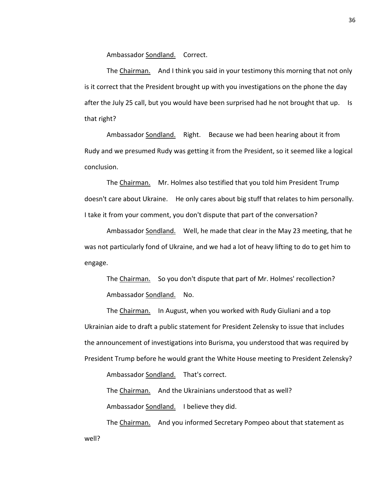Ambassador Sondland. Correct.

The Chairman. And I think you said in your testimony this morning that not only is it correct that the President brought up with you investigations on the phone the day after the July 25 call, but you would have been surprised had he not brought that up. Is that right?

Ambassador Sondland. Right. Because we had been hearing about it from Rudy and we presumed Rudy was getting it from the President, so it seemed like a logical conclusion.

The Chairman. Mr. Holmes also testified that you told him President Trump doesn't care about Ukraine. He only cares about big stuff that relates to him personally. I take it from your comment, you don't dispute that part of the conversation?

Ambassador Sondland. Well, he made that clear in the May 23 meeting, that he was not particularly fond of Ukraine, and we had a lot of heavy lifting to do to get him to engage.

The Chairman. So you don't dispute that part of Mr. Holmes' recollection? Ambassador Sondland. No.

The Chairman. In August, when you worked with Rudy Giuliani and a top Ukrainian aide to draft a public statement for President Zelensky to issue that includes the announcement of investigations into Burisma, you understood that was required by President Trump before he would grant the White House meeting to President Zelensky?

Ambassador Sondland. That's correct.

The Chairman. And the Ukrainians understood that as well?

Ambassador Sondland. I believe they did.

The Chairman. And you informed Secretary Pompeo about that statement as well?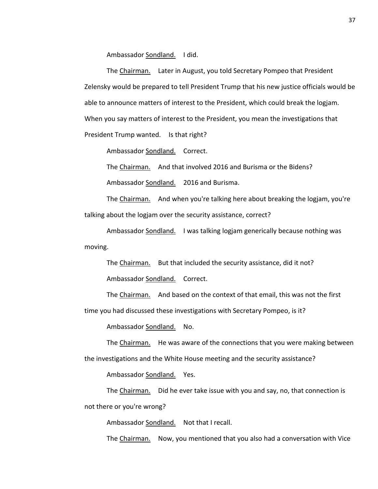Ambassador Sondland. I did.

The Chairman. Later in August, you told Secretary Pompeo that President Zelensky would be prepared to tell President Trump that his new justice officials would be able to announce matters of interest to the President, which could break the logjam. When you say matters of interest to the President, you mean the investigations that President Trump wanted. Is that right?

Ambassador Sondland. Correct.

The Chairman. And that involved 2016 and Burisma or the Bidens?

Ambassador Sondland. 2016 and Burisma.

The Chairman. And when you're talking here about breaking the logjam, you're talking about the logjam over the security assistance, correct?

Ambassador Sondland. I was talking logjam generically because nothing was moving.

The Chairman. But that included the security assistance, did it not? Ambassador Sondland. Correct.

The Chairman. And based on the context of that email, this was not the first time you had discussed these investigations with Secretary Pompeo, is it?

Ambassador Sondland. No.

The Chairman. He was aware of the connections that you were making between the investigations and the White House meeting and the security assistance?

Ambassador Sondland. Yes.

The Chairman. Did he ever take issue with you and say, no, that connection is not there or you're wrong?

Ambassador Sondland. Not that I recall.

The Chairman. Now, you mentioned that you also had a conversation with Vice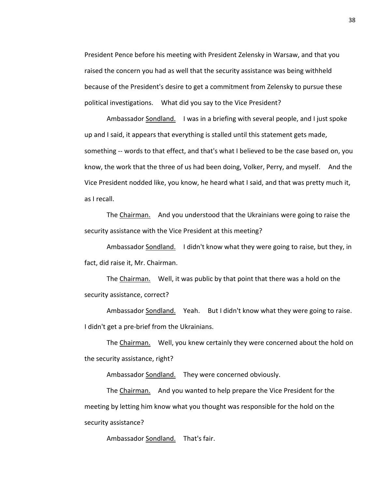President Pence before his meeting with President Zelensky in Warsaw, and that you raised the concern you had as well that the security assistance was being withheld because of the President's desire to get a commitment from Zelensky to pursue these political investigations. What did you say to the Vice President?

Ambassador Sondland. I was in a briefing with several people, and I just spoke up and I said, it appears that everything is stalled until this statement gets made, something -- words to that effect, and that's what I believed to be the case based on, you

know, the work that the three of us had been doing, Volker, Perry, and myself. And the Vice President nodded like, you know, he heard what I said, and that was pretty much it, as I recall.

The Chairman. And you understood that the Ukrainians were going to raise the security assistance with the Vice President at this meeting?

Ambassador Sondland. I didn't know what they were going to raise, but they, in fact, did raise it, Mr. Chairman.

The Chairman. Well, it was public by that point that there was a hold on the security assistance, correct?

Ambassador Sondland. Yeah. But I didn't know what they were going to raise. I didn't get a pre-brief from the Ukrainians.

The Chairman. Well, you knew certainly they were concerned about the hold on the security assistance, right?

Ambassador Sondland. They were concerned obviously.

The Chairman. And you wanted to help prepare the Vice President for the meeting by letting him know what you thought was responsible for the hold on the security assistance?

Ambassador Sondland. That's fair.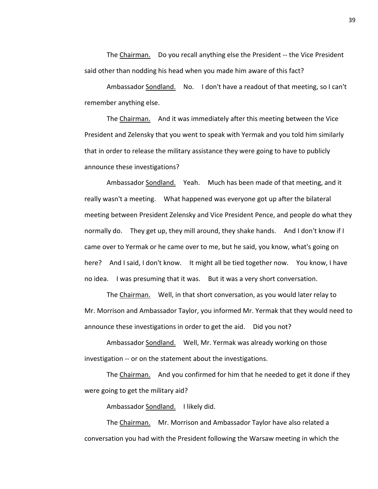The Chairman. Do you recall anything else the President -- the Vice President said other than nodding his head when you made him aware of this fact?

Ambassador Sondland. No. I don't have a readout of that meeting, so I can't remember anything else.

The Chairman. And it was immediately after this meeting between the Vice President and Zelensky that you went to speak with Yermak and you told him similarly that in order to release the military assistance they were going to have to publicly announce these investigations?

Ambassador Sondland. Yeah. Much has been made of that meeting, and it really wasn't a meeting. What happened was everyone got up after the bilateral meeting between President Zelensky and Vice President Pence, and people do what they normally do. They get up, they mill around, they shake hands. And I don't know if I came over to Yermak or he came over to me, but he said, you know, what's going on here? And I said, I don't know. It might all be tied together now. You know, I have no idea. I was presuming that it was. But it was a very short conversation.

The Chairman. Well, in that short conversation, as you would later relay to Mr. Morrison and Ambassador Taylor, you informed Mr. Yermak that they would need to announce these investigations in order to get the aid. Did you not?

Ambassador Sondland. Well, Mr. Yermak was already working on those investigation -- or on the statement about the investigations.

The Chairman. And you confirmed for him that he needed to get it done if they were going to get the military aid?

Ambassador Sondland. I likely did.

The Chairman. Mr. Morrison and Ambassador Taylor have also related a conversation you had with the President following the Warsaw meeting in which the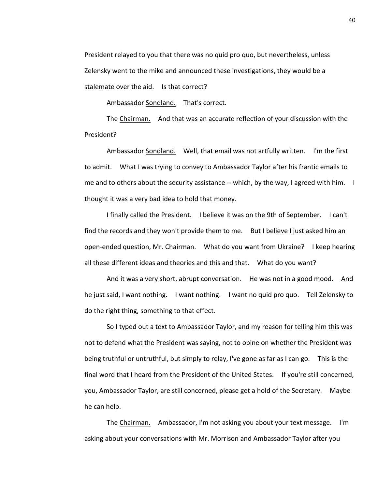President relayed to you that there was no quid pro quo, but nevertheless, unless Zelensky went to the mike and announced these investigations, they would be a stalemate over the aid. Is that correct?

Ambassador Sondland. That's correct.

The Chairman. And that was an accurate reflection of your discussion with the President?

Ambassador Sondland. Well, that email was not artfully written. I'm the first to admit. What I was trying to convey to Ambassador Taylor after his frantic emails to me and to others about the security assistance -- which, by the way, I agreed with him. I thought it was a very bad idea to hold that money.

I finally called the President. I believe it was on the 9th of September. I can't find the records and they won't provide them to me. But I believe I just asked him an open-ended question, Mr. Chairman. What do you want from Ukraine? I keep hearing all these different ideas and theories and this and that. What do you want?

And it was a very short, abrupt conversation. He was not in a good mood. And he just said, I want nothing. I want nothing. I want no quid pro quo. Tell Zelensky to do the right thing, something to that effect.

So I typed out a text to Ambassador Taylor, and my reason for telling him this was not to defend what the President was saying, not to opine on whether the President was being truthful or untruthful, but simply to relay, I've gone as far as I can go. This is the final word that I heard from the President of the United States. If you're still concerned, you, Ambassador Taylor, are still concerned, please get a hold of the Secretary. Maybe he can help.

The Chairman. Ambassador, I'm not asking you about your text message. I'm asking about your conversations with Mr. Morrison and Ambassador Taylor after you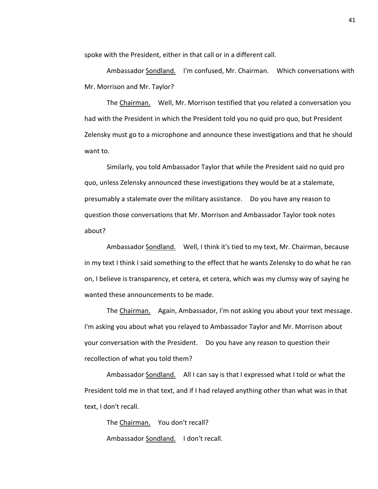spoke with the President, either in that call or in a different call.

Ambassador Sondland. I'm confused, Mr. Chairman. Which conversations with Mr. Morrison and Mr. Taylor?

The Chairman. Well, Mr. Morrison testified that you related a conversation you had with the President in which the President told you no quid pro quo, but President Zelensky must go to a microphone and announce these investigations and that he should want to.

Similarly, you told Ambassador Taylor that while the President said no quid pro quo, unless Zelensky announced these investigations they would be at a stalemate, presumably a stalemate over the military assistance. Do you have any reason to question those conversations that Mr. Morrison and Ambassador Taylor took notes about?

Ambassador Sondland. Well, I think it's tied to my text, Mr. Chairman, because in my text I think I said something to the effect that he wants Zelensky to do what he ran on, I believe is transparency, et cetera, et cetera, which was my clumsy way of saying he wanted these announcements to be made.

The Chairman. Again, Ambassador, I'm not asking you about your text message. I'm asking you about what you relayed to Ambassador Taylor and Mr. Morrison about your conversation with the President. Do you have any reason to question their recollection of what you told them?

Ambassador Sondland. All I can say is that I expressed what I told or what the President told me in that text, and if I had relayed anything other than what was in that text, I don't recall.

The Chairman. You don't recall? Ambassador Sondland. I don't recall.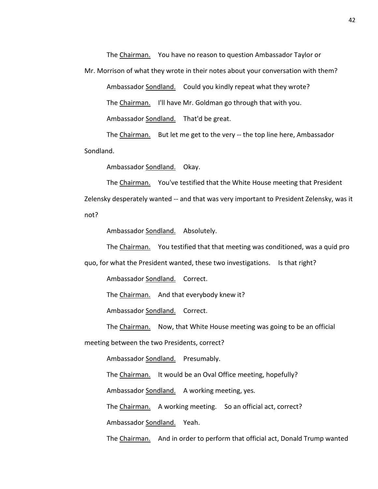The Chairman. You have no reason to question Ambassador Taylor or Mr. Morrison of what they wrote in their notes about your conversation with them?

Ambassador Sondland. Could you kindly repeat what they wrote? The Chairman. I'll have Mr. Goldman go through that with you. Ambassador Sondland. That'd be great.

The Chairman. But let me get to the very -- the top line here, Ambassador Sondland.

Ambassador Sondland. Okay.

The Chairman. You've testified that the White House meeting that President Zelensky desperately wanted -- and that was very important to President Zelensky, was it not?

Ambassador Sondland. Absolutely.

The Chairman. You testified that that meeting was conditioned, was a quid pro

quo, for what the President wanted, these two investigations. Is that right?

Ambassador Sondland. Correct.

The Chairman. And that everybody knew it?

Ambassador Sondland. Correct.

The Chairman. Now, that White House meeting was going to be an official

meeting between the two Presidents, correct?

Ambassador Sondland. Presumably.

The Chairman. It would be an Oval Office meeting, hopefully?

Ambassador Sondland. A working meeting, yes.

The Chairman. A working meeting. So an official act, correct?

Ambassador Sondland. Yeah.

The Chairman. And in order to perform that official act, Donald Trump wanted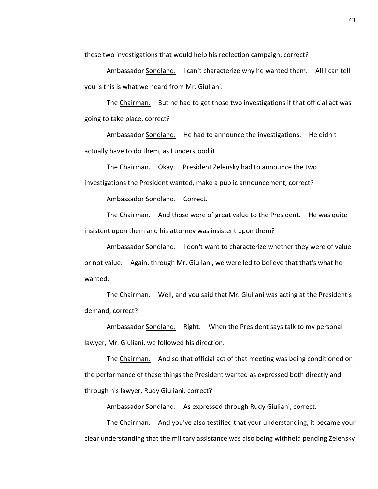these two investigations that would help his reelection campaign, correct?

Ambassador Sondland. I can't characterize why he wanted them. All I can tell you is this is what we heard from Mr. Giuliani.

The Chairman. But he had to get those two investigations if that official act was going to take place, correct?

Ambassador Sondland. He had to announce the investigations. He didn't actually have to do them, as I understood it.

The Chairman. Okay. President Zelensky had to announce the two investigations the President wanted, make a public announcement, correct?

Ambassador Sondland. Correct.

The Chairman. And those were of great value to the President. He was quite insistent upon them and his attorney was insistent upon them?

Ambassador Sondland. I don't want to characterize whether they were of value or not value. Again, through Mr. Giuliani, we were led to believe that that's what he wanted.

The Chairman. Well, and you said that Mr. Giuliani was acting at the President's demand, correct?

Ambassador Sondland. Right. When the President says talk to my personal lawyer, Mr. Giuliani, we followed his direction.

The Chairman. And so that official act of that meeting was being conditioned on the performance of these things the President wanted as expressed both directly and through his lawyer, Rudy Giuliani, correct?

Ambassador Sondland. As expressed through Rudy Giuliani, correct.

The Chairman. And you've also testified that your understanding, it became your clear understanding that the military assistance was also being withheld pending Zelensky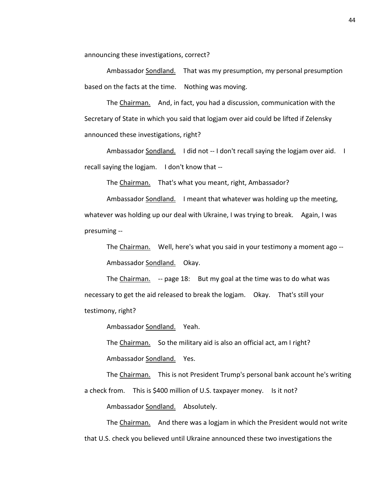announcing these investigations, correct?

Ambassador Sondland. That was my presumption, my personal presumption based on the facts at the time. Nothing was moving.

The Chairman. And, in fact, you had a discussion, communication with the Secretary of State in which you said that logjam over aid could be lifted if Zelensky announced these investigations, right?

Ambassador Sondland. I did not -- I don't recall saying the logjam over aid. I recall saying the logjam. I don't know that --

The Chairman. That's what you meant, right, Ambassador?

Ambassador Sondland. I meant that whatever was holding up the meeting, whatever was holding up our deal with Ukraine, I was trying to break. Again, I was presuming --

The Chairman. Well, here's what you said in your testimony a moment ago -- Ambassador Sondland. Okay.

The Chairman. -- page 18: But my goal at the time was to do what was necessary to get the aid released to break the logjam. Okay. That's still your testimony, right?

Ambassador Sondland. Yeah.

The Chairman. So the military aid is also an official act, am I right? Ambassador Sondland. Yes.

The Chairman. This is not President Trump's personal bank account he's writing a check from. This is \$400 million of U.S. taxpayer money. Is it not?

Ambassador Sondland. Absolutely.

The Chairman. And there was a logjam in which the President would not write that U.S. check you believed until Ukraine announced these two investigations the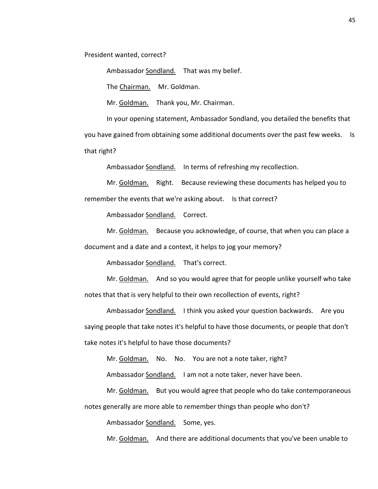President wanted, correct?

Ambassador Sondland. That was my belief.

The Chairman. Mr. Goldman.

Mr. Goldman. Thank you, Mr. Chairman.

In your opening statement, Ambassador Sondland, you detailed the benefits that you have gained from obtaining some additional documents over the past few weeks. Is that right?

Ambassador Sondland. In terms of refreshing my recollection.

Mr. Goldman. Right. Because reviewing these documents has helped you to remember the events that we're asking about. Is that correct?

Ambassador Sondland. Correct.

Mr. Goldman. Because you acknowledge, of course, that when you can place a document and a date and a context, it helps to jog your memory?

Ambassador Sondland. That's correct.

Mr. Goldman. And so you would agree that for people unlike yourself who take notes that that is very helpful to their own recollection of events, right?

Ambassador Sondland. I think you asked your question backwards. Are you saying people that take notes it's helpful to have those documents, or people that don't take notes it's helpful to have those documents?

Mr. Goldman. No. No. You are not a note taker, right?

Ambassador Sondland. I am not a note taker, never have been.

Mr. Goldman. But you would agree that people who do take contemporaneous notes generally are more able to remember things than people who don't?

Ambassador Sondland. Some, yes.

Mr. Goldman. And there are additional documents that you've been unable to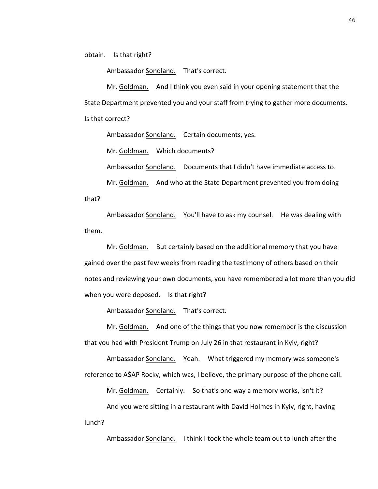obtain. Is that right?

Ambassador Sondland. That's correct.

Mr. Goldman. And I think you even said in your opening statement that the State Department prevented you and your staff from trying to gather more documents. Is that correct?

Ambassador Sondland. Certain documents, yes.

Mr. Goldman. Which documents?

Ambassador Sondland. Documents that I didn't have immediate access to.

Mr. Goldman. And who at the State Department prevented you from doing that?

Ambassador Sondland. You'll have to ask my counsel. He was dealing with them.

Mr. Goldman. But certainly based on the additional memory that you have gained over the past few weeks from reading the testimony of others based on their notes and reviewing your own documents, you have remembered a lot more than you did when you were deposed. Is that right?

Ambassador Sondland. That's correct.

Mr. Goldman. And one of the things that you now remember is the discussion that you had with President Trump on July 26 in that restaurant in Kyiv, right?

Ambassador Sondland. Yeah. What triggered my memory was someone's reference to A\$AP Rocky, which was, I believe, the primary purpose of the phone call.

Mr. Goldman. Certainly. So that's one way a memory works, isn't it?

And you were sitting in a restaurant with David Holmes in Kyiv, right, having lunch?

Ambassador Sondland. I think I took the whole team out to lunch after the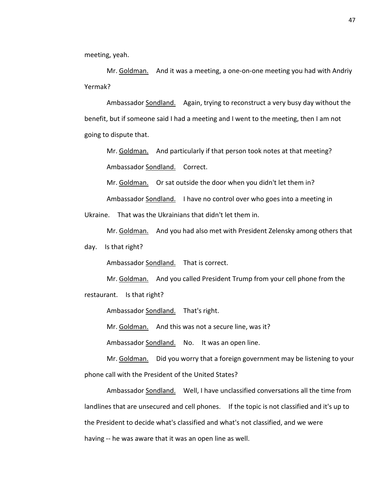meeting, yeah.

Mr. Goldman. And it was a meeting, a one-on-one meeting you had with Andriy Yermak?

Ambassador Sondland. Again, trying to reconstruct a very busy day without the benefit, but if someone said I had a meeting and I went to the meeting, then I am not going to dispute that.

Mr. Goldman. And particularly if that person took notes at that meeting? Ambassador Sondland. Correct.

Mr. Goldman. Or sat outside the door when you didn't let them in?

Ambassador Sondland. I have no control over who goes into a meeting in

Ukraine. That was the Ukrainians that didn't let them in.

Mr. Goldman. And you had also met with President Zelensky among others that

day. Is that right?

Ambassador Sondland. That is correct.

Mr. Goldman. And you called President Trump from your cell phone from the restaurant. Is that right?

Ambassador Sondland. That's right.

Mr. Goldman. And this was not a secure line, was it?

Ambassador Sondland. No. It was an open line.

Mr. Goldman. Did you worry that a foreign government may be listening to your phone call with the President of the United States?

Ambassador Sondland. Well, I have unclassified conversations all the time from landlines that are unsecured and cell phones. If the topic is not classified and it's up to the President to decide what's classified and what's not classified, and we were having -- he was aware that it was an open line as well.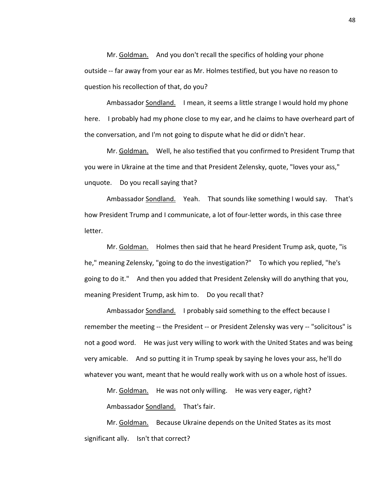Mr. Goldman. And you don't recall the specifics of holding your phone outside -- far away from your ear as Mr. Holmes testified, but you have no reason to question his recollection of that, do you?

Ambassador Sondland. I mean, it seems a little strange I would hold my phone here. I probably had my phone close to my ear, and he claims to have overheard part of the conversation, and I'm not going to dispute what he did or didn't hear.

Mr. Goldman. Well, he also testified that you confirmed to President Trump that you were in Ukraine at the time and that President Zelensky, quote, "loves your ass," unquote. Do you recall saying that?

Ambassador Sondland. Yeah. That sounds like something I would say. That's how President Trump and I communicate, a lot of four-letter words, in this case three letter.

Mr. Goldman. Holmes then said that he heard President Trump ask, quote, "is he," meaning Zelensky, "going to do the investigation?" To which you replied, "he's going to do it." And then you added that President Zelensky will do anything that you, meaning President Trump, ask him to. Do you recall that?

Ambassador Sondland. I probably said something to the effect because I remember the meeting -- the President -- or President Zelensky was very -- "solicitous" is not a good word. He was just very willing to work with the United States and was being very amicable. And so putting it in Trump speak by saying he loves your ass, he'll do whatever you want, meant that he would really work with us on a whole host of issues.

Mr. Goldman. He was not only willing. He was very eager, right? Ambassador Sondland. That's fair.

Mr. Goldman. Because Ukraine depends on the United States as its most significant ally. Isn't that correct?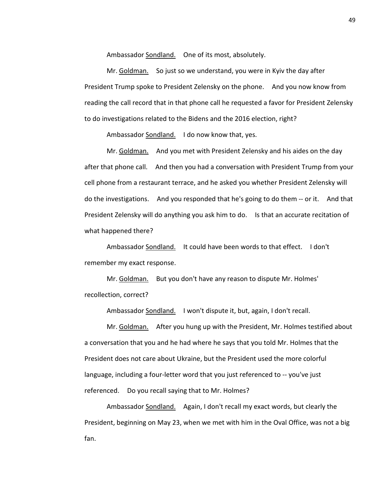Ambassador Sondland. One of its most, absolutely.

Mr. Goldman. So just so we understand, you were in Kyiv the day after President Trump spoke to President Zelensky on the phone. And you now know from reading the call record that in that phone call he requested a favor for President Zelensky to do investigations related to the Bidens and the 2016 election, right?

Ambassador Sondland. I do now know that, yes.

Mr. Goldman. And you met with President Zelensky and his aides on the day after that phone call. And then you had a conversation with President Trump from your cell phone from a restaurant terrace, and he asked you whether President Zelensky will do the investigations. And you responded that he's going to do them -- or it. And that President Zelensky will do anything you ask him to do. Is that an accurate recitation of what happened there?

Ambassador Sondland. It could have been words to that effect. I don't remember my exact response.

Mr. Goldman. But you don't have any reason to dispute Mr. Holmes' recollection, correct?

Ambassador Sondland. I won't dispute it, but, again, I don't recall.

Mr. Goldman. After you hung up with the President, Mr. Holmes testified about a conversation that you and he had where he says that you told Mr. Holmes that the President does not care about Ukraine, but the President used the more colorful language, including a four-letter word that you just referenced to -- you've just referenced. Do you recall saying that to Mr. Holmes?

Ambassador Sondland. Again, I don't recall my exact words, but clearly the President, beginning on May 23, when we met with him in the Oval Office, was not a big fan.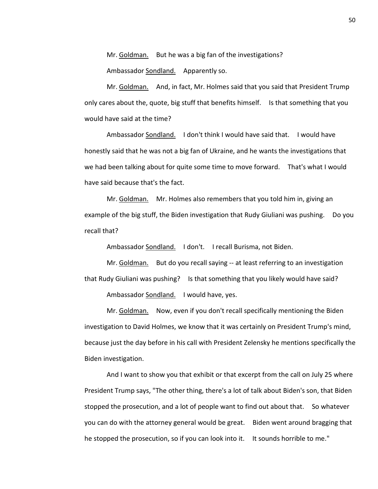Mr. Goldman. But he was a big fan of the investigations?

Ambassador Sondland. Apparently so.

Mr. Goldman. And, in fact, Mr. Holmes said that you said that President Trump only cares about the, quote, big stuff that benefits himself. Is that something that you would have said at the time?

Ambassador Sondland. I don't think I would have said that. I would have honestly said that he was not a big fan of Ukraine, and he wants the investigations that we had been talking about for quite some time to move forward. That's what I would have said because that's the fact.

Mr. Goldman. Mr. Holmes also remembers that you told him in, giving an example of the big stuff, the Biden investigation that Rudy Giuliani was pushing. Do you recall that?

Ambassador Sondland. I don't. I recall Burisma, not Biden.

Mr. Goldman. But do you recall saying -- at least referring to an investigation that Rudy Giuliani was pushing? Is that something that you likely would have said?

Ambassador Sondland. I would have, yes.

Mr. Goldman. Now, even if you don't recall specifically mentioning the Biden investigation to David Holmes, we know that it was certainly on President Trump's mind, because just the day before in his call with President Zelensky he mentions specifically the Biden investigation.

And I want to show you that exhibit or that excerpt from the call on July 25 where President Trump says, "The other thing, there's a lot of talk about Biden's son, that Biden stopped the prosecution, and a lot of people want to find out about that. So whatever you can do with the attorney general would be great. Biden went around bragging that he stopped the prosecution, so if you can look into it. It sounds horrible to me."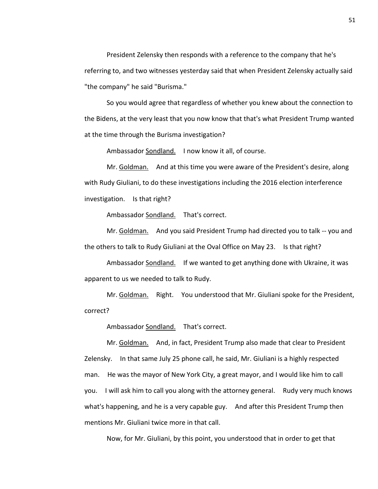President Zelensky then responds with a reference to the company that he's referring to, and two witnesses yesterday said that when President Zelensky actually said "the company" he said "Burisma."

So you would agree that regardless of whether you knew about the connection to the Bidens, at the very least that you now know that that's what President Trump wanted at the time through the Burisma investigation?

Ambassador Sondland. I now know it all, of course.

Mr. Goldman. And at this time you were aware of the President's desire, along with Rudy Giuliani, to do these investigations including the 2016 election interference investigation. Is that right?

Ambassador Sondland. That's correct.

Mr. Goldman. And you said President Trump had directed you to talk -- you and the others to talk to Rudy Giuliani at the Oval Office on May 23. Is that right?

Ambassador Sondland. If we wanted to get anything done with Ukraine, it was apparent to us we needed to talk to Rudy.

Mr. Goldman. Right. You understood that Mr. Giuliani spoke for the President, correct?

Ambassador Sondland. That's correct.

Mr. Goldman. And, in fact, President Trump also made that clear to President Zelensky. In that same July 25 phone call, he said, Mr. Giuliani is a highly respected man. He was the mayor of New York City, a great mayor, and I would like him to call you. I will ask him to call you along with the attorney general. Rudy very much knows what's happening, and he is a very capable guy. And after this President Trump then mentions Mr. Giuliani twice more in that call.

Now, for Mr. Giuliani, by this point, you understood that in order to get that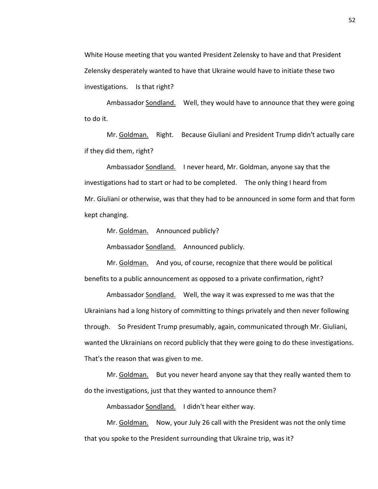White House meeting that you wanted President Zelensky to have and that President Zelensky desperately wanted to have that Ukraine would have to initiate these two investigations. Is that right?

Ambassador Sondland. Well, they would have to announce that they were going to do it.

Mr. Goldman. Right. Because Giuliani and President Trump didn't actually care if they did them, right?

Ambassador Sondland. I never heard, Mr. Goldman, anyone say that the investigations had to start or had to be completed. The only thing I heard from Mr. Giuliani or otherwise, was that they had to be announced in some form and that form kept changing.

Mr. Goldman. Announced publicly?

Ambassador Sondland. Announced publicly.

Mr. Goldman. And you, of course, recognize that there would be political benefits to a public announcement as opposed to a private confirmation, right?

Ambassador Sondland. Well, the way it was expressed to me was that the Ukrainians had a long history of committing to things privately and then never following through. So President Trump presumably, again, communicated through Mr. Giuliani, wanted the Ukrainians on record publicly that they were going to do these investigations. That's the reason that was given to me.

Mr. Goldman. But you never heard anyone say that they really wanted them to do the investigations, just that they wanted to announce them?

Ambassador Sondland. I didn't hear either way.

Mr. Goldman. Now, your July 26 call with the President was not the only time that you spoke to the President surrounding that Ukraine trip, was it?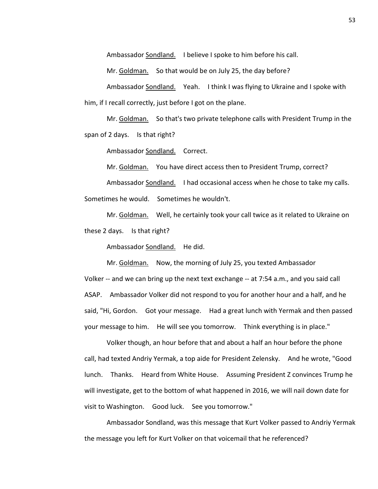Ambassador Sondland. I believe I spoke to him before his call.

Mr. Goldman. So that would be on July 25, the day before?

Ambassador Sondland. Yeah. I think I was flying to Ukraine and I spoke with him, if I recall correctly, just before I got on the plane.

Mr. Goldman. So that's two private telephone calls with President Trump in the span of 2 days. Is that right?

Ambassador Sondland. Correct.

Mr. Goldman. You have direct access then to President Trump, correct?

Ambassador Sondland. I had occasional access when he chose to take my calls. Sometimes he would. Sometimes he wouldn't.

Mr. Goldman. Well, he certainly took your call twice as it related to Ukraine on these 2 days. Is that right?

Ambassador Sondland. He did.

Mr. Goldman. Now, the morning of July 25, you texted Ambassador

Volker -- and we can bring up the next text exchange -- at 7:54 a.m., and you said call ASAP. Ambassador Volker did not respond to you for another hour and a half, and he said, "Hi, Gordon. Got your message. Had a great lunch with Yermak and then passed your message to him. He will see you tomorrow. Think everything is in place."

Volker though, an hour before that and about a half an hour before the phone call, had texted Andriy Yermak, a top aide for President Zelensky. And he wrote, "Good lunch. Thanks. Heard from White House. Assuming President Z convinces Trump he will investigate, get to the bottom of what happened in 2016, we will nail down date for visit to Washington. Good luck. See you tomorrow."

Ambassador Sondland, was this message that Kurt Volker passed to Andriy Yermak the message you left for Kurt Volker on that voicemail that he referenced?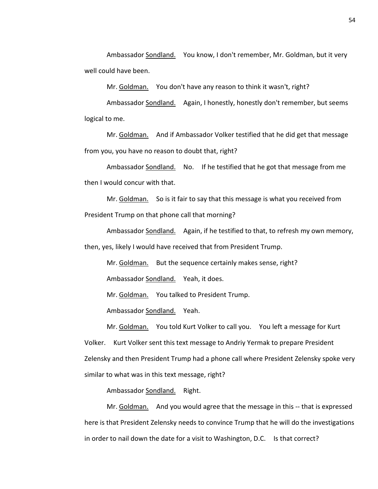Ambassador Sondland. You know, I don't remember, Mr. Goldman, but it very well could have been.

Mr. Goldman. You don't have any reason to think it wasn't, right?

Ambassador Sondland. Again, I honestly, honestly don't remember, but seems logical to me.

Mr. Goldman. And if Ambassador Volker testified that he did get that message from you, you have no reason to doubt that, right?

Ambassador Sondland. No. If he testified that he got that message from me then I would concur with that.

Mr. Goldman. So is it fair to say that this message is what you received from President Trump on that phone call that morning?

Ambassador Sondland. Again, if he testified to that, to refresh my own memory, then, yes, likely I would have received that from President Trump.

Mr. Goldman. But the sequence certainly makes sense, right?

Ambassador Sondland. Yeah, it does.

Mr. Goldman. You talked to President Trump.

Ambassador Sondland. Yeah.

Mr. Goldman. You told Kurt Volker to call you. You left a message for Kurt Volker. Kurt Volker sent this text message to Andriy Yermak to prepare President Zelensky and then President Trump had a phone call where President Zelensky spoke very similar to what was in this text message, right?

Ambassador Sondland. Right.

Mr. Goldman. And you would agree that the message in this -- that is expressed here is that President Zelensky needs to convince Trump that he will do the investigations in order to nail down the date for a visit to Washington, D.C. Is that correct?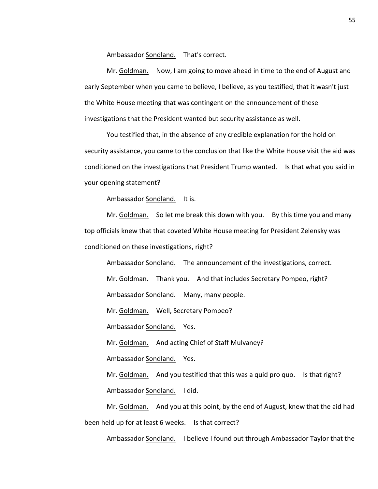Ambassador Sondland. That's correct.

Mr. Goldman. Now, I am going to move ahead in time to the end of August and early September when you came to believe, I believe, as you testified, that it wasn't just the White House meeting that was contingent on the announcement of these investigations that the President wanted but security assistance as well.

You testified that, in the absence of any credible explanation for the hold on security assistance, you came to the conclusion that like the White House visit the aid was conditioned on the investigations that President Trump wanted. Is that what you said in your opening statement?

Ambassador Sondland. It is.

Mr. Goldman. So let me break this down with you. By this time you and many top officials knew that that coveted White House meeting for President Zelensky was conditioned on these investigations, right?

Ambassador Sondland. The announcement of the investigations, correct.

Mr. Goldman. Thank you. And that includes Secretary Pompeo, right?

Ambassador Sondland. Many, many people.

Mr. Goldman. Well, Secretary Pompeo?

Ambassador Sondland. Yes.

Mr. Goldman. And acting Chief of Staff Mulvaney?

Ambassador Sondland. Yes.

Mr. Goldman. And you testified that this was a quid pro quo. Is that right? Ambassador Sondland. I did.

Mr. Goldman. And you at this point, by the end of August, knew that the aid had been held up for at least 6 weeks. Is that correct?

Ambassador Sondland. I believe I found out through Ambassador Taylor that the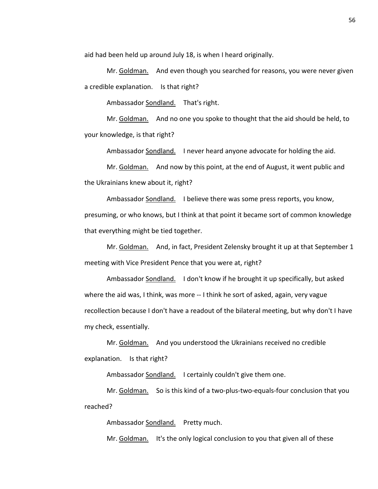aid had been held up around July 18, is when I heard originally.

Mr. Goldman. And even though you searched for reasons, you were never given a credible explanation. Is that right?

Ambassador Sondland. That's right.

Mr. Goldman. And no one you spoke to thought that the aid should be held, to your knowledge, is that right?

Ambassador Sondland. I never heard anyone advocate for holding the aid.

Mr. Goldman. And now by this point, at the end of August, it went public and the Ukrainians knew about it, right?

Ambassador Sondland. I believe there was some press reports, you know, presuming, or who knows, but I think at that point it became sort of common knowledge that everything might be tied together.

Mr. Goldman. And, in fact, President Zelensky brought it up at that September 1 meeting with Vice President Pence that you were at, right?

Ambassador Sondland. I don't know if he brought it up specifically, but asked where the aid was, I think, was more -- I think he sort of asked, again, very vague recollection because I don't have a readout of the bilateral meeting, but why don't I have my check, essentially.

Mr. Goldman. And you understood the Ukrainians received no credible explanation. Is that right?

Ambassador Sondland. I certainly couldn't give them one.

Mr. Goldman. So is this kind of a two-plus-two-equals-four conclusion that you reached?

Ambassador Sondland. Pretty much.

Mr. Goldman. It's the only logical conclusion to you that given all of these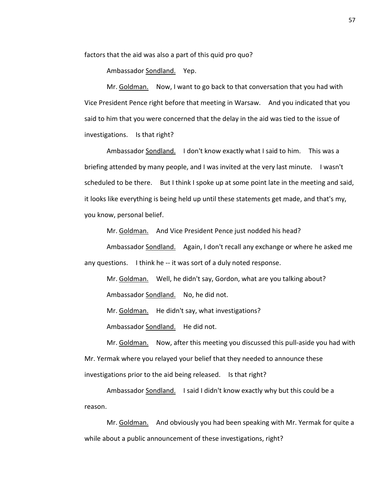factors that the aid was also a part of this quid pro quo?

Ambassador Sondland. Yep.

Mr. Goldman. Now, I want to go back to that conversation that you had with Vice President Pence right before that meeting in Warsaw. And you indicated that you said to him that you were concerned that the delay in the aid was tied to the issue of investigations. Is that right?

Ambassador Sondland. I don't know exactly what I said to him. This was a briefing attended by many people, and I was invited at the very last minute. I wasn't scheduled to be there. But I think I spoke up at some point late in the meeting and said, it looks like everything is being held up until these statements get made, and that's my, you know, personal belief.

Mr. Goldman. And Vice President Pence just nodded his head?

Ambassador Sondland. Again, I don't recall any exchange or where he asked me any questions. I think he -- it was sort of a duly noted response.

Mr. Goldman. Well, he didn't say, Gordon, what are you talking about?

Ambassador Sondland. No, he did not.

Mr. Goldman. He didn't say, what investigations?

Ambassador Sondland. He did not.

Mr. Goldman. Now, after this meeting you discussed this pull-aside you had with Mr. Yermak where you relayed your belief that they needed to announce these investigations prior to the aid being released. Is that right?

Ambassador Sondland. I said I didn't know exactly why but this could be a reason.

Mr. Goldman. And obviously you had been speaking with Mr. Yermak for quite a while about a public announcement of these investigations, right?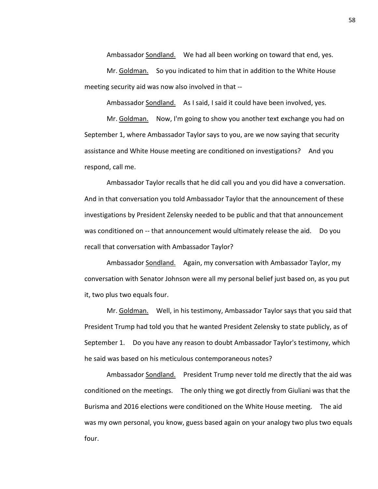Ambassador Sondland. We had all been working on toward that end, yes.

Mr. Goldman. So you indicated to him that in addition to the White House meeting security aid was now also involved in that --

Ambassador Sondland. As I said, I said it could have been involved, yes.

Mr. Goldman. Now, I'm going to show you another text exchange you had on September 1, where Ambassador Taylor says to you, are we now saying that security assistance and White House meeting are conditioned on investigations? And you respond, call me.

Ambassador Taylor recalls that he did call you and you did have a conversation. And in that conversation you told Ambassador Taylor that the announcement of these investigations by President Zelensky needed to be public and that that announcement was conditioned on -- that announcement would ultimately release the aid. Do you recall that conversation with Ambassador Taylor?

Ambassador Sondland. Again, my conversation with Ambassador Taylor, my conversation with Senator Johnson were all my personal belief just based on, as you put it, two plus two equals four.

Mr. Goldman. Well, in his testimony, Ambassador Taylor says that you said that President Trump had told you that he wanted President Zelensky to state publicly, as of September 1. Do you have any reason to doubt Ambassador Taylor's testimony, which he said was based on his meticulous contemporaneous notes?

Ambassador Sondland. President Trump never told me directly that the aid was conditioned on the meetings. The only thing we got directly from Giuliani was that the Burisma and 2016 elections were conditioned on the White House meeting. The aid was my own personal, you know, guess based again on your analogy two plus two equals four.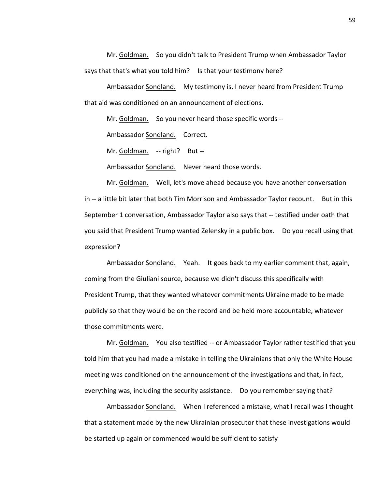Mr. Goldman. So you didn't talk to President Trump when Ambassador Taylor says that that's what you told him? Is that your testimony here?

Ambassador Sondland. My testimony is, I never heard from President Trump that aid was conditioned on an announcement of elections.

Mr. Goldman. So you never heard those specific words --

Ambassador Sondland. Correct.

Mr. Goldman. -- right? But --

Ambassador Sondland. Never heard those words.

Mr. Goldman. Well, let's move ahead because you have another conversation in -- a little bit later that both Tim Morrison and Ambassador Taylor recount. But in this September 1 conversation, Ambassador Taylor also says that -- testified under oath that you said that President Trump wanted Zelensky in a public box. Do you recall using that expression?

Ambassador Sondland. Yeah. It goes back to my earlier comment that, again, coming from the Giuliani source, because we didn't discuss this specifically with President Trump, that they wanted whatever commitments Ukraine made to be made publicly so that they would be on the record and be held more accountable, whatever those commitments were.

Mr. Goldman. You also testified -- or Ambassador Taylor rather testified that you told him that you had made a mistake in telling the Ukrainians that only the White House meeting was conditioned on the announcement of the investigations and that, in fact, everything was, including the security assistance. Do you remember saying that?

Ambassador Sondland. When I referenced a mistake, what I recall was I thought that a statement made by the new Ukrainian prosecutor that these investigations would be started up again or commenced would be sufficient to satisfy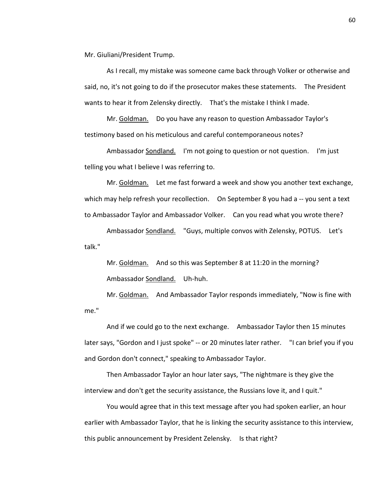Mr. Giuliani/President Trump.

As I recall, my mistake was someone came back through Volker or otherwise and said, no, it's not going to do if the prosecutor makes these statements. The President wants to hear it from Zelensky directly. That's the mistake I think I made.

Mr. Goldman. Do you have any reason to question Ambassador Taylor's testimony based on his meticulous and careful contemporaneous notes?

Ambassador Sondland. I'm not going to question or not question. I'm just telling you what I believe I was referring to.

Mr. Goldman. Let me fast forward a week and show you another text exchange, which may help refresh your recollection. On September 8 you had a -- you sent a text to Ambassador Taylor and Ambassador Volker. Can you read what you wrote there?

Ambassador Sondland. "Guys, multiple convos with Zelensky, POTUS. Let's talk."

Mr. Goldman. And so this was September 8 at 11:20 in the morning? Ambassador Sondland. Uh-huh.

Mr. Goldman. And Ambassador Taylor responds immediately, "Now is fine with me."

And if we could go to the next exchange. Ambassador Taylor then 15 minutes later says, "Gordon and I just spoke" -- or 20 minutes later rather. "I can brief you if you and Gordon don't connect," speaking to Ambassador Taylor.

Then Ambassador Taylor an hour later says, "The nightmare is they give the interview and don't get the security assistance, the Russians love it, and I quit."

You would agree that in this text message after you had spoken earlier, an hour earlier with Ambassador Taylor, that he is linking the security assistance to this interview, this public announcement by President Zelensky. Is that right?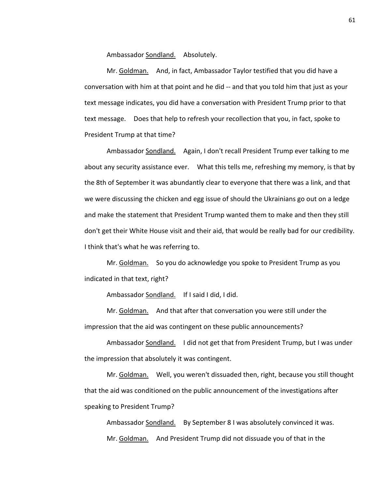Ambassador Sondland. Absolutely.

Mr. Goldman. And, in fact, Ambassador Taylor testified that you did have a conversation with him at that point and he did -- and that you told him that just as your text message indicates, you did have a conversation with President Trump prior to that text message. Does that help to refresh your recollection that you, in fact, spoke to President Trump at that time?

Ambassador Sondland. Again, I don't recall President Trump ever talking to me about any security assistance ever. What this tells me, refreshing my memory, is that by the 8th of September it was abundantly clear to everyone that there was a link, and that we were discussing the chicken and egg issue of should the Ukrainians go out on a ledge and make the statement that President Trump wanted them to make and then they still don't get their White House visit and their aid, that would be really bad for our credibility. I think that's what he was referring to.

Mr. Goldman. So you do acknowledge you spoke to President Trump as you indicated in that text, right?

Ambassador Sondland. If I said I did, I did.

Mr. Goldman. And that after that conversation you were still under the impression that the aid was contingent on these public announcements?

Ambassador Sondland. I did not get that from President Trump, but I was under the impression that absolutely it was contingent.

Mr. Goldman. Well, you weren't dissuaded then, right, because you still thought that the aid was conditioned on the public announcement of the investigations after speaking to President Trump?

Ambassador Sondland. By September 8 I was absolutely convinced it was. Mr. Goldman. And President Trump did not dissuade you of that in the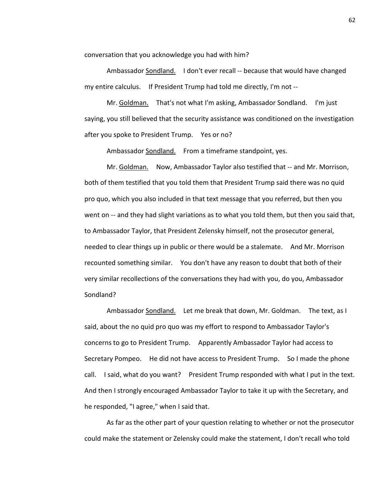conversation that you acknowledge you had with him?

Ambassador Sondland. I don't ever recall -- because that would have changed my entire calculus. If President Trump had told me directly, I'm not --

Mr. Goldman. That's not what I'm asking, Ambassador Sondland. I'm just saying, you still believed that the security assistance was conditioned on the investigation after you spoke to President Trump. Yes or no?

Ambassador Sondland. From a timeframe standpoint, yes.

Mr. Goldman. Now, Ambassador Taylor also testified that -- and Mr. Morrison, both of them testified that you told them that President Trump said there was no quid pro quo, which you also included in that text message that you referred, but then you went on -- and they had slight variations as to what you told them, but then you said that, to Ambassador Taylor, that President Zelensky himself, not the prosecutor general, needed to clear things up in public or there would be a stalemate. And Mr. Morrison recounted something similar. You don't have any reason to doubt that both of their very similar recollections of the conversations they had with you, do you, Ambassador Sondland?

Ambassador Sondland. Let me break that down, Mr. Goldman. The text, as I said, about the no quid pro quo was my effort to respond to Ambassador Taylor's concerns to go to President Trump. Apparently Ambassador Taylor had access to Secretary Pompeo. He did not have access to President Trump. So I made the phone call. I said, what do you want? President Trump responded with what I put in the text. And then I strongly encouraged Ambassador Taylor to take it up with the Secretary, and he responded, "I agree," when I said that.

As far as the other part of your question relating to whether or not the prosecutor could make the statement or Zelensky could make the statement, I don't recall who told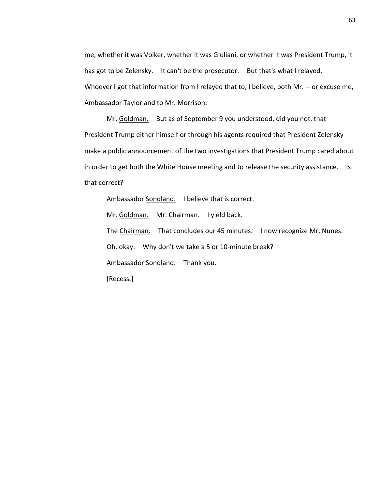me, whether it was Volker, whether it was Giuliani, or whether it was President Trump, it has got to be Zelensky. It can't be the prosecutor. But that's what I relayed. Whoever I got that information from I relayed that to, I believe, both Mr. -- or excuse me, Ambassador Taylor and to Mr. Morrison.

Mr. Goldman. But as of September 9 you understood, did you not, that President Trump either himself or through his agents required that President Zelensky make a public announcement of the two investigations that President Trump cared about in order to get both the White House meeting and to release the security assistance. Is that correct?

Ambassador Sondland. I believe that is correct.

Mr. Goldman. Mr. Chairman. I yield back.

The Chairman. That concludes our 45 minutes. I now recognize Mr. Nunes.

Oh, okay. Why don't we take a 5 or 10-minute break?

Ambassador Sondland. Thank you.

[Recess.]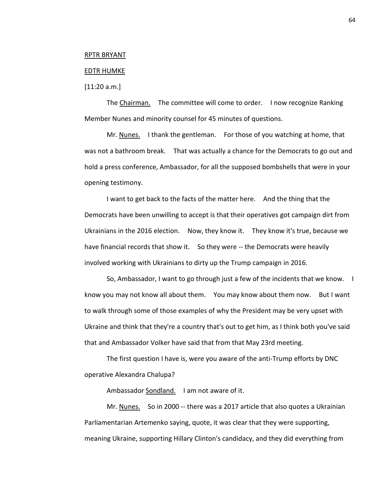## RPTR BRYANT

## EDTR HUMKE

[11:20 a.m.]

The Chairman. The committee will come to order. I now recognize Ranking Member Nunes and minority counsel for 45 minutes of questions.

Mr. Nunes. I thank the gentleman. For those of you watching at home, that was not a bathroom break. That was actually a chance for the Democrats to go out and hold a press conference, Ambassador, for all the supposed bombshells that were in your opening testimony.

I want to get back to the facts of the matter here. And the thing that the Democrats have been unwilling to accept is that their operatives got campaign dirt from Ukrainians in the 2016 election. Now, they know it. They know it's true, because we have financial records that show it. So they were -- the Democrats were heavily involved working with Ukrainians to dirty up the Trump campaign in 2016.

So, Ambassador, I want to go through just a few of the incidents that we know. I know you may not know all about them. You may know about them now. But I want to walk through some of those examples of why the President may be very upset with Ukraine and think that they're a country that's out to get him, as I think both you've said that and Ambassador Volker have said that from that May 23rd meeting.

The first question I have is, were you aware of the anti-Trump efforts by DNC operative Alexandra Chalupa?

Ambassador Sondland. I am not aware of it.

Mr. Nunes. So in 2000 -- there was a 2017 article that also quotes a Ukrainian Parliamentarian Artemenko saying, quote, it was clear that they were supporting, meaning Ukraine, supporting Hillary Clinton's candidacy, and they did everything from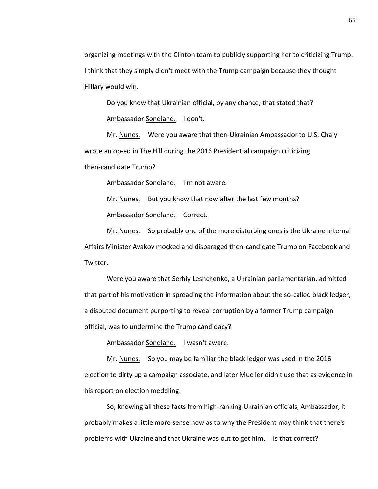organizing meetings with the Clinton team to publicly supporting her to criticizing Trump. I think that they simply didn't meet with the Trump campaign because they thought Hillary would win.

Do you know that Ukrainian official, by any chance, that stated that?

Ambassador Sondland. I don't.

Mr. Nunes. Were you aware that then-Ukrainian Ambassador to U.S. Chaly wrote an op-ed in The Hill during the 2016 Presidential campaign criticizing then-candidate Trump?

Ambassador Sondland. I'm not aware.

Mr. Nunes. But you know that now after the last few months? Ambassador Sondland. Correct.

Mr. Nunes. So probably one of the more disturbing ones is the Ukraine Internal Affairs Minister Avakov mocked and disparaged then-candidate Trump on Facebook and Twitter.

Were you aware that Serhiy Leshchenko, a Ukrainian parliamentarian, admitted that part of his motivation in spreading the information about the so-called black ledger, a disputed document purporting to reveal corruption by a former Trump campaign official, was to undermine the Trump candidacy?

Ambassador Sondland. I wasn't aware.

Mr. Nunes. So you may be familiar the black ledger was used in the 2016 election to dirty up a campaign associate, and later Mueller didn't use that as evidence in his report on election meddling.

So, knowing all these facts from high-ranking Ukrainian officials, Ambassador, it probably makes a little more sense now as to why the President may think that there's problems with Ukraine and that Ukraine was out to get him. Is that correct?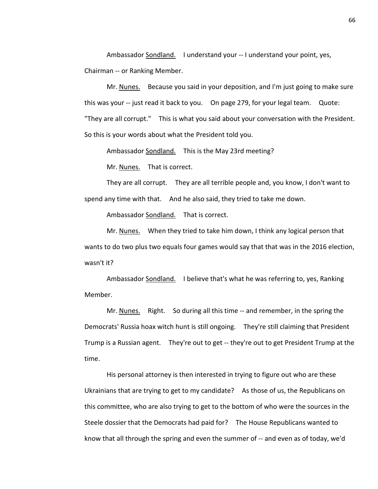Ambassador Sondland. I understand your -- I understand your point, yes, Chairman -- or Ranking Member.

Mr. Nunes. Because you said in your deposition, and I'm just going to make sure this was your -- just read it back to you. On page 279, for your legal team. Quote: "They are all corrupt." This is what you said about your conversation with the President. So this is your words about what the President told you.

Ambassador Sondland. This is the May 23rd meeting?

Mr. Nunes. That is correct.

They are all corrupt. They are all terrible people and, you know, I don't want to spend any time with that. And he also said, they tried to take me down.

Ambassador Sondland. That is correct.

Mr. Nunes. When they tried to take him down, I think any logical person that wants to do two plus two equals four games would say that that was in the 2016 election, wasn't it?

Ambassador Sondland. I believe that's what he was referring to, yes, Ranking Member.

Mr. Nunes. Right. So during all this time -- and remember, in the spring the Democrats' Russia hoax witch hunt is still ongoing. They're still claiming that President Trump is a Russian agent. They're out to get -- they're out to get President Trump at the time.

His personal attorney is then interested in trying to figure out who are these Ukrainians that are trying to get to my candidate? As those of us, the Republicans on this committee, who are also trying to get to the bottom of who were the sources in the Steele dossier that the Democrats had paid for? The House Republicans wanted to know that all through the spring and even the summer of -- and even as of today, we'd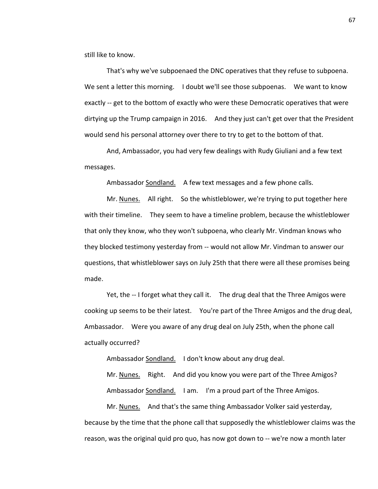still like to know.

That's why we've subpoenaed the DNC operatives that they refuse to subpoena. We sent a letter this morning. I doubt we'll see those subpoenas. We want to know exactly -- get to the bottom of exactly who were these Democratic operatives that were dirtying up the Trump campaign in 2016. And they just can't get over that the President would send his personal attorney over there to try to get to the bottom of that.

And, Ambassador, you had very few dealings with Rudy Giuliani and a few text messages.

Ambassador Sondland. A few text messages and a few phone calls.

Mr. Nunes. All right. So the whistleblower, we're trying to put together here with their timeline. They seem to have a timeline problem, because the whistleblower that only they know, who they won't subpoena, who clearly Mr. Vindman knows who they blocked testimony yesterday from -- would not allow Mr. Vindman to answer our questions, that whistleblower says on July 25th that there were all these promises being made.

Yet, the -- I forget what they call it. The drug deal that the Three Amigos were cooking up seems to be their latest. You're part of the Three Amigos and the drug deal, Ambassador. Were you aware of any drug deal on July 25th, when the phone call actually occurred?

Ambassador Sondland. I don't know about any drug deal.

Mr. Nunes. Right. And did you know you were part of the Three Amigos? Ambassador Sondland. I am. I'm a proud part of the Three Amigos.

Mr. Nunes. And that's the same thing Ambassador Volker said yesterday, because by the time that the phone call that supposedly the whistleblower claims was the reason, was the original quid pro quo, has now got down to -- we're now a month later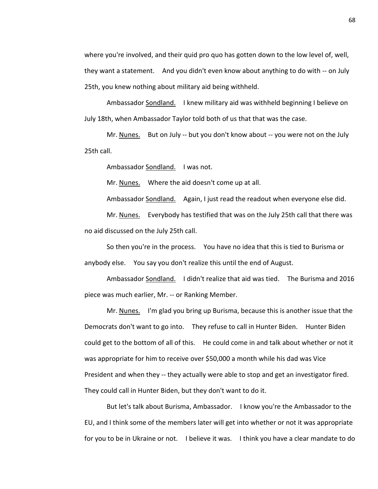where you're involved, and their quid pro quo has gotten down to the low level of, well, they want a statement. And you didn't even know about anything to do with -- on July 25th, you knew nothing about military aid being withheld.

Ambassador Sondland. I knew military aid was withheld beginning I believe on July 18th, when Ambassador Taylor told both of us that that was the case.

Mr. Nunes. But on July -- but you don't know about -- you were not on the July 25th call.

Ambassador Sondland. I was not.

Mr. Nunes. Where the aid doesn't come up at all.

Ambassador Sondland. Again, I just read the readout when everyone else did.

Mr. Nunes. Everybody has testified that was on the July 25th call that there was no aid discussed on the July 25th call.

So then you're in the process. You have no idea that this is tied to Burisma or anybody else. You say you don't realize this until the end of August.

Ambassador Sondland. I didn't realize that aid was tied. The Burisma and 2016 piece was much earlier, Mr. -- or Ranking Member.

Mr. Nunes. I'm glad you bring up Burisma, because this is another issue that the Democrats don't want to go into. They refuse to call in Hunter Biden. Hunter Biden could get to the bottom of all of this. He could come in and talk about whether or not it was appropriate for him to receive over \$50,000 a month while his dad was Vice President and when they -- they actually were able to stop and get an investigator fired. They could call in Hunter Biden, but they don't want to do it.

But let's talk about Burisma, Ambassador. I know you're the Ambassador to the EU, and I think some of the members later will get into whether or not it was appropriate for you to be in Ukraine or not. I believe it was. I think you have a clear mandate to do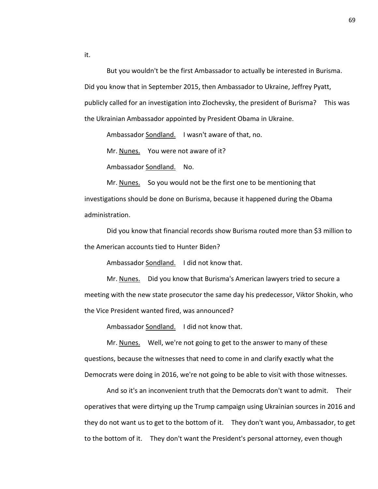But you wouldn't be the first Ambassador to actually be interested in Burisma. Did you know that in September 2015, then Ambassador to Ukraine, Jeffrey Pyatt, publicly called for an investigation into Zlochevsky, the president of Burisma? This was the Ukrainian Ambassador appointed by President Obama in Ukraine.

Ambassador Sondland. I wasn't aware of that, no.

Mr. Nunes. You were not aware of it?

Ambassador Sondland. No.

Mr. Nunes. So you would not be the first one to be mentioning that investigations should be done on Burisma, because it happened during the Obama administration.

Did you know that financial records show Burisma routed more than \$3 million to the American accounts tied to Hunter Biden?

Ambassador Sondland. I did not know that.

Mr. Nunes. Did you know that Burisma's American lawyers tried to secure a meeting with the new state prosecutor the same day his predecessor, Viktor Shokin, who the Vice President wanted fired, was announced?

Ambassador Sondland. I did not know that.

Mr. Nunes. Well, we're not going to get to the answer to many of these questions, because the witnesses that need to come in and clarify exactly what the Democrats were doing in 2016, we're not going to be able to visit with those witnesses.

And so it's an inconvenient truth that the Democrats don't want to admit. Their operatives that were dirtying up the Trump campaign using Ukrainian sources in 2016 and they do not want us to get to the bottom of it. They don't want you, Ambassador, to get to the bottom of it. They don't want the President's personal attorney, even though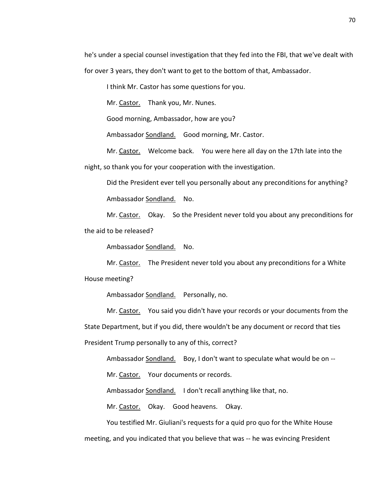he's under a special counsel investigation that they fed into the FBI, that we've dealt with for over 3 years, they don't want to get to the bottom of that, Ambassador.

I think Mr. Castor has some questions for you.

Mr. Castor. Thank you, Mr. Nunes.

Good morning, Ambassador, how are you?

Ambassador Sondland. Good morning, Mr. Castor.

Mr. Castor. Welcome back. You were here all day on the 17th late into the night, so thank you for your cooperation with the investigation.

Did the President ever tell you personally about any preconditions for anything? Ambassador Sondland. No.

Mr. Castor. Okay. So the President never told you about any preconditions for the aid to be released?

Ambassador Sondland. No.

Mr. Castor. The President never told you about any preconditions for a White House meeting?

Ambassador Sondland. Personally, no.

Mr. Castor. You said you didn't have your records or your documents from the State Department, but if you did, there wouldn't be any document or record that ties President Trump personally to any of this, correct?

Ambassador Sondland. Boy, I don't want to speculate what would be on --

Mr. Castor. Your documents or records.

Ambassador Sondland. I don't recall anything like that, no.

Mr. Castor. Okay. Good heavens. Okay.

You testified Mr. Giuliani's requests for a quid pro quo for the White House meeting, and you indicated that you believe that was -- he was evincing President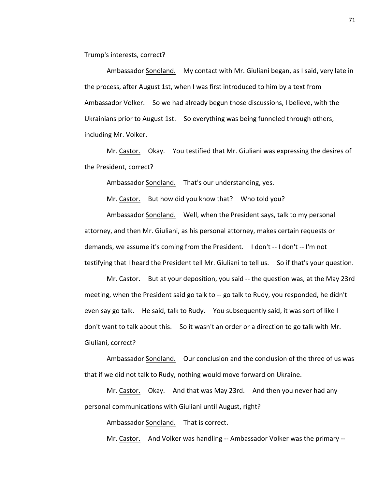Trump's interests, correct?

Ambassador Sondland. My contact with Mr. Giuliani began, as I said, very late in the process, after August 1st, when I was first introduced to him by a text from Ambassador Volker. So we had already begun those discussions, I believe, with the Ukrainians prior to August 1st. So everything was being funneled through others, including Mr. Volker.

Mr. Castor. Okay. You testified that Mr. Giuliani was expressing the desires of the President, correct?

Ambassador Sondland. That's our understanding, yes.

Mr. Castor. But how did you know that? Who told you?

Ambassador Sondland. Well, when the President says, talk to my personal attorney, and then Mr. Giuliani, as his personal attorney, makes certain requests or demands, we assume it's coming from the President. I don't -- I don't -- I'm not testifying that I heard the President tell Mr. Giuliani to tell us. So if that's your question.

Mr. Castor. But at your deposition, you said -- the question was, at the May 23rd meeting, when the President said go talk to -- go talk to Rudy, you responded, he didn't even say go talk. He said, talk to Rudy. You subsequently said, it was sort of like I don't want to talk about this. So it wasn't an order or a direction to go talk with Mr. Giuliani, correct?

Ambassador Sondland. Our conclusion and the conclusion of the three of us was that if we did not talk to Rudy, nothing would move forward on Ukraine.

Mr. Castor. Okay. And that was May 23rd. And then you never had any personal communications with Giuliani until August, right?

Ambassador Sondland. That is correct.

Mr. Castor. And Volker was handling -- Ambassador Volker was the primary --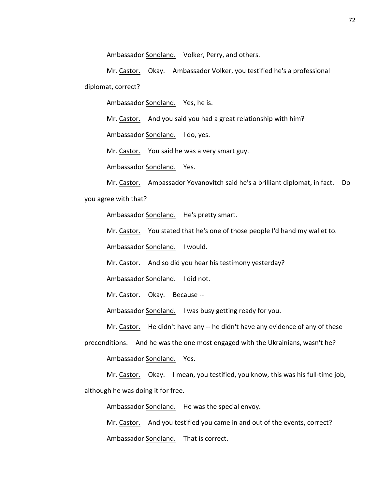Ambassador Sondland. Volker, Perry, and others.

Mr. Castor. Okay. Ambassador Volker, you testified he's a professional diplomat, correct?

Ambassador Sondland. Yes, he is.

Mr. Castor. And you said you had a great relationship with him?

Ambassador Sondland. I do, yes.

Mr. Castor. You said he was a very smart guy.

Ambassador Sondland. Yes.

Mr. Castor. Ambassador Yovanovitch said he's a brilliant diplomat, in fact. Do you agree with that?

Ambassador Sondland. He's pretty smart.

Mr. Castor. You stated that he's one of those people I'd hand my wallet to.

Ambassador Sondland. I would.

Mr. Castor. And so did you hear his testimony yesterday?

Ambassador Sondland. I did not.

Mr. Castor. Okay. Because --

Ambassador Sondland. I was busy getting ready for you.

Mr. Castor. He didn't have any -- he didn't have any evidence of any of these

preconditions. And he was the one most engaged with the Ukrainians, wasn't he?

Ambassador Sondland. Yes.

Mr. Castor. Okay. I mean, you testified, you know, this was his full-time job, although he was doing it for free.

Ambassador Sondland. He was the special envoy.

Mr. Castor. And you testified you came in and out of the events, correct? Ambassador Sondland. That is correct.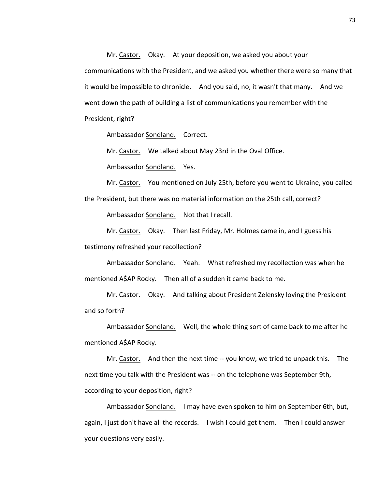Mr. Castor. Okay. At your deposition, we asked you about your communications with the President, and we asked you whether there were so many that it would be impossible to chronicle. And you said, no, it wasn't that many. And we went down the path of building a list of communications you remember with the President, right?

Ambassador Sondland. Correct.

Mr. Castor. We talked about May 23rd in the Oval Office.

Ambassador Sondland. Yes.

Mr. Castor. You mentioned on July 25th, before you went to Ukraine, you called the President, but there was no material information on the 25th call, correct?

Ambassador Sondland. Not that I recall.

Mr. Castor. Okay. Then last Friday, Mr. Holmes came in, and I guess his testimony refreshed your recollection?

Ambassador Sondland. Yeah. What refreshed my recollection was when he mentioned A\$AP Rocky. Then all of a sudden it came back to me.

Mr. Castor. Okay. And talking about President Zelensky loving the President and so forth?

Ambassador Sondland. Well, the whole thing sort of came back to me after he mentioned A\$AP Rocky.

Mr. Castor. And then the next time -- you know, we tried to unpack this. The next time you talk with the President was -- on the telephone was September 9th, according to your deposition, right?

Ambassador Sondland. I may have even spoken to him on September 6th, but, again, I just don't have all the records. I wish I could get them. Then I could answer your questions very easily.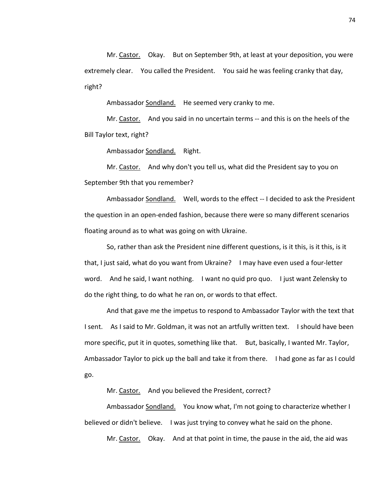Mr. Castor. Okay. But on September 9th, at least at your deposition, you were extremely clear. You called the President. You said he was feeling cranky that day, right?

Ambassador Sondland. He seemed very cranky to me.

Mr. Castor. And you said in no uncertain terms -- and this is on the heels of the Bill Taylor text, right?

Ambassador Sondland. Right.

Mr. Castor. And why don't you tell us, what did the President say to you on September 9th that you remember?

Ambassador Sondland. Well, words to the effect -- I decided to ask the President the question in an open-ended fashion, because there were so many different scenarios floating around as to what was going on with Ukraine.

So, rather than ask the President nine different questions, is it this, is it this, is it that, I just said, what do you want from Ukraine? I may have even used a four-letter word. And he said, I want nothing. I want no quid pro quo. I just want Zelensky to do the right thing, to do what he ran on, or words to that effect.

And that gave me the impetus to respond to Ambassador Taylor with the text that I sent. As I said to Mr. Goldman, it was not an artfully written text. I should have been more specific, put it in quotes, something like that. But, basically, I wanted Mr. Taylor, Ambassador Taylor to pick up the ball and take it from there. I had gone as far as I could go.

Mr. Castor. And you believed the President, correct?

Ambassador Sondland. You know what, I'm not going to characterize whether I believed or didn't believe. I was just trying to convey what he said on the phone.

Mr. Castor. Okay. And at that point in time, the pause in the aid, the aid was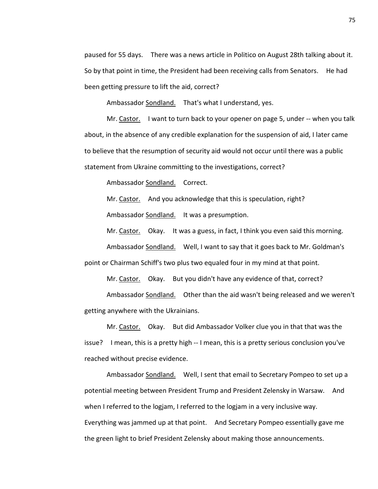paused for 55 days. There was a news article in Politico on August 28th talking about it. So by that point in time, the President had been receiving calls from Senators. He had been getting pressure to lift the aid, correct?

Ambassador Sondland. That's what I understand, yes.

Mr. Castor. I want to turn back to your opener on page 5, under -- when you talk about, in the absence of any credible explanation for the suspension of aid, I later came to believe that the resumption of security aid would not occur until there was a public statement from Ukraine committing to the investigations, correct?

Ambassador Sondland. Correct.

Mr. Castor. And you acknowledge that this is speculation, right? Ambassador Sondland. It was a presumption.

Mr. Castor. Okay. It was a guess, in fact, I think you even said this morning.

Ambassador Sondland. Well, I want to say that it goes back to Mr. Goldman's

point or Chairman Schiff's two plus two equaled four in my mind at that point.

Mr. Castor. Okay. But you didn't have any evidence of that, correct?

Ambassador Sondland. Other than the aid wasn't being released and we weren't getting anywhere with the Ukrainians.

Mr. Castor. Okay. But did Ambassador Volker clue you in that that was the issue? I mean, this is a pretty high -- I mean, this is a pretty serious conclusion you've reached without precise evidence.

Ambassador Sondland. Well, I sent that email to Secretary Pompeo to set up a potential meeting between President Trump and President Zelensky in Warsaw. And when I referred to the logjam, I referred to the logjam in a very inclusive way. Everything was jammed up at that point. And Secretary Pompeo essentially gave me the green light to brief President Zelensky about making those announcements.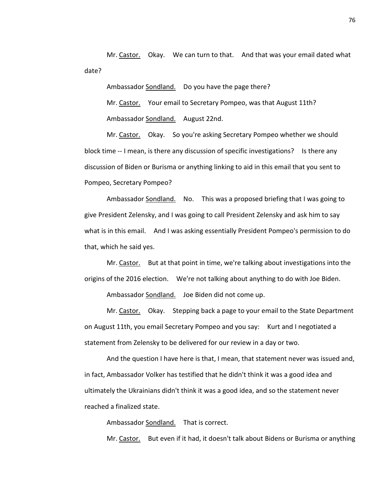Mr. Castor. Okay. We can turn to that. And that was your email dated what date?

Ambassador Sondland. Do you have the page there?

Mr. Castor. Your email to Secretary Pompeo, was that August 11th? Ambassador Sondland. August 22nd.

Mr. Castor. Okay. So you're asking Secretary Pompeo whether we should block time -- I mean, is there any discussion of specific investigations? Is there any discussion of Biden or Burisma or anything linking to aid in this email that you sent to Pompeo, Secretary Pompeo?

Ambassador Sondland. No. This was a proposed briefing that I was going to give President Zelensky, and I was going to call President Zelensky and ask him to say what is in this email. And I was asking essentially President Pompeo's permission to do that, which he said yes.

Mr. Castor. But at that point in time, we're talking about investigations into the origins of the 2016 election. We're not talking about anything to do with Joe Biden.

Ambassador Sondland. Joe Biden did not come up.

Mr. Castor. Okay. Stepping back a page to your email to the State Department on August 11th, you email Secretary Pompeo and you say: Kurt and I negotiated a statement from Zelensky to be delivered for our review in a day or two.

And the question I have here is that, I mean, that statement never was issued and, in fact, Ambassador Volker has testified that he didn't think it was a good idea and ultimately the Ukrainians didn't think it was a good idea, and so the statement never reached a finalized state.

Ambassador Sondland. That is correct.

Mr. Castor. But even if it had, it doesn't talk about Bidens or Burisma or anything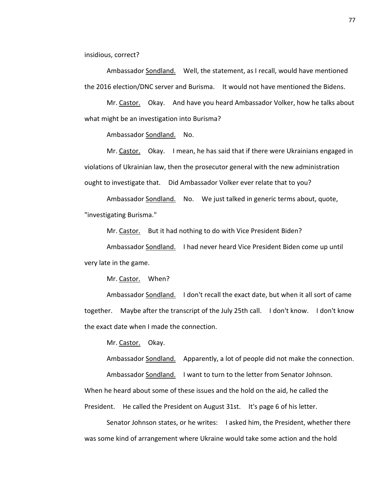insidious, correct?

Ambassador Sondland. Well, the statement, as I recall, would have mentioned the 2016 election/DNC server and Burisma. It would not have mentioned the Bidens.

Mr. Castor. Okay. And have you heard Ambassador Volker, how he talks about what might be an investigation into Burisma?

Ambassador Sondland. No.

Mr. Castor. Okay. I mean, he has said that if there were Ukrainians engaged in violations of Ukrainian law, then the prosecutor general with the new administration ought to investigate that. Did Ambassador Volker ever relate that to you?

Ambassador Sondland. No. We just talked in generic terms about, quote, "investigating Burisma."

Mr. Castor. But it had nothing to do with Vice President Biden?

Ambassador Sondland. I had never heard Vice President Biden come up until very late in the game.

Mr. Castor. When?

Ambassador Sondland. I don't recall the exact date, but when it all sort of came together. Maybe after the transcript of the July 25th call. I don't know. I don't know the exact date when I made the connection.

Mr. Castor. Okay.

Ambassador Sondland. Apparently, a lot of people did not make the connection.

Ambassador Sondland. I want to turn to the letter from Senator Johnson.

When he heard about some of these issues and the hold on the aid, he called the

President. He called the President on August 31st. It's page 6 of his letter.

Senator Johnson states, or he writes: I asked him, the President, whether there was some kind of arrangement where Ukraine would take some action and the hold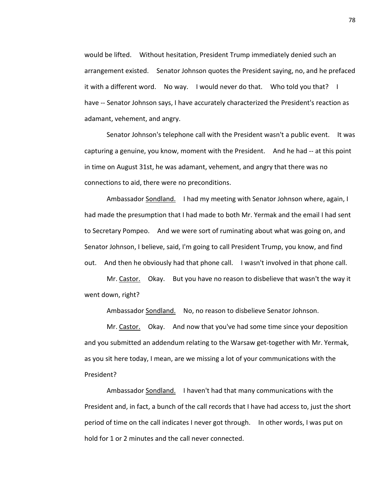would be lifted. Without hesitation, President Trump immediately denied such an arrangement existed. Senator Johnson quotes the President saying, no, and he prefaced it with a different word. No way. I would never do that. Who told you that? I have -- Senator Johnson says, I have accurately characterized the President's reaction as adamant, vehement, and angry.

Senator Johnson's telephone call with the President wasn't a public event. It was capturing a genuine, you know, moment with the President. And he had -- at this point in time on August 31st, he was adamant, vehement, and angry that there was no connections to aid, there were no preconditions.

Ambassador Sondland. I had my meeting with Senator Johnson where, again, I had made the presumption that I had made to both Mr. Yermak and the email I had sent to Secretary Pompeo. And we were sort of ruminating about what was going on, and Senator Johnson, I believe, said, I'm going to call President Trump, you know, and find out. And then he obviously had that phone call. I wasn't involved in that phone call.

Mr. Castor. Okay. But you have no reason to disbelieve that wasn't the way it went down, right?

Ambassador Sondland. No, no reason to disbelieve Senator Johnson.

Mr. Castor. Okay. And now that you've had some time since your deposition and you submitted an addendum relating to the Warsaw get-together with Mr. Yermak, as you sit here today, I mean, are we missing a lot of your communications with the President?

Ambassador Sondland. I haven't had that many communications with the President and, in fact, a bunch of the call records that I have had access to, just the short period of time on the call indicates I never got through. In other words, I was put on hold for 1 or 2 minutes and the call never connected.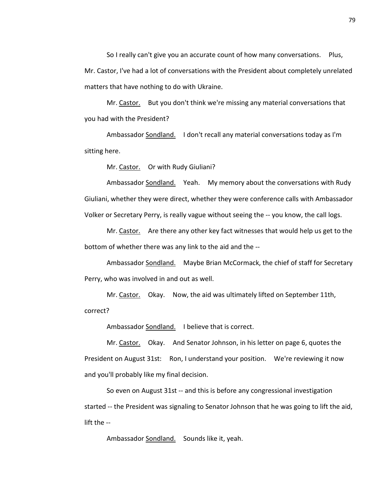So I really can't give you an accurate count of how many conversations. Plus, Mr. Castor, I've had a lot of conversations with the President about completely unrelated matters that have nothing to do with Ukraine.

Mr. Castor. But you don't think we're missing any material conversations that you had with the President?

Ambassador Sondland. I don't recall any material conversations today as I'm sitting here.

Mr. Castor. Or with Rudy Giuliani?

Ambassador Sondland. Yeah. My memory about the conversations with Rudy Giuliani, whether they were direct, whether they were conference calls with Ambassador Volker or Secretary Perry, is really vague without seeing the -- you know, the call logs.

Mr. Castor. Are there any other key fact witnesses that would help us get to the bottom of whether there was any link to the aid and the --

Ambassador Sondland. Maybe Brian McCormack, the chief of staff for Secretary Perry, who was involved in and out as well.

Mr. Castor. Okay. Now, the aid was ultimately lifted on September 11th, correct?

Ambassador Sondland. I believe that is correct.

Mr. Castor. Okay. And Senator Johnson, in his letter on page 6, quotes the President on August 31st: Ron, I understand your position. We're reviewing it now and you'll probably like my final decision.

So even on August 31st -- and this is before any congressional investigation started -- the President was signaling to Senator Johnson that he was going to lift the aid, lift the --

Ambassador Sondland. Sounds like it, yeah.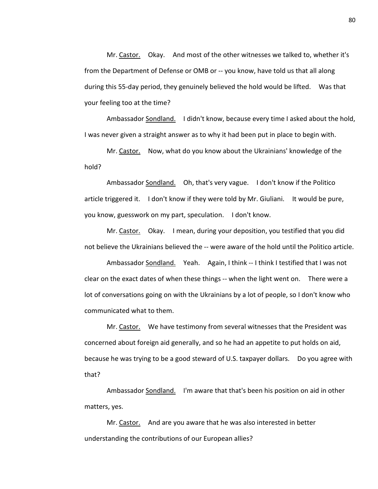Mr. Castor. Okay. And most of the other witnesses we talked to, whether it's from the Department of Defense or OMB or -- you know, have told us that all along during this 55-day period, they genuinely believed the hold would be lifted. Was that your feeling too at the time?

Ambassador Sondland. I didn't know, because every time I asked about the hold, I was never given a straight answer as to why it had been put in place to begin with.

Mr. Castor. Now, what do you know about the Ukrainians' knowledge of the hold?

Ambassador Sondland. Oh, that's very vague. I don't know if the Politico article triggered it. I don't know if they were told by Mr. Giuliani. It would be pure, you know, guesswork on my part, speculation. I don't know.

Mr. Castor. Okay. I mean, during your deposition, you testified that you did not believe the Ukrainians believed the -- were aware of the hold until the Politico article.

Ambassador Sondland. Yeah. Again, I think -- I think I testified that I was not clear on the exact dates of when these things -- when the light went on. There were a lot of conversations going on with the Ukrainians by a lot of people, so I don't know who communicated what to them.

Mr. Castor. We have testimony from several witnesses that the President was concerned about foreign aid generally, and so he had an appetite to put holds on aid, because he was trying to be a good steward of U.S. taxpayer dollars. Do you agree with that?

Ambassador Sondland. I'm aware that that's been his position on aid in other matters, yes.

Mr. Castor. And are you aware that he was also interested in better understanding the contributions of our European allies?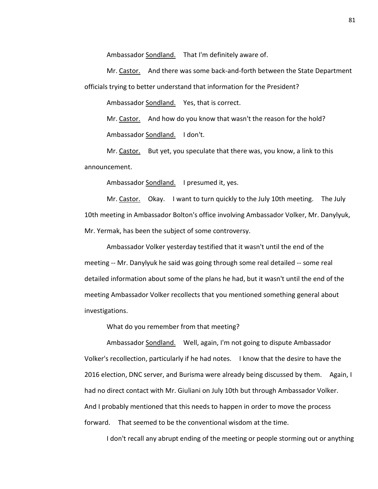Ambassador Sondland. That I'm definitely aware of.

Mr. Castor. And there was some back-and-forth between the State Department officials trying to better understand that information for the President?

Ambassador Sondland. Yes, that is correct.

Mr. Castor. And how do you know that wasn't the reason for the hold? Ambassador Sondland. I don't.

Mr. Castor. But yet, you speculate that there was, you know, a link to this announcement.

Ambassador Sondland. I presumed it, yes.

Mr. Castor. Okay. I want to turn quickly to the July 10th meeting. The July 10th meeting in Ambassador Bolton's office involving Ambassador Volker, Mr. Danylyuk, Mr. Yermak, has been the subject of some controversy.

Ambassador Volker yesterday testified that it wasn't until the end of the meeting -- Mr. Danylyuk he said was going through some real detailed -- some real detailed information about some of the plans he had, but it wasn't until the end of the meeting Ambassador Volker recollects that you mentioned something general about investigations.

What do you remember from that meeting?

Ambassador Sondland. Well, again, I'm not going to dispute Ambassador Volker's recollection, particularly if he had notes. I know that the desire to have the 2016 election, DNC server, and Burisma were already being discussed by them. Again, I had no direct contact with Mr. Giuliani on July 10th but through Ambassador Volker. And I probably mentioned that this needs to happen in order to move the process forward. That seemed to be the conventional wisdom at the time.

I don't recall any abrupt ending of the meeting or people storming out or anything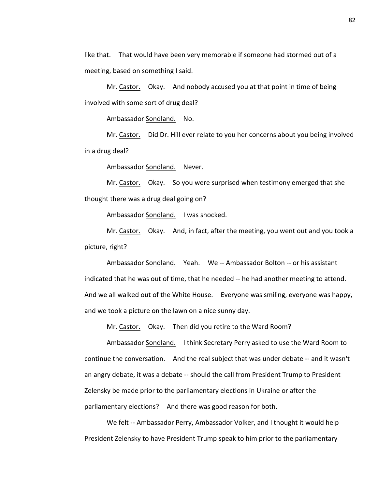like that. That would have been very memorable if someone had stormed out of a meeting, based on something I said.

Mr. Castor. Okay. And nobody accused you at that point in time of being involved with some sort of drug deal?

Ambassador Sondland. No.

Mr. Castor. Did Dr. Hill ever relate to you her concerns about you being involved in a drug deal?

Ambassador Sondland. Never.

Mr. Castor. Okay. So you were surprised when testimony emerged that she thought there was a drug deal going on?

Ambassador Sondland. I was shocked.

Mr. Castor. Okay. And, in fact, after the meeting, you went out and you took a picture, right?

Ambassador Sondland. Yeah. We -- Ambassador Bolton -- or his assistant indicated that he was out of time, that he needed -- he had another meeting to attend. And we all walked out of the White House. Everyone was smiling, everyone was happy, and we took a picture on the lawn on a nice sunny day.

Mr. Castor. Okay. Then did you retire to the Ward Room?

Ambassador Sondland. I think Secretary Perry asked to use the Ward Room to continue the conversation. And the real subject that was under debate -- and it wasn't an angry debate, it was a debate -- should the call from President Trump to President Zelensky be made prior to the parliamentary elections in Ukraine or after the parliamentary elections? And there was good reason for both.

We felt -- Ambassador Perry, Ambassador Volker, and I thought it would help President Zelensky to have President Trump speak to him prior to the parliamentary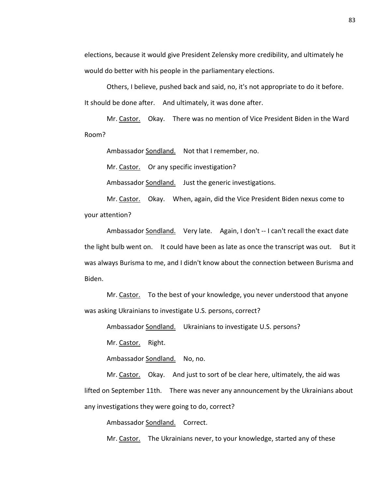elections, because it would give President Zelensky more credibility, and ultimately he would do better with his people in the parliamentary elections.

Others, I believe, pushed back and said, no, it's not appropriate to do it before. It should be done after. And ultimately, it was done after.

Mr. Castor. Okay. There was no mention of Vice President Biden in the Ward Room?

Ambassador Sondland. Not that I remember, no.

Mr. Castor. Or any specific investigation?

Ambassador Sondland. Just the generic investigations.

Mr. Castor. Okay. When, again, did the Vice President Biden nexus come to your attention?

Ambassador Sondland. Very late. Again, I don't -- I can't recall the exact date the light bulb went on. It could have been as late as once the transcript was out. But it was always Burisma to me, and I didn't know about the connection between Burisma and Biden.

Mr. Castor. To the best of your knowledge, you never understood that anyone was asking Ukrainians to investigate U.S. persons, correct?

Ambassador Sondland. Ukrainians to investigate U.S. persons?

Mr. Castor. Right.

Ambassador Sondland. No, no.

Mr. Castor. Okay. And just to sort of be clear here, ultimately, the aid was lifted on September 11th. There was never any announcement by the Ukrainians about any investigations they were going to do, correct?

Ambassador Sondland. Correct.

Mr. Castor. The Ukrainians never, to your knowledge, started any of these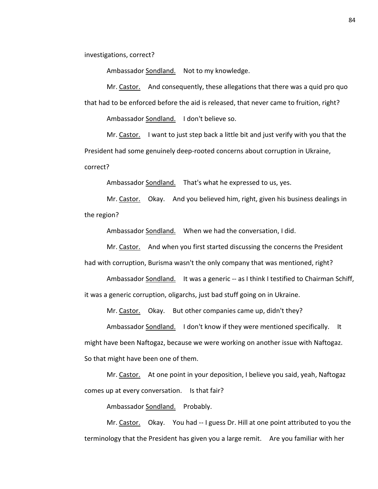investigations, correct?

Ambassador Sondland. Not to my knowledge.

Mr. Castor. And consequently, these allegations that there was a quid pro quo that had to be enforced before the aid is released, that never came to fruition, right?

Ambassador Sondland. I don't believe so.

Mr. Castor. I want to just step back a little bit and just verify with you that the President had some genuinely deep-rooted concerns about corruption in Ukraine, correct?

Ambassador Sondland. That's what he expressed to us, yes.

Mr. Castor. Okay. And you believed him, right, given his business dealings in the region?

Ambassador Sondland. When we had the conversation, I did.

Mr. Castor. And when you first started discussing the concerns the President had with corruption, Burisma wasn't the only company that was mentioned, right?

Ambassador Sondland. It was a generic -- as I think I testified to Chairman Schiff, it was a generic corruption, oligarchs, just bad stuff going on in Ukraine.

Mr. Castor. Okay. But other companies came up, didn't they?

Ambassador Sondland. I don't know if they were mentioned specifically. It might have been Naftogaz, because we were working on another issue with Naftogaz. So that might have been one of them.

Mr. Castor. At one point in your deposition, I believe you said, yeah, Naftogaz comes up at every conversation. Is that fair?

Ambassador Sondland. Probably.

Mr. Castor. Okay. You had -- I guess Dr. Hill at one point attributed to you the terminology that the President has given you a large remit. Are you familiar with her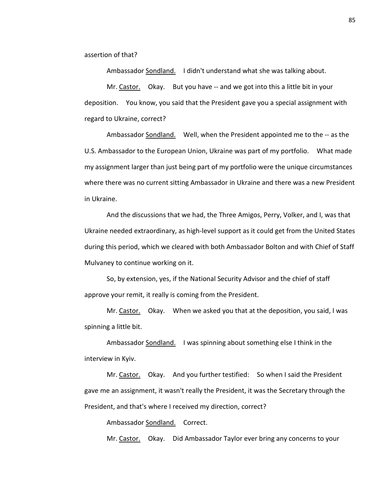assertion of that?

Ambassador Sondland. I didn't understand what she was talking about.

Mr. Castor. Okay. But you have -- and we got into this a little bit in your deposition. You know, you said that the President gave you a special assignment with regard to Ukraine, correct?

Ambassador Sondland. Well, when the President appointed me to the -- as the U.S. Ambassador to the European Union, Ukraine was part of my portfolio. What made my assignment larger than just being part of my portfolio were the unique circumstances where there was no current sitting Ambassador in Ukraine and there was a new President in Ukraine.

And the discussions that we had, the Three Amigos, Perry, Volker, and I, was that Ukraine needed extraordinary, as high-level support as it could get from the United States during this period, which we cleared with both Ambassador Bolton and with Chief of Staff Mulvaney to continue working on it.

So, by extension, yes, if the National Security Advisor and the chief of staff approve your remit, it really is coming from the President.

Mr. Castor. Okay. When we asked you that at the deposition, you said, I was spinning a little bit.

Ambassador Sondland. I was spinning about something else I think in the interview in Kyiv.

Mr. Castor. Okay. And you further testified: So when I said the President gave me an assignment, it wasn't really the President, it was the Secretary through the President, and that's where I received my direction, correct?

Ambassador Sondland. Correct.

Mr. Castor. Okay. Did Ambassador Taylor ever bring any concerns to your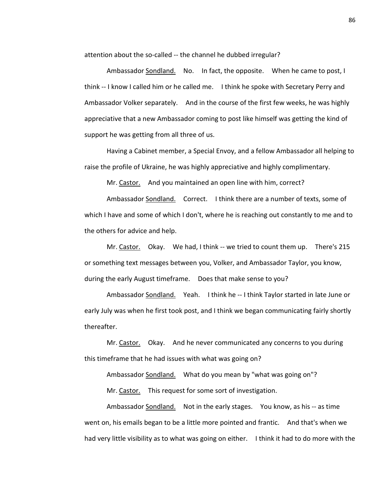attention about the so-called -- the channel he dubbed irregular?

Ambassador Sondland. No. In fact, the opposite. When he came to post, I think -- I know I called him or he called me. I think he spoke with Secretary Perry and Ambassador Volker separately. And in the course of the first few weeks, he was highly appreciative that a new Ambassador coming to post like himself was getting the kind of support he was getting from all three of us.

Having a Cabinet member, a Special Envoy, and a fellow Ambassador all helping to raise the profile of Ukraine, he was highly appreciative and highly complimentary.

Mr. Castor. And you maintained an open line with him, correct?

Ambassador Sondland. Correct. I think there are a number of texts, some of which I have and some of which I don't, where he is reaching out constantly to me and to the others for advice and help.

Mr. Castor. Okay. We had, I think -- we tried to count them up. There's 215 or something text messages between you, Volker, and Ambassador Taylor, you know, during the early August timeframe. Does that make sense to you?

Ambassador Sondland. Yeah. I think he -- I think Taylor started in late June or early July was when he first took post, and I think we began communicating fairly shortly thereafter.

Mr. Castor. Okay. And he never communicated any concerns to you during this timeframe that he had issues with what was going on?

Ambassador Sondland. What do you mean by "what was going on"?

Mr. Castor. This request for some sort of investigation.

Ambassador Sondland. Not in the early stages. You know, as his -- as time went on, his emails began to be a little more pointed and frantic. And that's when we had very little visibility as to what was going on either. I think it had to do more with the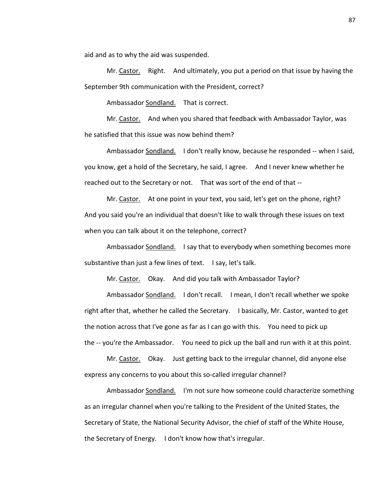aid and as to why the aid was suspended.

Mr. Castor. Right. And ultimately, you put a period on that issue by having the September 9th communication with the President, correct?

Ambassador Sondland. That is correct.

Mr. Castor. And when you shared that feedback with Ambassador Taylor, was he satisfied that this issue was now behind them?

Ambassador Sondland. I don't really know, because he responded -- when I said, you know, get a hold of the Secretary, he said, I agree. And I never knew whether he reached out to the Secretary or not. That was sort of the end of that --

Mr. Castor. At one point in your text, you said, let's get on the phone, right? And you said you're an individual that doesn't like to walk through these issues on text when you can talk about it on the telephone, correct?

Ambassador Sondland. I say that to everybody when something becomes more substantive than just a few lines of text. I say, let's talk.

Mr. Castor. Okay. And did you talk with Ambassador Taylor?

Ambassador Sondland. I don't recall. I mean, I don't recall whether we spoke right after that, whether he called the Secretary. I basically, Mr. Castor, wanted to get the notion across that I've gone as far as I can go with this. You need to pick up the -- you're the Ambassador. You need to pick up the ball and run with it at this point.

Mr. Castor. Okay. Just getting back to the irregular channel, did anyone else express any concerns to you about this so-called irregular channel?

Ambassador Sondland. I'm not sure how someone could characterize something as an irregular channel when you're talking to the President of the United States, the Secretary of State, the National Security Advisor, the chief of staff of the White House, the Secretary of Energy. I don't know how that's irregular.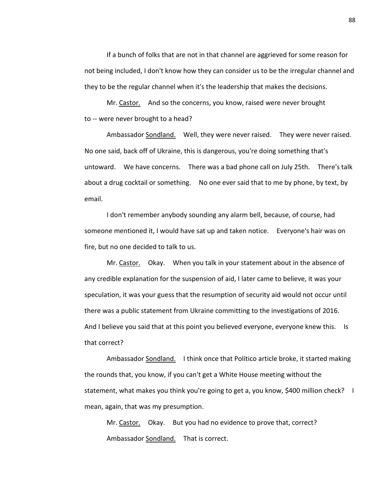If a bunch of folks that are not in that channel are aggrieved for some reason for not being included, I don't know how they can consider us to be the irregular channel and they to be the regular channel when it's the leadership that makes the decisions.

Mr. Castor. And so the concerns, you know, raised were never brought to -- were never brought to a head?

Ambassador Sondland. Well, they were never raised. They were never raised. No one said, back off of Ukraine, this is dangerous, you're doing something that's untoward. We have concerns. There was a bad phone call on July 25th. There's talk about a drug cocktail or something. No one ever said that to me by phone, by text, by email.

I don't remember anybody sounding any alarm bell, because, of course, had someone mentioned it, I would have sat up and taken notice. Everyone's hair was on fire, but no one decided to talk to us.

Mr. Castor. Okay. When you talk in your statement about in the absence of any credible explanation for the suspension of aid, I later came to believe, it was your speculation, it was your guess that the resumption of security aid would not occur until there was a public statement from Ukraine committing to the investigations of 2016. And I believe you said that at this point you believed everyone, everyone knew this. Is that correct?

Ambassador Sondland. I think once that Politico article broke, it started making the rounds that, you know, if you can't get a White House meeting without the statement, what makes you think you're going to get a, you know, \$400 million check? I mean, again, that was my presumption.

Mr. Castor. Okay. But you had no evidence to prove that, correct? Ambassador Sondland. That is correct.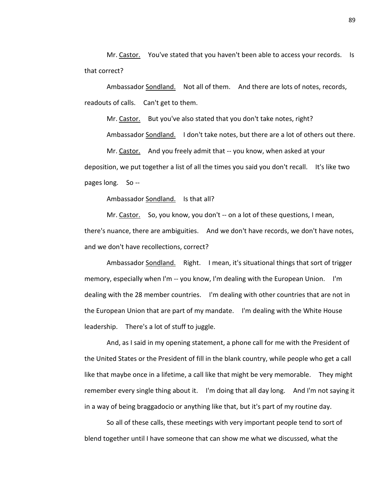Mr. Castor. You've stated that you haven't been able to access your records. Is that correct?

Ambassador Sondland. Not all of them. And there are lots of notes, records, readouts of calls. Can't get to them.

Mr. Castor. But you've also stated that you don't take notes, right?

Ambassador Sondland. I don't take notes, but there are a lot of others out there.

Mr. Castor. And you freely admit that -- you know, when asked at your deposition, we put together a list of all the times you said you don't recall. It's like two pages long. So --

Ambassador Sondland. Is that all?

Mr. Castor. So, you know, you don't -- on a lot of these questions, I mean, there's nuance, there are ambiguities. And we don't have records, we don't have notes, and we don't have recollections, correct?

Ambassador Sondland. Right. I mean, it's situational things that sort of trigger memory, especially when I'm -- you know, I'm dealing with the European Union. I'm dealing with the 28 member countries. I'm dealing with other countries that are not in the European Union that are part of my mandate. I'm dealing with the White House leadership. There's a lot of stuff to juggle.

And, as I said in my opening statement, a phone call for me with the President of the United States or the President of fill in the blank country, while people who get a call like that maybe once in a lifetime, a call like that might be very memorable. They might remember every single thing about it. I'm doing that all day long. And I'm not saying it in a way of being braggadocio or anything like that, but it's part of my routine day.

So all of these calls, these meetings with very important people tend to sort of blend together until I have someone that can show me what we discussed, what the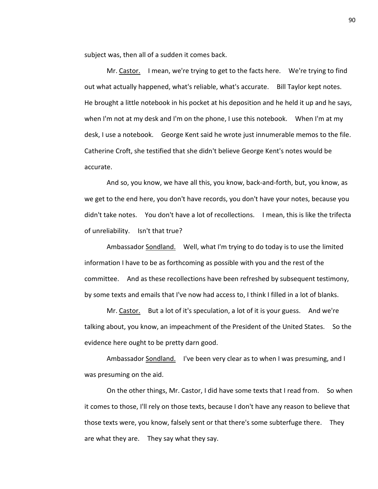subject was, then all of a sudden it comes back.

Mr. Castor. I mean, we're trying to get to the facts here. We're trying to find out what actually happened, what's reliable, what's accurate. Bill Taylor kept notes. He brought a little notebook in his pocket at his deposition and he held it up and he says, when I'm not at my desk and I'm on the phone, I use this notebook. When I'm at my desk, I use a notebook. George Kent said he wrote just innumerable memos to the file. Catherine Croft, she testified that she didn't believe George Kent's notes would be accurate.

And so, you know, we have all this, you know, back-and-forth, but, you know, as we get to the end here, you don't have records, you don't have your notes, because you didn't take notes. You don't have a lot of recollections. I mean, this is like the trifecta of unreliability. Isn't that true?

Ambassador Sondland. Well, what I'm trying to do today is to use the limited information I have to be as forthcoming as possible with you and the rest of the committee. And as these recollections have been refreshed by subsequent testimony, by some texts and emails that I've now had access to, I think I filled in a lot of blanks.

Mr. Castor. But a lot of it's speculation, a lot of it is your guess. And we're talking about, you know, an impeachment of the President of the United States. So the evidence here ought to be pretty darn good.

Ambassador Sondland. I've been very clear as to when I was presuming, and I was presuming on the aid.

On the other things, Mr. Castor, I did have some texts that I read from. So when it comes to those, I'll rely on those texts, because I don't have any reason to believe that those texts were, you know, falsely sent or that there's some subterfuge there. They are what they are. They say what they say.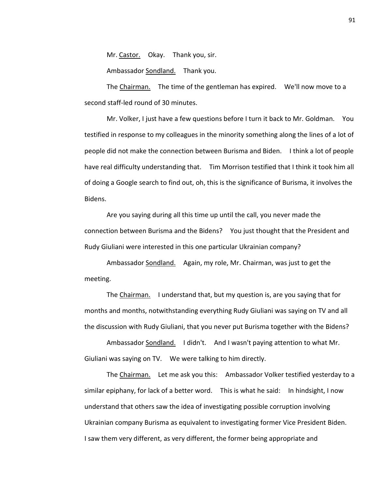Mr. Castor. Okay. Thank you, sir.

Ambassador Sondland. Thank you.

The Chairman. The time of the gentleman has expired. We'll now move to a second staff-led round of 30 minutes.

Mr. Volker, I just have a few questions before I turn it back to Mr. Goldman. You testified in response to my colleagues in the minority something along the lines of a lot of people did not make the connection between Burisma and Biden. I think a lot of people have real difficulty understanding that. Tim Morrison testified that I think it took him all of doing a Google search to find out, oh, this is the significance of Burisma, it involves the Bidens.

Are you saying during all this time up until the call, you never made the connection between Burisma and the Bidens? You just thought that the President and Rudy Giuliani were interested in this one particular Ukrainian company?

Ambassador Sondland. Again, my role, Mr. Chairman, was just to get the meeting.

The Chairman. I understand that, but my question is, are you saying that for months and months, notwithstanding everything Rudy Giuliani was saying on TV and all the discussion with Rudy Giuliani, that you never put Burisma together with the Bidens?

Ambassador Sondland. I didn't. And I wasn't paying attention to what Mr. Giuliani was saying on TV. We were talking to him directly.

The Chairman. Let me ask you this: Ambassador Volker testified yesterday to a similar epiphany, for lack of a better word. This is what he said: In hindsight, I now understand that others saw the idea of investigating possible corruption involving Ukrainian company Burisma as equivalent to investigating former Vice President Biden. I saw them very different, as very different, the former being appropriate and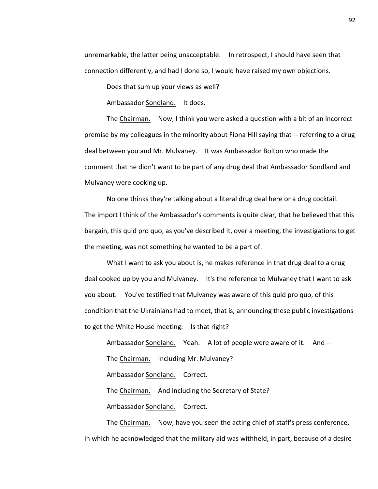unremarkable, the latter being unacceptable. In retrospect, I should have seen that connection differently, and had I done so, I would have raised my own objections.

Does that sum up your views as well?

Ambassador Sondland. It does.

The Chairman. Now, I think you were asked a question with a bit of an incorrect premise by my colleagues in the minority about Fiona Hill saying that -- referring to a drug deal between you and Mr. Mulvaney. It was Ambassador Bolton who made the comment that he didn't want to be part of any drug deal that Ambassador Sondland and Mulvaney were cooking up.

No one thinks they're talking about a literal drug deal here or a drug cocktail. The import I think of the Ambassador's comments is quite clear, that he believed that this bargain, this quid pro quo, as you've described it, over a meeting, the investigations to get the meeting, was not something he wanted to be a part of.

What I want to ask you about is, he makes reference in that drug deal to a drug deal cooked up by you and Mulvaney. It's the reference to Mulvaney that I want to ask you about. You've testified that Mulvaney was aware of this quid pro quo, of this condition that the Ukrainians had to meet, that is, announcing these public investigations to get the White House meeting. Is that right?

Ambassador Sondland. Yeah. A lot of people were aware of it. And -- The Chairman. Including Mr. Mulvaney? Ambassador Sondland. Correct.

The Chairman. And including the Secretary of State?

Ambassador Sondland. Correct.

The Chairman. Now, have you seen the acting chief of staff's press conference, in which he acknowledged that the military aid was withheld, in part, because of a desire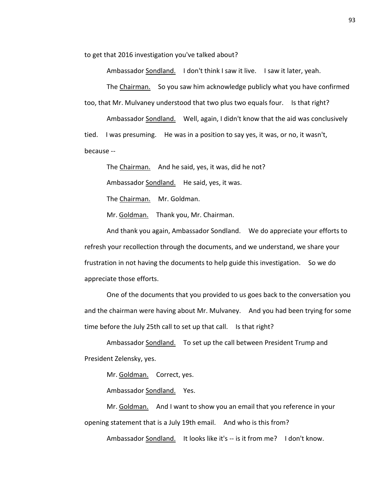to get that 2016 investigation you've talked about?

Ambassador Sondland. I don't think I saw it live. I saw it later, yeah.

The Chairman. So you saw him acknowledge publicly what you have confirmed too, that Mr. Mulvaney understood that two plus two equals four. Is that right?

Ambassador Sondland. Well, again, I didn't know that the aid was conclusively tied. I was presuming. He was in a position to say yes, it was, or no, it wasn't, because --

The Chairman. And he said, yes, it was, did he not?

Ambassador Sondland. He said, yes, it was.

The Chairman. Mr. Goldman.

Mr. Goldman. Thank you, Mr. Chairman.

And thank you again, Ambassador Sondland. We do appreciate your efforts to refresh your recollection through the documents, and we understand, we share your frustration in not having the documents to help guide this investigation. So we do appreciate those efforts.

One of the documents that you provided to us goes back to the conversation you and the chairman were having about Mr. Mulvaney. And you had been trying for some time before the July 25th call to set up that call. Is that right?

Ambassador Sondland. To set up the call between President Trump and President Zelensky, yes.

Mr. Goldman. Correct, yes.

Ambassador Sondland. Yes.

Mr. Goldman. And I want to show you an email that you reference in your opening statement that is a July 19th email. And who is this from?

Ambassador Sondland. It looks like it's -- is it from me? I don't know.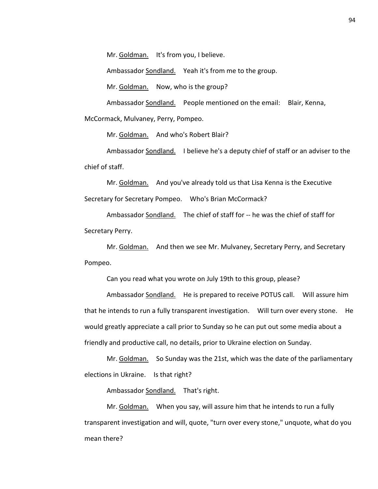Mr. Goldman. It's from you, I believe.

Ambassador Sondland. Yeah it's from me to the group.

Mr. Goldman. Now, who is the group?

Ambassador Sondland. People mentioned on the email: Blair, Kenna, McCormack, Mulvaney, Perry, Pompeo.

Mr. Goldman. And who's Robert Blair?

Ambassador Sondland. I believe he's a deputy chief of staff or an adviser to the chief of staff.

Mr. Goldman. And you've already told us that Lisa Kenna is the Executive Secretary for Secretary Pompeo. Who's Brian McCormack?

Ambassador Sondland. The chief of staff for -- he was the chief of staff for Secretary Perry.

Mr. Goldman. And then we see Mr. Mulvaney, Secretary Perry, and Secretary Pompeo.

Can you read what you wrote on July 19th to this group, please?

Ambassador Sondland. He is prepared to receive POTUS call. Will assure him that he intends to run a fully transparent investigation. Will turn over every stone. He would greatly appreciate a call prior to Sunday so he can put out some media about a friendly and productive call, no details, prior to Ukraine election on Sunday.

Mr. Goldman. So Sunday was the 21st, which was the date of the parliamentary elections in Ukraine. Is that right?

Ambassador Sondland. That's right.

Mr. Goldman. When you say, will assure him that he intends to run a fully transparent investigation and will, quote, "turn over every stone," unquote, what do you mean there?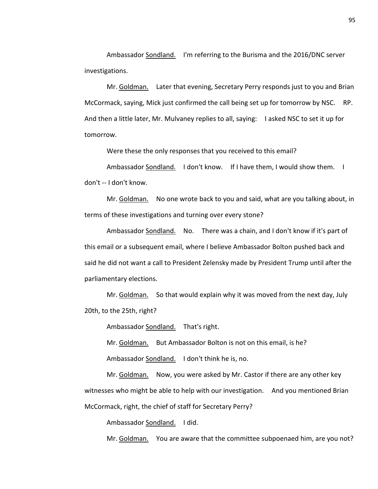Ambassador Sondland. I'm referring to the Burisma and the 2016/DNC server investigations.

Mr. Goldman. Later that evening, Secretary Perry responds just to you and Brian McCormack, saying, Mick just confirmed the call being set up for tomorrow by NSC. RP. And then a little later, Mr. Mulvaney replies to all, saying: I asked NSC to set it up for tomorrow.

Were these the only responses that you received to this email?

Ambassador Sondland. I don't know. If I have them, I would show them. I don't -- I don't know.

Mr. Goldman. No one wrote back to you and said, what are you talking about, in terms of these investigations and turning over every stone?

Ambassador Sondland. No. There was a chain, and I don't know if it's part of this email or a subsequent email, where I believe Ambassador Bolton pushed back and said he did not want a call to President Zelensky made by President Trump until after the parliamentary elections.

Mr. Goldman. So that would explain why it was moved from the next day, July 20th, to the 25th, right?

Ambassador Sondland. That's right.

Mr. Goldman. But Ambassador Bolton is not on this email, is he?

Ambassador Sondland. I don't think he is, no.

Mr. Goldman. Now, you were asked by Mr. Castor if there are any other key witnesses who might be able to help with our investigation. And you mentioned Brian McCormack, right, the chief of staff for Secretary Perry?

Ambassador Sondland. I did.

Mr. Goldman. You are aware that the committee subpoenaed him, are you not?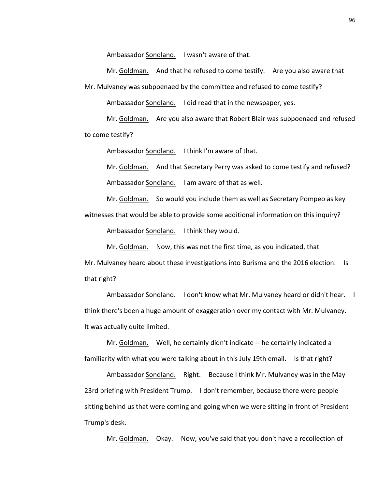Ambassador Sondland. I wasn't aware of that.

Mr. Goldman. And that he refused to come testify. Are you also aware that Mr. Mulvaney was subpoenaed by the committee and refused to come testify?

Ambassador Sondland. I did read that in the newspaper, yes.

Mr. Goldman. Are you also aware that Robert Blair was subpoenaed and refused to come testify?

Ambassador Sondland. I think I'm aware of that.

Mr. Goldman. And that Secretary Perry was asked to come testify and refused? Ambassador Sondland. I am aware of that as well.

Mr. Goldman. So would you include them as well as Secretary Pompeo as key witnesses that would be able to provide some additional information on this inquiry?

Ambassador Sondland. I think they would.

Mr. Goldman. Now, this was not the first time, as you indicated, that

Mr. Mulvaney heard about these investigations into Burisma and the 2016 election. Is that right?

Ambassador Sondland. I don't know what Mr. Mulvaney heard or didn't hear. I think there's been a huge amount of exaggeration over my contact with Mr. Mulvaney. It was actually quite limited.

Mr. Goldman. Well, he certainly didn't indicate -- he certainly indicated a familiarity with what you were talking about in this July 19th email. Is that right?

Ambassador Sondland. Right. Because I think Mr. Mulvaney was in the May 23rd briefing with President Trump. I don't remember, because there were people sitting behind us that were coming and going when we were sitting in front of President Trump's desk.

Mr. Goldman. Okay. Now, you've said that you don't have a recollection of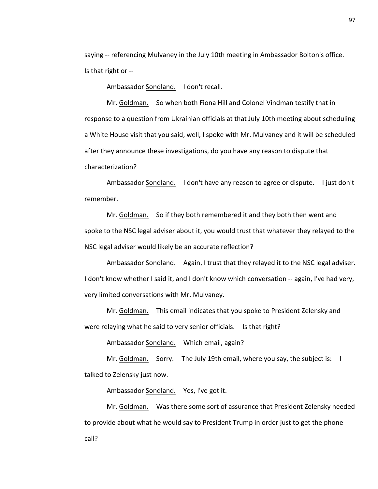saying -- referencing Mulvaney in the July 10th meeting in Ambassador Bolton's office. Is that right or --

Ambassador Sondland. I don't recall.

Mr. Goldman. So when both Fiona Hill and Colonel Vindman testify that in response to a question from Ukrainian officials at that July 10th meeting about scheduling a White House visit that you said, well, I spoke with Mr. Mulvaney and it will be scheduled after they announce these investigations, do you have any reason to dispute that characterization?

Ambassador Sondland. I don't have any reason to agree or dispute. I just don't remember.

Mr. Goldman. So if they both remembered it and they both then went and spoke to the NSC legal adviser about it, you would trust that whatever they relayed to the NSC legal adviser would likely be an accurate reflection?

Ambassador Sondland. Again, I trust that they relayed it to the NSC legal adviser. I don't know whether I said it, and I don't know which conversation -- again, I've had very, very limited conversations with Mr. Mulvaney.

Mr. Goldman. This email indicates that you spoke to President Zelensky and were relaying what he said to very senior officials. Is that right?

Ambassador Sondland. Which email, again?

Mr. Goldman. Sorry. The July 19th email, where you say, the subject is: I talked to Zelensky just now.

Ambassador Sondland. Yes, I've got it.

Mr. Goldman. Was there some sort of assurance that President Zelensky needed to provide about what he would say to President Trump in order just to get the phone call?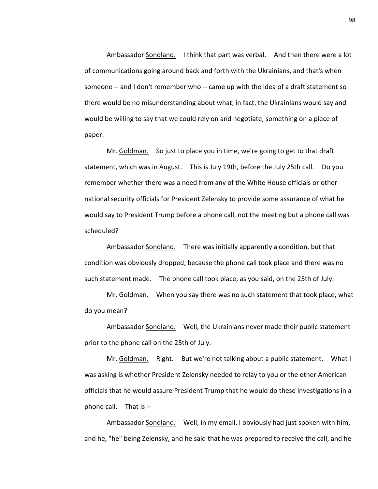Ambassador Sondland. I think that part was verbal. And then there were a lot of communications going around back and forth with the Ukrainians, and that's when someone -- and I don't remember who -- came up with the idea of a draft statement so there would be no misunderstanding about what, in fact, the Ukrainians would say and would be willing to say that we could rely on and negotiate, something on a piece of paper.

Mr. Goldman. So just to place you in time, we're going to get to that draft statement, which was in August. This is July 19th, before the July 25th call. Do you remember whether there was a need from any of the White House officials or other national security officials for President Zelensky to provide some assurance of what he would say to President Trump before a phone call, not the meeting but a phone call was scheduled?

Ambassador Sondland. There was initially apparently a condition, but that condition was obviously dropped, because the phone call took place and there was no such statement made. The phone call took place, as you said, on the 25th of July.

Mr. Goldman. When you say there was no such statement that took place, what do you mean?

Ambassador Sondland. Well, the Ukrainians never made their public statement prior to the phone call on the 25th of July.

Mr. Goldman. Right. But we're not talking about a public statement. What I was asking is whether President Zelensky needed to relay to you or the other American officials that he would assure President Trump that he would do these investigations in a phone call. That is --

Ambassador Sondland. Well, in my email, I obviously had just spoken with him, and he, "he" being Zelensky, and he said that he was prepared to receive the call, and he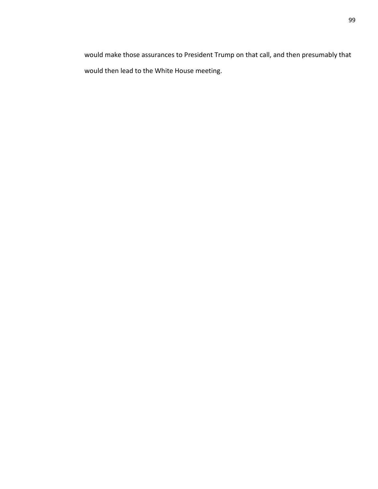would make those assurances to President Trump on that call, and then presumably that would then lead to the White House meeting.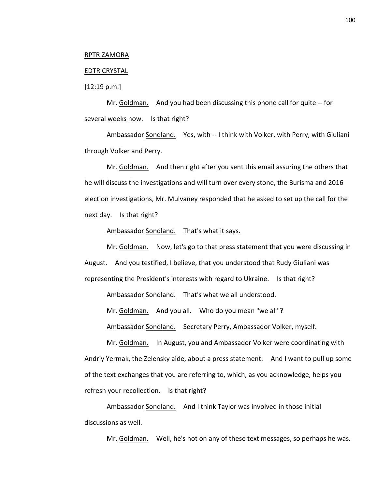## RPTR ZAMORA

## EDTR CRYSTAL

 $[12:19 \text{ p.m.}]$ 

Mr. Goldman. And you had been discussing this phone call for quite -- for several weeks now. Is that right?

Ambassador Sondland. Yes, with -- I think with Volker, with Perry, with Giuliani through Volker and Perry.

Mr. Goldman. And then right after you sent this email assuring the others that he will discuss the investigations and will turn over every stone, the Burisma and 2016 election investigations, Mr. Mulvaney responded that he asked to set up the call for the next day. Is that right?

Ambassador Sondland. That's what it says.

Mr. Goldman. Now, let's go to that press statement that you were discussing in August. And you testified, I believe, that you understood that Rudy Giuliani was representing the President's interests with regard to Ukraine. Is that right?

Ambassador Sondland. That's what we all understood.

Mr. Goldman. And you all. Who do you mean "we all"?

Ambassador Sondland. Secretary Perry, Ambassador Volker, myself.

Mr. Goldman. In August, you and Ambassador Volker were coordinating with Andriy Yermak, the Zelensky aide, about a press statement. And I want to pull up some of the text exchanges that you are referring to, which, as you acknowledge, helps you refresh your recollection. Is that right?

Ambassador Sondland. And I think Taylor was involved in those initial discussions as well.

Mr. Goldman. Well, he's not on any of these text messages, so perhaps he was.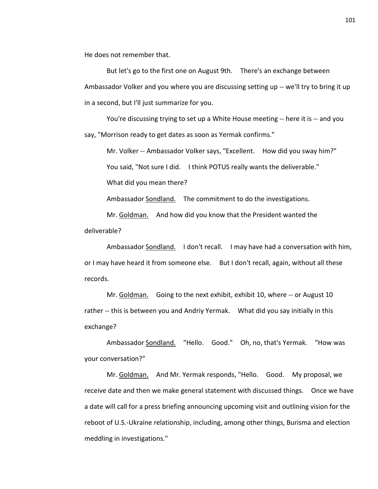He does not remember that.

But let's go to the first one on August 9th. There's an exchange between Ambassador Volker and you where you are discussing setting up -- we'll try to bring it up in a second, but I'll just summarize for you.

You're discussing trying to set up a White House meeting -- here it is -- and you say, "Morrison ready to get dates as soon as Yermak confirms."

Mr. Volker -- Ambassador Volker says, "Excellent. How did you sway him?"

You said, "Not sure I did. I think POTUS really wants the deliverable."

What did you mean there?

Ambassador Sondland. The commitment to do the investigations.

Mr. Goldman. And how did you know that the President wanted the deliverable?

Ambassador Sondland. I don't recall. I may have had a conversation with him, or I may have heard it from someone else. But I don't recall, again, without all these records.

Mr. Goldman. Going to the next exhibit, exhibit 10, where -- or August 10 rather -- this is between you and Andriy Yermak. What did you say initially in this exchange?

Ambassador Sondland. "Hello. Good." Oh, no, that's Yermak. "How was your conversation?"

Mr. Goldman. And Mr. Yermak responds, "Hello. Good. My proposal, we receive date and then we make general statement with discussed things. Once we have a date will call for a press briefing announcing upcoming visit and outlining vision for the reboot of U.S.-Ukraine relationship, including, among other things, Burisma and election meddling in investigations."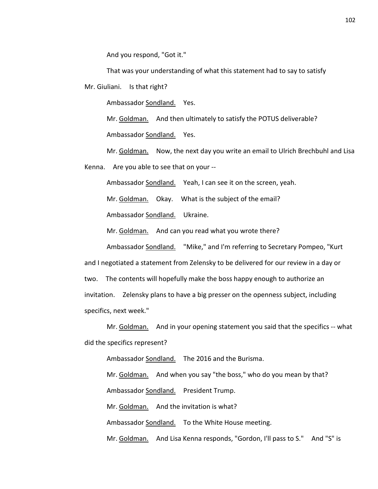And you respond, "Got it."

That was your understanding of what this statement had to say to satisfy

Mr. Giuliani. Is that right?

Ambassador Sondland. Yes.

Mr. Goldman. And then ultimately to satisfy the POTUS deliverable? Ambassador Sondland. Yes.

Mr. Goldman. Now, the next day you write an email to Ulrich Brechbuhl and Lisa Kenna. Are you able to see that on your --

Ambassador Sondland. Yeah, I can see it on the screen, yeah.

Mr. Goldman. Okay. What is the subject of the email?

Ambassador Sondland. Ukraine.

Mr. Goldman. And can you read what you wrote there?

Ambassador Sondland. "Mike," and I'm referring to Secretary Pompeo, "Kurt and I negotiated a statement from Zelensky to be delivered for our review in a day or two. The contents will hopefully make the boss happy enough to authorize an invitation. Zelensky plans to have a big presser on the openness subject, including specifics, next week."

Mr. Goldman. And in your opening statement you said that the specifics -- what did the specifics represent?

Ambassador Sondland. The 2016 and the Burisma.

Mr. Goldman. And when you say "the boss," who do you mean by that?

Ambassador Sondland. President Trump.

Mr. Goldman. And the invitation is what?

Ambassador Sondland. To the White House meeting.

Mr. Goldman. And Lisa Kenna responds, "Gordon, I'll pass to S." And "S" is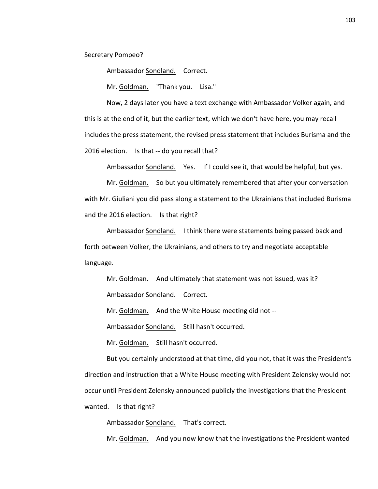Secretary Pompeo?

Ambassador Sondland. Correct.

Mr. Goldman. "Thank you. Lisa."

Now, 2 days later you have a text exchange with Ambassador Volker again, and this is at the end of it, but the earlier text, which we don't have here, you may recall includes the press statement, the revised press statement that includes Burisma and the 2016 election. Is that -- do you recall that?

Ambassador Sondland. Yes. If I could see it, that would be helpful, but yes.

Mr. Goldman. So but you ultimately remembered that after your conversation with Mr. Giuliani you did pass along a statement to the Ukrainians that included Burisma and the 2016 election. Is that right?

Ambassador Sondland. I think there were statements being passed back and forth between Volker, the Ukrainians, and others to try and negotiate acceptable language.

Mr. Goldman. And ultimately that statement was not issued, was it?

Ambassador Sondland. Correct.

Mr. Goldman. And the White House meeting did not --

Ambassador Sondland. Still hasn't occurred.

Mr. Goldman. Still hasn't occurred.

But you certainly understood at that time, did you not, that it was the President's direction and instruction that a White House meeting with President Zelensky would not occur until President Zelensky announced publicly the investigations that the President wanted. Is that right?

Ambassador Sondland. That's correct.

Mr. Goldman. And you now know that the investigations the President wanted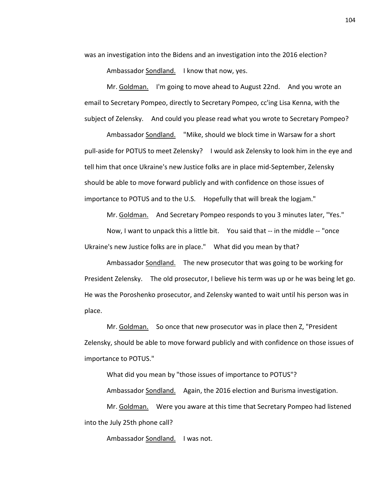was an investigation into the Bidens and an investigation into the 2016 election?

Ambassador Sondland. I know that now, yes.

Mr. Goldman. I'm going to move ahead to August 22nd. And you wrote an email to Secretary Pompeo, directly to Secretary Pompeo, cc'ing Lisa Kenna, with the subject of Zelensky. And could you please read what you wrote to Secretary Pompeo?

Ambassador Sondland. "Mike, should we block time in Warsaw for a short pull-aside for POTUS to meet Zelensky? I would ask Zelensky to look him in the eye and tell him that once Ukraine's new Justice folks are in place mid-September, Zelensky should be able to move forward publicly and with confidence on those issues of importance to POTUS and to the U.S. Hopefully that will break the logjam."

Mr. Goldman. And Secretary Pompeo responds to you 3 minutes later, "Yes."

Now, I want to unpack this a little bit. You said that -- in the middle -- "once Ukraine's new Justice folks are in place." What did you mean by that?

Ambassador Sondland. The new prosecutor that was going to be working for President Zelensky. The old prosecutor, I believe his term was up or he was being let go. He was the Poroshenko prosecutor, and Zelensky wanted to wait until his person was in place.

Mr. Goldman. So once that new prosecutor was in place then Z, "President Zelensky, should be able to move forward publicly and with confidence on those issues of importance to POTUS."

What did you mean by "those issues of importance to POTUS"?

Ambassador Sondland. Again, the 2016 election and Burisma investigation.

Mr. Goldman. Were you aware at this time that Secretary Pompeo had listened into the July 25th phone call?

Ambassador Sondland. I was not.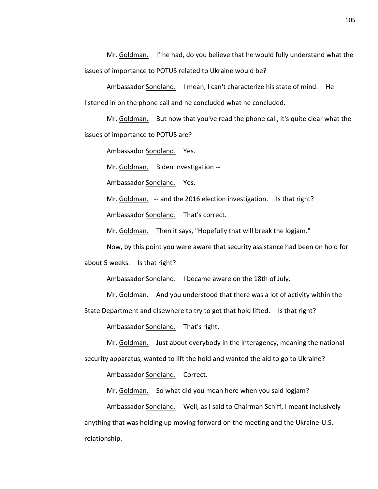Mr. Goldman. If he had, do you believe that he would fully understand what the issues of importance to POTUS related to Ukraine would be?

Ambassador Sondland. I mean, I can't characterize his state of mind. He listened in on the phone call and he concluded what he concluded.

Mr. Goldman. But now that you've read the phone call, it's quite clear what the issues of importance to POTUS are?

Ambassador Sondland. Yes.

Mr. Goldman. Biden investigation --

Ambassador Sondland. Yes.

Mr. Goldman. -- and the 2016 election investigation. Is that right? Ambassador Sondland. That's correct.

Mr. Goldman. Then it says, "Hopefully that will break the logjam."

Now, by this point you were aware that security assistance had been on hold for

about 5 weeks. Is that right?

Ambassador Sondland. I became aware on the 18th of July.

Mr. Goldman. And you understood that there was a lot of activity within the

State Department and elsewhere to try to get that hold lifted. Is that right?

Ambassador Sondland. That's right.

Mr. Goldman. Just about everybody in the interagency, meaning the national

security apparatus, wanted to lift the hold and wanted the aid to go to Ukraine?

Ambassador Sondland. Correct.

Mr. Goldman. So what did you mean here when you said logjam?

Ambassador Sondland. Well, as I said to Chairman Schiff, I meant inclusively anything that was holding up moving forward on the meeting and the Ukraine-U.S. relationship.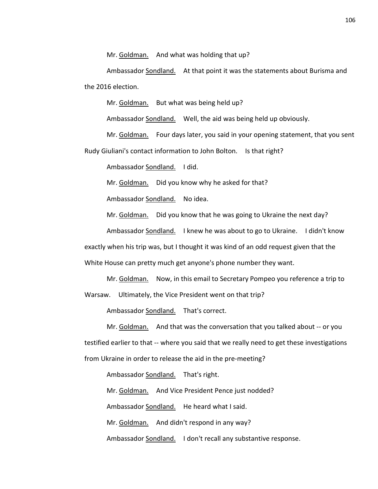Mr. Goldman. And what was holding that up?

Ambassador Sondland. At that point it was the statements about Burisma and the 2016 election.

Mr. Goldman. But what was being held up?

Ambassador Sondland. Well, the aid was being held up obviously.

Mr. Goldman. Four days later, you said in your opening statement, that you sent Rudy Giuliani's contact information to John Bolton. Is that right?

Ambassador Sondland. I did.

Mr. Goldman. Did you know why he asked for that?

Ambassador Sondland. No idea.

Mr. Goldman. Did you know that he was going to Ukraine the next day?

Ambassador Sondland. I knew he was about to go to Ukraine. I didn't know exactly when his trip was, but I thought it was kind of an odd request given that the White House can pretty much get anyone's phone number they want.

Mr. Goldman. Now, in this email to Secretary Pompeo you reference a trip to Warsaw. Ultimately, the Vice President went on that trip?

Ambassador Sondland. That's correct.

Mr. Goldman. And that was the conversation that you talked about -- or you testified earlier to that -- where you said that we really need to get these investigations from Ukraine in order to release the aid in the pre-meeting?

Ambassador Sondland. That's right.

Mr. Goldman. And Vice President Pence just nodded?

Ambassador Sondland. He heard what I said.

Mr. Goldman. And didn't respond in any way?

Ambassador Sondland. I don't recall any substantive response.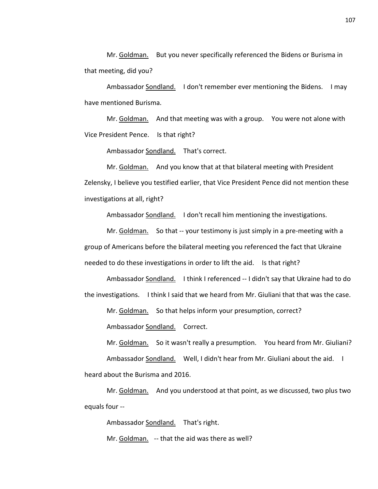Mr. Goldman. But you never specifically referenced the Bidens or Burisma in that meeting, did you?

Ambassador Sondland. I don't remember ever mentioning the Bidens. I may have mentioned Burisma.

Mr. Goldman. And that meeting was with a group. You were not alone with Vice President Pence. Is that right?

Ambassador Sondland. That's correct.

Mr. Goldman. And you know that at that bilateral meeting with President Zelensky, I believe you testified earlier, that Vice President Pence did not mention these investigations at all, right?

Ambassador Sondland. I don't recall him mentioning the investigations.

Mr. Goldman. So that -- your testimony is just simply in a pre-meeting with a group of Americans before the bilateral meeting you referenced the fact that Ukraine needed to do these investigations in order to lift the aid. Is that right?

Ambassador Sondland. I think I referenced -- I didn't say that Ukraine had to do the investigations. I think I said that we heard from Mr. Giuliani that that was the case.

Mr. Goldman. So that helps inform your presumption, correct?

Ambassador Sondland. Correct.

Mr. Goldman. So it wasn't really a presumption. You heard from Mr. Giuliani?

Ambassador Sondland. Well, I didn't hear from Mr. Giuliani about the aid. I

heard about the Burisma and 2016.

Mr. Goldman. And you understood at that point, as we discussed, two plus two equals four --

Ambassador Sondland. That's right.

Mr. Goldman. -- that the aid was there as well?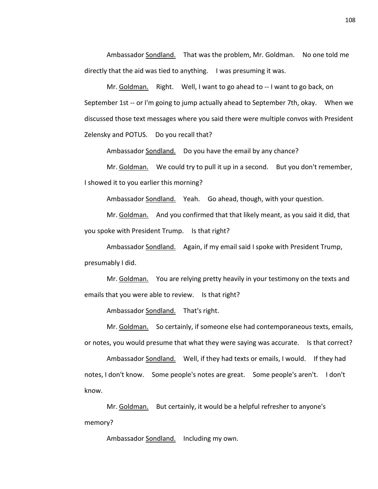Ambassador Sondland. That was the problem, Mr. Goldman. No one told me directly that the aid was tied to anything. I was presuming it was.

Mr. Goldman. Right. Well, I want to go ahead to -- I want to go back, on September 1st -- or I'm going to jump actually ahead to September 7th, okay. When we discussed those text messages where you said there were multiple convos with President Zelensky and POTUS. Do you recall that?

Ambassador Sondland. Do you have the email by any chance?

Mr. Goldman. We could try to pull it up in a second. But you don't remember, I showed it to you earlier this morning?

Ambassador Sondland. Yeah. Go ahead, though, with your question.

Mr. Goldman. And you confirmed that that likely meant, as you said it did, that you spoke with President Trump. Is that right?

Ambassador Sondland. Again, if my email said I spoke with President Trump, presumably I did.

Mr. Goldman. You are relying pretty heavily in your testimony on the texts and emails that you were able to review. Is that right?

Ambassador Sondland. That's right.

Mr. Goldman. So certainly, if someone else had contemporaneous texts, emails, or notes, you would presume that what they were saying was accurate. Is that correct?

Ambassador Sondland. Well, if they had texts or emails, I would. If they had notes, I don't know. Some people's notes are great. Some people's aren't. I don't know.

Mr. Goldman. But certainly, it would be a helpful refresher to anyone's memory?

Ambassador Sondland. Including my own.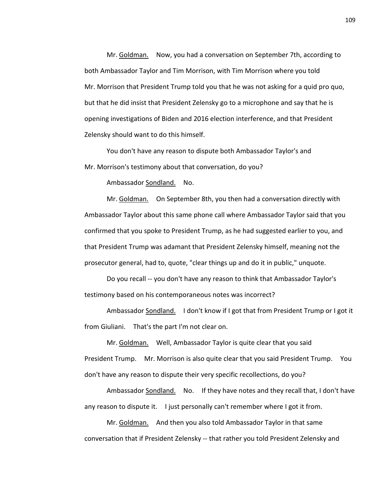Mr. Goldman. Now, you had a conversation on September 7th, according to both Ambassador Taylor and Tim Morrison, with Tim Morrison where you told Mr. Morrison that President Trump told you that he was not asking for a quid pro quo, but that he did insist that President Zelensky go to a microphone and say that he is opening investigations of Biden and 2016 election interference, and that President Zelensky should want to do this himself.

You don't have any reason to dispute both Ambassador Taylor's and Mr. Morrison's testimony about that conversation, do you?

Ambassador Sondland. No.

Mr. Goldman. On September 8th, you then had a conversation directly with Ambassador Taylor about this same phone call where Ambassador Taylor said that you confirmed that you spoke to President Trump, as he had suggested earlier to you, and that President Trump was adamant that President Zelensky himself, meaning not the prosecutor general, had to, quote, "clear things up and do it in public," unquote.

Do you recall -- you don't have any reason to think that Ambassador Taylor's testimony based on his contemporaneous notes was incorrect?

Ambassador Sondland. I don't know if I got that from President Trump or I got it from Giuliani. That's the part I'm not clear on.

Mr. Goldman. Well, Ambassador Taylor is quite clear that you said President Trump. Mr. Morrison is also quite clear that you said President Trump. You don't have any reason to dispute their very specific recollections, do you?

Ambassador Sondland. No. If they have notes and they recall that, I don't have any reason to dispute it. I just personally can't remember where I got it from.

Mr. Goldman. And then you also told Ambassador Taylor in that same conversation that if President Zelensky -- that rather you told President Zelensky and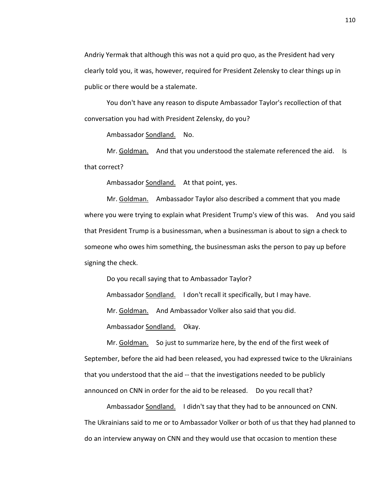Andriy Yermak that although this was not a quid pro quo, as the President had very clearly told you, it was, however, required for President Zelensky to clear things up in public or there would be a stalemate.

You don't have any reason to dispute Ambassador Taylor's recollection of that conversation you had with President Zelensky, do you?

Ambassador Sondland. No.

Mr. Goldman. And that you understood the stalemate referenced the aid. Is that correct?

Ambassador Sondland. At that point, yes.

Mr. Goldman. Ambassador Taylor also described a comment that you made where you were trying to explain what President Trump's view of this was. And you said that President Trump is a businessman, when a businessman is about to sign a check to someone who owes him something, the businessman asks the person to pay up before signing the check.

Do you recall saying that to Ambassador Taylor?

Ambassador Sondland. I don't recall it specifically, but I may have.

Mr. Goldman. And Ambassador Volker also said that you did.

Ambassador Sondland. Okay.

Mr. Goldman. So just to summarize here, by the end of the first week of September, before the aid had been released, you had expressed twice to the Ukrainians that you understood that the aid -- that the investigations needed to be publicly announced on CNN in order for the aid to be released. Do you recall that?

Ambassador Sondland. I didn't say that they had to be announced on CNN. The Ukrainians said to me or to Ambassador Volker or both of us that they had planned to do an interview anyway on CNN and they would use that occasion to mention these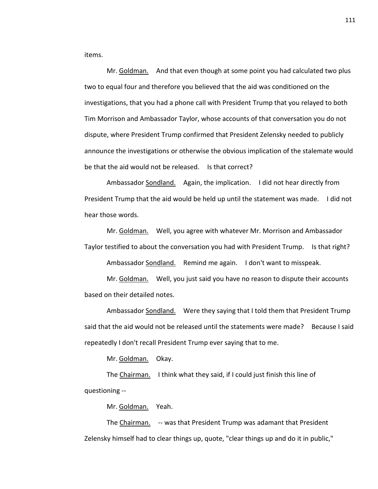items.

Mr. Goldman. And that even though at some point you had calculated two plus two to equal four and therefore you believed that the aid was conditioned on the investigations, that you had a phone call with President Trump that you relayed to both Tim Morrison and Ambassador Taylor, whose accounts of that conversation you do not dispute, where President Trump confirmed that President Zelensky needed to publicly announce the investigations or otherwise the obvious implication of the stalemate would be that the aid would not be released. Is that correct?

Ambassador Sondland. Again, the implication. I did not hear directly from President Trump that the aid would be held up until the statement was made. I did not hear those words.

Mr. Goldman. Well, you agree with whatever Mr. Morrison and Ambassador Taylor testified to about the conversation you had with President Trump. Is that right?

Ambassador Sondland. Remind me again. I don't want to misspeak.

Mr. Goldman. Well, you just said you have no reason to dispute their accounts based on their detailed notes.

Ambassador Sondland. Were they saying that I told them that President Trump said that the aid would not be released until the statements were made? Because I said repeatedly I don't recall President Trump ever saying that to me.

Mr. Goldman. Okay.

The Chairman. I think what they said, if I could just finish this line of questioning --

Mr. Goldman. Yeah.

The Chairman. -- was that President Trump was adamant that President Zelensky himself had to clear things up, quote, "clear things up and do it in public,"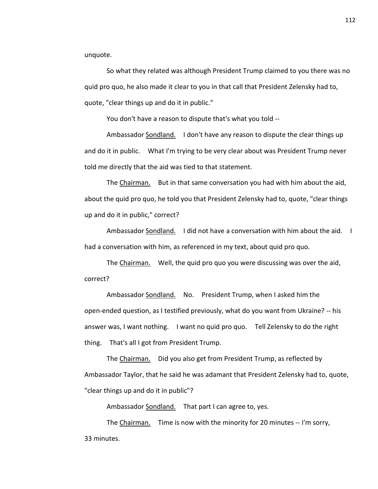unquote.

So what they related was although President Trump claimed to you there was no quid pro quo, he also made it clear to you in that call that President Zelensky had to, quote, "clear things up and do it in public."

You don't have a reason to dispute that's what you told --

Ambassador Sondland. I don't have any reason to dispute the clear things up and do it in public. What I'm trying to be very clear about was President Trump never told me directly that the aid was tied to that statement.

The Chairman. But in that same conversation you had with him about the aid, about the quid pro quo, he told you that President Zelensky had to, quote, "clear things up and do it in public," correct?

Ambassador Sondland. I did not have a conversation with him about the aid. I had a conversation with him, as referenced in my text, about quid pro quo.

The Chairman. Well, the quid pro quo you were discussing was over the aid, correct?

Ambassador Sondland. No. President Trump, when I asked him the open-ended question, as I testified previously, what do you want from Ukraine? -- his answer was, I want nothing. I want no quid pro quo. Tell Zelensky to do the right thing. That's all I got from President Trump.

The Chairman. Did you also get from President Trump, as reflected by Ambassador Taylor, that he said he was adamant that President Zelensky had to, quote, "clear things up and do it in public"?

Ambassador Sondland. That part I can agree to, yes.

The Chairman. Time is now with the minority for 20 minutes -- I'm sorry, 33 minutes.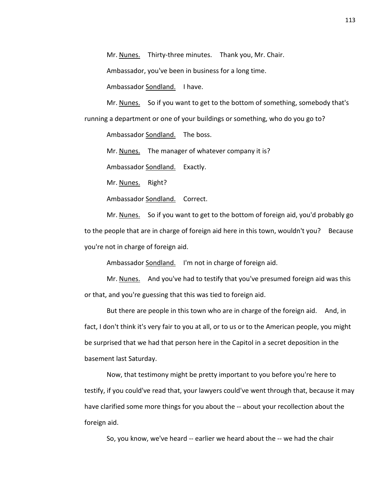Mr. Nunes. Thirty-three minutes. Thank you, Mr. Chair.

Ambassador, you've been in business for a long time.

Ambassador Sondland. I have.

Mr. Nunes. So if you want to get to the bottom of something, somebody that's running a department or one of your buildings or something, who do you go to?

Ambassador Sondland. The boss.

Mr. Nunes. The manager of whatever company it is?

Ambassador Sondland. Exactly.

Mr. Nunes. Right?

Ambassador Sondland. Correct.

Mr. Nunes. So if you want to get to the bottom of foreign aid, you'd probably go to the people that are in charge of foreign aid here in this town, wouldn't you? Because you're not in charge of foreign aid.

Ambassador Sondland. I'm not in charge of foreign aid.

Mr. Nunes. And you've had to testify that you've presumed foreign aid was this or that, and you're guessing that this was tied to foreign aid.

But there are people in this town who are in charge of the foreign aid. And, in fact, I don't think it's very fair to you at all, or to us or to the American people, you might be surprised that we had that person here in the Capitol in a secret deposition in the basement last Saturday.

Now, that testimony might be pretty important to you before you're here to testify, if you could've read that, your lawyers could've went through that, because it may have clarified some more things for you about the -- about your recollection about the foreign aid.

So, you know, we've heard -- earlier we heard about the -- we had the chair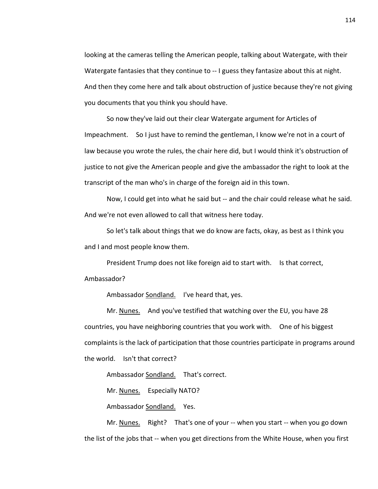looking at the cameras telling the American people, talking about Watergate, with their Watergate fantasies that they continue to -- I guess they fantasize about this at night. And then they come here and talk about obstruction of justice because they're not giving you documents that you think you should have.

So now they've laid out their clear Watergate argument for Articles of Impeachment. So I just have to remind the gentleman, I know we're not in a court of law because you wrote the rules, the chair here did, but I would think it's obstruction of justice to not give the American people and give the ambassador the right to look at the transcript of the man who's in charge of the foreign aid in this town.

Now, I could get into what he said but -- and the chair could release what he said. And we're not even allowed to call that witness here today.

So let's talk about things that we do know are facts, okay, as best as I think you and I and most people know them.

President Trump does not like foreign aid to start with. Is that correct, Ambassador?

Ambassador Sondland. I've heard that, yes.

Mr. Nunes. And you've testified that watching over the EU, you have 28 countries, you have neighboring countries that you work with. One of his biggest complaints is the lack of participation that those countries participate in programs around the world. Isn't that correct?

Ambassador Sondland. That's correct.

Mr. Nunes. Especially NATO?

Ambassador Sondland. Yes.

Mr. Nunes. Right? That's one of your -- when you start -- when you go down the list of the jobs that -- when you get directions from the White House, when you first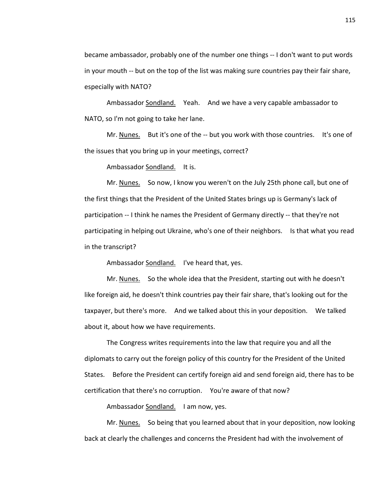became ambassador, probably one of the number one things -- I don't want to put words in your mouth -- but on the top of the list was making sure countries pay their fair share, especially with NATO?

Ambassador Sondland. Yeah. And we have a very capable ambassador to NATO, so I'm not going to take her lane.

Mr. Nunes. But it's one of the -- but you work with those countries. It's one of the issues that you bring up in your meetings, correct?

Ambassador Sondland. It is.

Mr. Nunes. So now, I know you weren't on the July 25th phone call, but one of the first things that the President of the United States brings up is Germany's lack of participation -- I think he names the President of Germany directly -- that they're not participating in helping out Ukraine, who's one of their neighbors. Is that what you read in the transcript?

Ambassador Sondland. I've heard that, yes.

Mr. Nunes. So the whole idea that the President, starting out with he doesn't like foreign aid, he doesn't think countries pay their fair share, that's looking out for the taxpayer, but there's more. And we talked about this in your deposition. We talked about it, about how we have requirements.

The Congress writes requirements into the law that require you and all the diplomats to carry out the foreign policy of this country for the President of the United States. Before the President can certify foreign aid and send foreign aid, there has to be certification that there's no corruption. You're aware of that now?

Ambassador Sondland. I am now, yes.

Mr. Nunes. So being that you learned about that in your deposition, now looking back at clearly the challenges and concerns the President had with the involvement of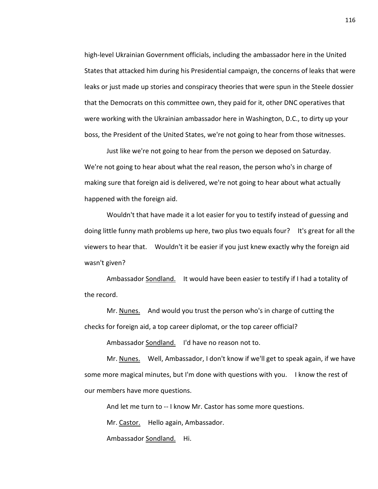high-level Ukrainian Government officials, including the ambassador here in the United States that attacked him during his Presidential campaign, the concerns of leaks that were leaks or just made up stories and conspiracy theories that were spun in the Steele dossier that the Democrats on this committee own, they paid for it, other DNC operatives that were working with the Ukrainian ambassador here in Washington, D.C., to dirty up your boss, the President of the United States, we're not going to hear from those witnesses.

Just like we're not going to hear from the person we deposed on Saturday. We're not going to hear about what the real reason, the person who's in charge of making sure that foreign aid is delivered, we're not going to hear about what actually happened with the foreign aid.

Wouldn't that have made it a lot easier for you to testify instead of guessing and doing little funny math problems up here, two plus two equals four? It's great for all the viewers to hear that. Wouldn't it be easier if you just knew exactly why the foreign aid wasn't given?

Ambassador Sondland. It would have been easier to testify if I had a totality of the record.

Mr. Nunes. And would you trust the person who's in charge of cutting the checks for foreign aid, a top career diplomat, or the top career official?

Ambassador Sondland. I'd have no reason not to.

Mr. Nunes. Well, Ambassador, I don't know if we'll get to speak again, if we have some more magical minutes, but I'm done with questions with you. I know the rest of our members have more questions.

And let me turn to -- I know Mr. Castor has some more questions.

Mr. Castor. Hello again, Ambassador.

Ambassador Sondland. Hi.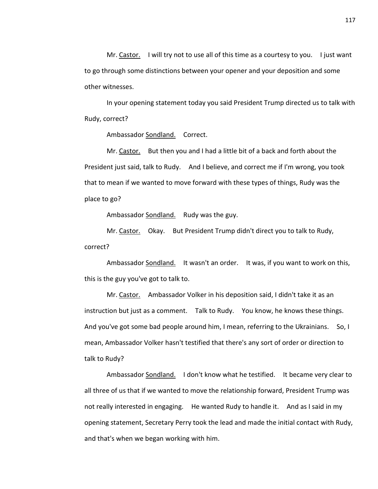Mr. Castor. I will try not to use all of this time as a courtesy to you. I just want to go through some distinctions between your opener and your deposition and some other witnesses.

In your opening statement today you said President Trump directed us to talk with Rudy, correct?

Ambassador Sondland. Correct.

Mr. Castor. But then you and I had a little bit of a back and forth about the President just said, talk to Rudy. And I believe, and correct me if I'm wrong, you took that to mean if we wanted to move forward with these types of things, Rudy was the place to go?

Ambassador Sondland. Rudy was the guy.

Mr. Castor. Okay. But President Trump didn't direct you to talk to Rudy, correct?

Ambassador Sondland. It wasn't an order. It was, if you want to work on this, this is the guy you've got to talk to.

Mr. Castor. Ambassador Volker in his deposition said, I didn't take it as an instruction but just as a comment. Talk to Rudy. You know, he knows these things. And you've got some bad people around him, I mean, referring to the Ukrainians. So, I mean, Ambassador Volker hasn't testified that there's any sort of order or direction to talk to Rudy?

Ambassador Sondland. I don't know what he testified. It became very clear to all three of us that if we wanted to move the relationship forward, President Trump was not really interested in engaging. He wanted Rudy to handle it. And as I said in my opening statement, Secretary Perry took the lead and made the initial contact with Rudy, and that's when we began working with him.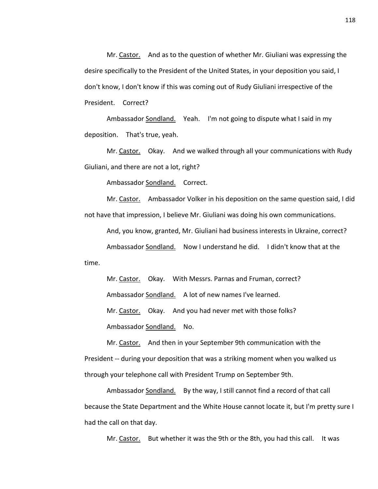Mr. Castor. And as to the question of whether Mr. Giuliani was expressing the desire specifically to the President of the United States, in your deposition you said, I don't know, I don't know if this was coming out of Rudy Giuliani irrespective of the President. Correct?

Ambassador Sondland. Yeah. I'm not going to dispute what I said in my deposition. That's true, yeah.

Mr. Castor. Okay. And we walked through all your communications with Rudy Giuliani, and there are not a lot, right?

Ambassador Sondland. Correct.

Mr. Castor. Ambassador Volker in his deposition on the same question said, I did not have that impression, I believe Mr. Giuliani was doing his own communications.

And, you know, granted, Mr. Giuliani had business interests in Ukraine, correct?

Ambassador Sondland. Now I understand he did. I didn't know that at the time.

Mr. Castor. Okay. With Messrs. Parnas and Fruman, correct?

Ambassador Sondland. A lot of new names I've learned.

Mr. Castor. Okay. And you had never met with those folks?

Ambassador Sondland. No.

Mr. Castor. And then in your September 9th communication with the President -- during your deposition that was a striking moment when you walked us through your telephone call with President Trump on September 9th.

Ambassador Sondland. By the way, I still cannot find a record of that call because the State Department and the White House cannot locate it, but I'm pretty sure I had the call on that day.

Mr. Castor. But whether it was the 9th or the 8th, you had this call. It was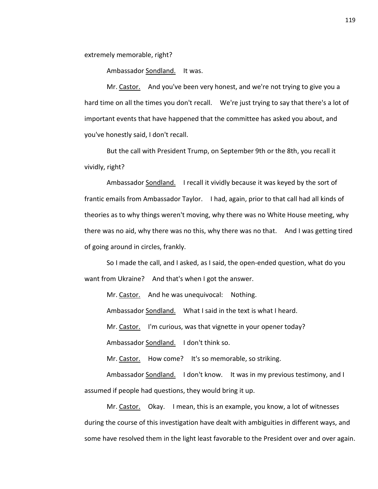extremely memorable, right?

Ambassador Sondland. It was.

Mr. Castor. And you've been very honest, and we're not trying to give you a hard time on all the times you don't recall. We're just trying to say that there's a lot of important events that have happened that the committee has asked you about, and you've honestly said, I don't recall.

But the call with President Trump, on September 9th or the 8th, you recall it vividly, right?

Ambassador Sondland. I recall it vividly because it was keyed by the sort of frantic emails from Ambassador Taylor. I had, again, prior to that call had all kinds of theories as to why things weren't moving, why there was no White House meeting, why there was no aid, why there was no this, why there was no that. And I was getting tired of going around in circles, frankly.

So I made the call, and I asked, as I said, the open-ended question, what do you want from Ukraine? And that's when I got the answer.

Mr. Castor. And he was unequivocal: Nothing.

Ambassador Sondland. What I said in the text is what I heard.

Mr. Castor. I'm curious, was that vignette in your opener today?

Ambassador Sondland. I don't think so.

Mr. Castor. How come? It's so memorable, so striking.

Ambassador Sondland. I don't know. It was in my previous testimony, and I assumed if people had questions, they would bring it up.

Mr. Castor. Okay. I mean, this is an example, you know, a lot of witnesses during the course of this investigation have dealt with ambiguities in different ways, and some have resolved them in the light least favorable to the President over and over again.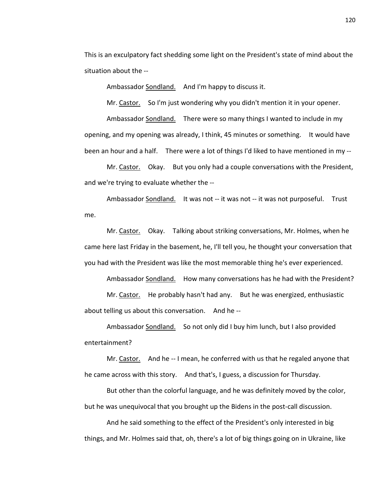This is an exculpatory fact shedding some light on the President's state of mind about the situation about the --

Ambassador Sondland. And I'm happy to discuss it.

Mr. Castor. So I'm just wondering why you didn't mention it in your opener.

Ambassador Sondland. There were so many things I wanted to include in my opening, and my opening was already, I think, 45 minutes or something. It would have been an hour and a half. There were a lot of things I'd liked to have mentioned in my --

Mr. Castor. Okay. But you only had a couple conversations with the President, and we're trying to evaluate whether the --

Ambassador Sondland. It was not -- it was not -- it was not purposeful. Trust me.

Mr. Castor. Okay. Talking about striking conversations, Mr. Holmes, when he came here last Friday in the basement, he, I'll tell you, he thought your conversation that you had with the President was like the most memorable thing he's ever experienced.

Ambassador Sondland. How many conversations has he had with the President?

Mr. Castor. He probably hasn't had any. But he was energized, enthusiastic about telling us about this conversation. And he --

Ambassador Sondland. So not only did I buy him lunch, but I also provided entertainment?

Mr. Castor. And he -- I mean, he conferred with us that he regaled anyone that he came across with this story. And that's, I guess, a discussion for Thursday.

But other than the colorful language, and he was definitely moved by the color, but he was unequivocal that you brought up the Bidens in the post-call discussion.

And he said something to the effect of the President's only interested in big things, and Mr. Holmes said that, oh, there's a lot of big things going on in Ukraine, like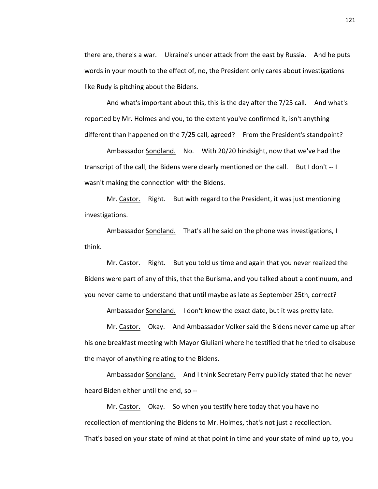there are, there's a war. Ukraine's under attack from the east by Russia. And he puts words in your mouth to the effect of, no, the President only cares about investigations like Rudy is pitching about the Bidens.

And what's important about this, this is the day after the 7/25 call. And what's reported by Mr. Holmes and you, to the extent you've confirmed it, isn't anything different than happened on the 7/25 call, agreed? From the President's standpoint?

Ambassador Sondland. No. With 20/20 hindsight, now that we've had the transcript of the call, the Bidens were clearly mentioned on the call. But I don't -- I wasn't making the connection with the Bidens.

Mr. Castor. Right. But with regard to the President, it was just mentioning investigations.

Ambassador Sondland. That's all he said on the phone was investigations, I think.

Mr. Castor. Right. But you told us time and again that you never realized the Bidens were part of any of this, that the Burisma, and you talked about a continuum, and you never came to understand that until maybe as late as September 25th, correct?

Ambassador Sondland. I don't know the exact date, but it was pretty late.

Mr. Castor. Okay. And Ambassador Volker said the Bidens never came up after his one breakfast meeting with Mayor Giuliani where he testified that he tried to disabuse the mayor of anything relating to the Bidens.

Ambassador Sondland. And I think Secretary Perry publicly stated that he never heard Biden either until the end, so --

Mr. Castor. Okay. So when you testify here today that you have no recollection of mentioning the Bidens to Mr. Holmes, that's not just a recollection. That's based on your state of mind at that point in time and your state of mind up to, you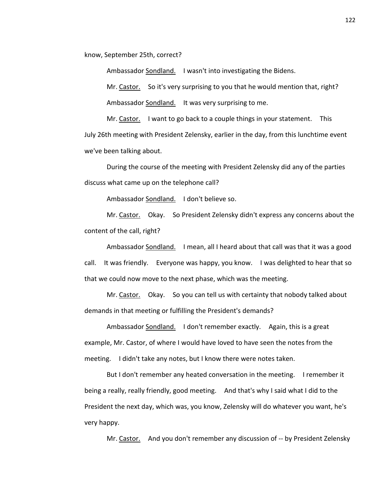know, September 25th, correct?

Ambassador Sondland. I wasn't into investigating the Bidens.

Mr. Castor. So it's very surprising to you that he would mention that, right? Ambassador Sondland. It was very surprising to me.

Mr. Castor. I want to go back to a couple things in your statement. This July 26th meeting with President Zelensky, earlier in the day, from this lunchtime event we've been talking about.

During the course of the meeting with President Zelensky did any of the parties discuss what came up on the telephone call?

Ambassador Sondland. I don't believe so.

Mr. Castor. Okay. So President Zelensky didn't express any concerns about the content of the call, right?

Ambassador Sondland. I mean, all I heard about that call was that it was a good call. It was friendly. Everyone was happy, you know. I was delighted to hear that so that we could now move to the next phase, which was the meeting.

Mr. Castor. Okay. So you can tell us with certainty that nobody talked about demands in that meeting or fulfilling the President's demands?

Ambassador Sondland. I don't remember exactly. Again, this is a great example, Mr. Castor, of where I would have loved to have seen the notes from the meeting. I didn't take any notes, but I know there were notes taken.

But I don't remember any heated conversation in the meeting. I remember it being a really, really friendly, good meeting. And that's why I said what I did to the President the next day, which was, you know, Zelensky will do whatever you want, he's very happy.

Mr. Castor. And you don't remember any discussion of -- by President Zelensky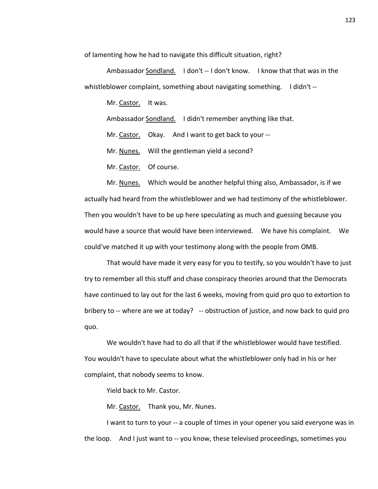of lamenting how he had to navigate this difficult situation, right?

Ambassador Sondland. I don't -- I don't know. I know that that was in the whistleblower complaint, something about navigating something. I didn't --

Mr. Castor. It was.

Ambassador Sondland. I didn't remember anything like that.

Mr. Castor. Okay. And I want to get back to your --

Mr. Nunes. Will the gentleman yield a second?

Mr. Castor. Of course.

Mr. Nunes. Which would be another helpful thing also, Ambassador, is if we actually had heard from the whistleblower and we had testimony of the whistleblower. Then you wouldn't have to be up here speculating as much and guessing because you would have a source that would have been interviewed. We have his complaint. We could've matched it up with your testimony along with the people from OMB.

That would have made it very easy for you to testify, so you wouldn't have to just try to remember all this stuff and chase conspiracy theories around that the Democrats have continued to lay out for the last 6 weeks, moving from quid pro quo to extortion to bribery to -- where are we at today? -- obstruction of justice, and now back to quid pro quo.

We wouldn't have had to do all that if the whistleblower would have testified. You wouldn't have to speculate about what the whistleblower only had in his or her complaint, that nobody seems to know.

Yield back to Mr. Castor.

Mr. Castor. Thank you, Mr. Nunes.

I want to turn to your -- a couple of times in your opener you said everyone was in the loop. And I just want to -- you know, these televised proceedings, sometimes you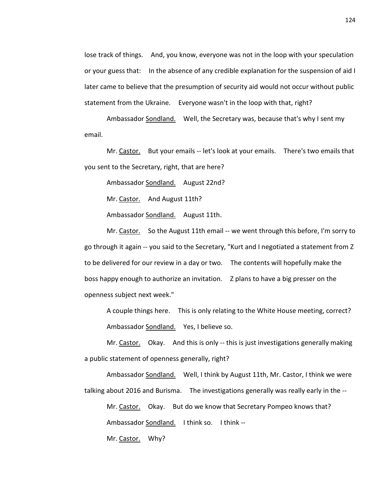lose track of things. And, you know, everyone was not in the loop with your speculation or your guess that: In the absence of any credible explanation for the suspension of aid I later came to believe that the presumption of security aid would not occur without public statement from the Ukraine. Everyone wasn't in the loop with that, right?

Ambassador Sondland. Well, the Secretary was, because that's why I sent my email.

Mr. Castor. But your emails -- let's look at your emails. There's two emails that you sent to the Secretary, right, that are here?

Ambassador Sondland. August 22nd?

Mr. Castor. And August 11th?

Ambassador Sondland. August 11th.

Mr. Castor. So the August 11th email -- we went through this before, I'm sorry to go through it again -- you said to the Secretary, "Kurt and I negotiated a statement from Z to be delivered for our review in a day or two. The contents will hopefully make the boss happy enough to authorize an invitation. Z plans to have a big presser on the openness subject next week."

A couple things here. This is only relating to the White House meeting, correct? Ambassador Sondland. Yes, I believe so.

Mr. Castor. Okay. And this is only -- this is just investigations generally making a public statement of openness generally, right?

Ambassador Sondland. Well, I think by August 11th, Mr. Castor, I think we were talking about 2016 and Burisma. The investigations generally was really early in the --

Mr. Castor. Okay. But do we know that Secretary Pompeo knows that?

Ambassador Sondland. I think so. I think --

Mr. Castor. Why?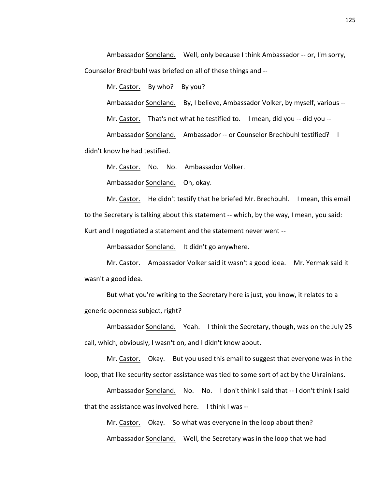Ambassador Sondland. Well, only because I think Ambassador -- or, I'm sorry, Counselor Brechbuhl was briefed on all of these things and --

Mr. Castor. By who? By you?

Ambassador Sondland. By, I believe, Ambassador Volker, by myself, various --

Mr. Castor. That's not what he testified to. I mean, did you -- did you --

Ambassador Sondland. Ambassador -- or Counselor Brechbuhl testified? I didn't know he had testified.

Mr. Castor. No. No. Ambassador Volker.

Ambassador Sondland. Oh, okay.

Mr. Castor. He didn't testify that he briefed Mr. Brechbuhl. I mean, this email to the Secretary is talking about this statement -- which, by the way, I mean, you said: Kurt and I negotiated a statement and the statement never went --

Ambassador Sondland. It didn't go anywhere.

Mr. Castor. Ambassador Volker said it wasn't a good idea. Mr. Yermak said it wasn't a good idea.

But what you're writing to the Secretary here is just, you know, it relates to a generic openness subject, right?

Ambassador Sondland. Yeah. I think the Secretary, though, was on the July 25 call, which, obviously, I wasn't on, and I didn't know about.

Mr. Castor. Okay. But you used this email to suggest that everyone was in the loop, that like security sector assistance was tied to some sort of act by the Ukrainians.

Ambassador Sondland. No. No. I don't think I said that -- I don't think I said that the assistance was involved here. I think I was --

Mr. Castor. Okay. So what was everyone in the loop about then? Ambassador Sondland. Well, the Secretary was in the loop that we had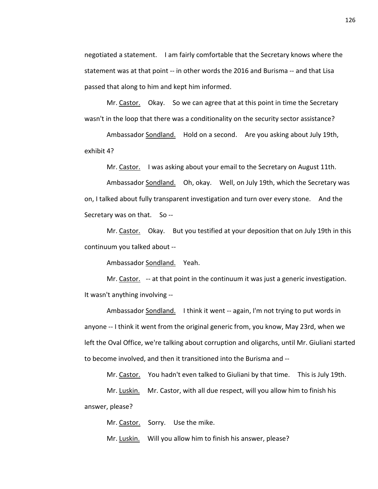negotiated a statement. I am fairly comfortable that the Secretary knows where the statement was at that point -- in other words the 2016 and Burisma -- and that Lisa passed that along to him and kept him informed.

Mr. Castor. Okay. So we can agree that at this point in time the Secretary wasn't in the loop that there was a conditionality on the security sector assistance?

Ambassador Sondland. Hold on a second. Are you asking about July 19th, exhibit 4?

Mr. Castor. I was asking about your email to the Secretary on August 11th.

Ambassador Sondland. Oh, okay. Well, on July 19th, which the Secretary was on, I talked about fully transparent investigation and turn over every stone. And the Secretary was on that. So --

Mr. Castor. Okay. But you testified at your deposition that on July 19th in this continuum you talked about --

Ambassador Sondland. Yeah.

Mr. Castor. -- at that point in the continuum it was just a generic investigation. It wasn't anything involving --

Ambassador Sondland. I think it went -- again, I'm not trying to put words in anyone -- I think it went from the original generic from, you know, May 23rd, when we left the Oval Office, we're talking about corruption and oligarchs, until Mr. Giuliani started to become involved, and then it transitioned into the Burisma and --

Mr. Castor. You hadn't even talked to Giuliani by that time. This is July 19th.

Mr. Luskin. Mr. Castor, with all due respect, will you allow him to finish his answer, please?

Mr. Castor. Sorry. Use the mike.

Mr. Luskin. Will you allow him to finish his answer, please?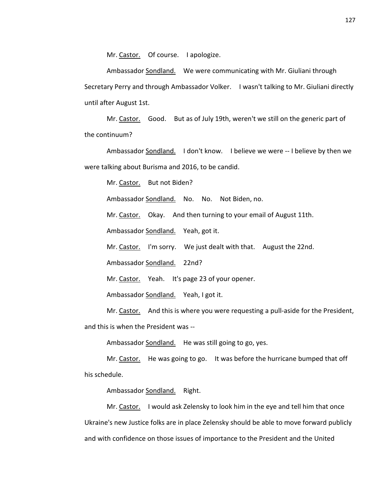Mr. Castor. Of course. I apologize.

Ambassador Sondland. We were communicating with Mr. Giuliani through Secretary Perry and through Ambassador Volker. I wasn't talking to Mr. Giuliani directly until after August 1st.

Mr. Castor. Good. But as of July 19th, weren't we still on the generic part of the continuum?

Ambassador Sondland. I don't know. I believe we were -- I believe by then we were talking about Burisma and 2016, to be candid.

Mr. Castor. But not Biden?

Ambassador Sondland. No. No. Not Biden, no.

Mr. Castor. Okay. And then turning to your email of August 11th.

Ambassador Sondland. Yeah, got it.

Mr. Castor. I'm sorry. We just dealt with that. August the 22nd.

Ambassador Sondland. 22nd?

Mr. Castor. Yeah. It's page 23 of your opener.

Ambassador Sondland. Yeah, I got it.

Mr. Castor. And this is where you were requesting a pull-aside for the President, and this is when the President was --

Ambassador Sondland. He was still going to go, yes.

Mr. Castor. He was going to go. It was before the hurricane bumped that off his schedule.

Ambassador Sondland. Right.

Mr. Castor. I would ask Zelensky to look him in the eye and tell him that once Ukraine's new Justice folks are in place Zelensky should be able to move forward publicly and with confidence on those issues of importance to the President and the United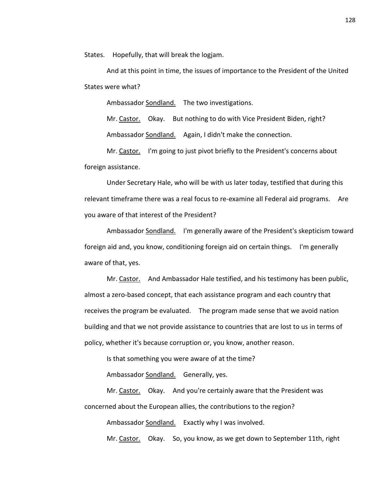States. Hopefully, that will break the logjam.

And at this point in time, the issues of importance to the President of the United States were what?

Ambassador Sondland. The two investigations.

Mr. Castor. Okay. But nothing to do with Vice President Biden, right? Ambassador Sondland. Again, I didn't make the connection.

Mr. Castor. I'm going to just pivot briefly to the President's concerns about foreign assistance.

Under Secretary Hale, who will be with us later today, testified that during this relevant timeframe there was a real focus to re-examine all Federal aid programs. Are you aware of that interest of the President?

Ambassador Sondland. I'm generally aware of the President's skepticism toward foreign aid and, you know, conditioning foreign aid on certain things. I'm generally aware of that, yes.

Mr. Castor. And Ambassador Hale testified, and his testimony has been public, almost a zero-based concept, that each assistance program and each country that receives the program be evaluated. The program made sense that we avoid nation building and that we not provide assistance to countries that are lost to us in terms of policy, whether it's because corruption or, you know, another reason.

Is that something you were aware of at the time?

Ambassador Sondland. Generally, yes.

Mr. Castor. Okay. And you're certainly aware that the President was concerned about the European allies, the contributions to the region?

Ambassador Sondland. Exactly why I was involved.

Mr. Castor. Okay. So, you know, as we get down to September 11th, right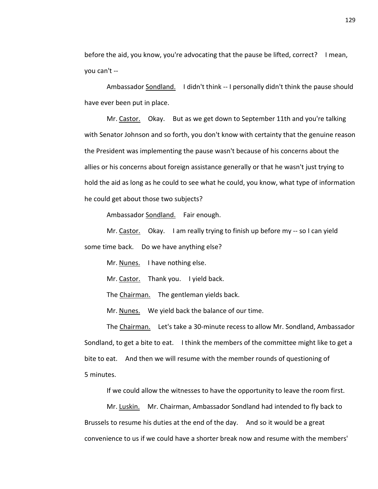before the aid, you know, you're advocating that the pause be lifted, correct? I mean, you can't --

Ambassador Sondland. I didn't think -- I personally didn't think the pause should have ever been put in place.

Mr. Castor. Okay. But as we get down to September 11th and you're talking with Senator Johnson and so forth, you don't know with certainty that the genuine reason the President was implementing the pause wasn't because of his concerns about the allies or his concerns about foreign assistance generally or that he wasn't just trying to hold the aid as long as he could to see what he could, you know, what type of information he could get about those two subjects?

Ambassador Sondland. Fair enough.

Mr. Castor. Okay. I am really trying to finish up before my -- so I can yield some time back. Do we have anything else?

Mr. Nunes. I have nothing else.

Mr. Castor. Thank you. I yield back.

The Chairman. The gentleman yields back.

Mr. Nunes. We yield back the balance of our time.

The Chairman. Let's take a 30-minute recess to allow Mr. Sondland, Ambassador Sondland, to get a bite to eat. I think the members of the committee might like to get a bite to eat. And then we will resume with the member rounds of questioning of 5 minutes.

If we could allow the witnesses to have the opportunity to leave the room first.

Mr. Luskin. Mr. Chairman, Ambassador Sondland had intended to fly back to Brussels to resume his duties at the end of the day. And so it would be a great convenience to us if we could have a shorter break now and resume with the members'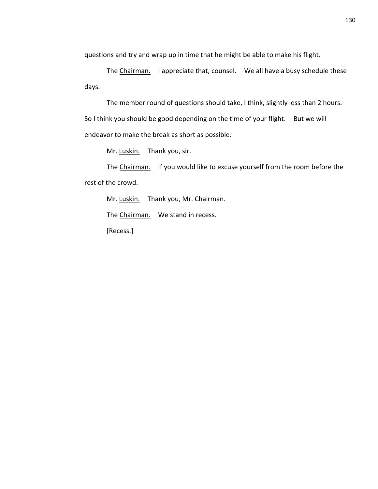questions and try and wrap up in time that he might be able to make his flight.

The Chairman. I appreciate that, counsel. We all have a busy schedule these days.

The member round of questions should take, I think, slightly less than 2 hours. So I think you should be good depending on the time of your flight. But we will endeavor to make the break as short as possible.

Mr. Luskin. Thank you, sir.

The Chairman. If you would like to excuse yourself from the room before the rest of the crowd.

Mr. Luskin. Thank you, Mr. Chairman.

The Chairman. We stand in recess.

[Recess.]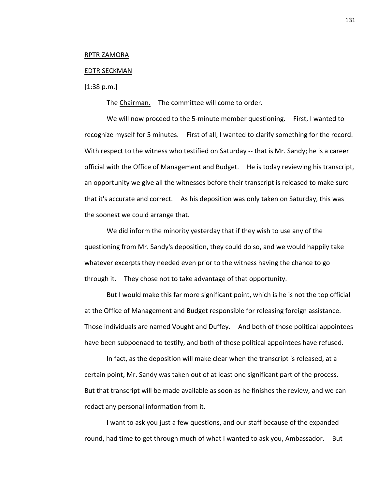## RPTR ZAMORA

## EDTR SECKMAN

[1:38 p.m.]

The Chairman. The committee will come to order.

We will now proceed to the 5-minute member questioning. First, I wanted to recognize myself for 5 minutes. First of all, I wanted to clarify something for the record. With respect to the witness who testified on Saturday -- that is Mr. Sandy; he is a career official with the Office of Management and Budget. He is today reviewing his transcript, an opportunity we give all the witnesses before their transcript is released to make sure that it's accurate and correct. As his deposition was only taken on Saturday, this was the soonest we could arrange that.

We did inform the minority yesterday that if they wish to use any of the questioning from Mr. Sandy's deposition, they could do so, and we would happily take whatever excerpts they needed even prior to the witness having the chance to go through it. They chose not to take advantage of that opportunity.

But I would make this far more significant point, which is he is not the top official at the Office of Management and Budget responsible for releasing foreign assistance. Those individuals are named Vought and Duffey. And both of those political appointees have been subpoenaed to testify, and both of those political appointees have refused.

In fact, as the deposition will make clear when the transcript is released, at a certain point, Mr. Sandy was taken out of at least one significant part of the process. But that transcript will be made available as soon as he finishes the review, and we can redact any personal information from it.

I want to ask you just a few questions, and our staff because of the expanded round, had time to get through much of what I wanted to ask you, Ambassador. But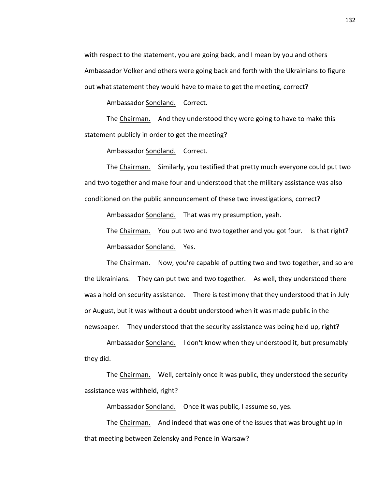with respect to the statement, you are going back, and I mean by you and others Ambassador Volker and others were going back and forth with the Ukrainians to figure out what statement they would have to make to get the meeting, correct?

Ambassador Sondland. Correct.

The Chairman. And they understood they were going to have to make this statement publicly in order to get the meeting?

Ambassador Sondland. Correct.

The Chairman. Similarly, you testified that pretty much everyone could put two and two together and make four and understood that the military assistance was also conditioned on the public announcement of these two investigations, correct?

Ambassador Sondland. That was my presumption, yeah.

The Chairman. You put two and two together and you got four. Is that right? Ambassador Sondland. Yes.

The Chairman. Now, you're capable of putting two and two together, and so are the Ukrainians. They can put two and two together. As well, they understood there was a hold on security assistance. There is testimony that they understood that in July or August, but it was without a doubt understood when it was made public in the newspaper. They understood that the security assistance was being held up, right?

Ambassador Sondland. I don't know when they understood it, but presumably they did.

The Chairman. Well, certainly once it was public, they understood the security assistance was withheld, right?

Ambassador Sondland. Once it was public, I assume so, yes.

The Chairman. And indeed that was one of the issues that was brought up in that meeting between Zelensky and Pence in Warsaw?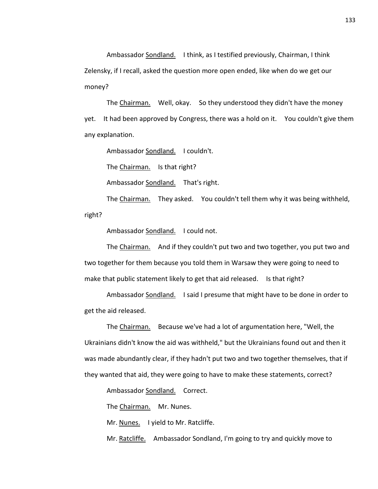Ambassador Sondland. I think, as I testified previously, Chairman, I think Zelensky, if I recall, asked the question more open ended, like when do we get our money?

The Chairman. Well, okay. So they understood they didn't have the money yet. It had been approved by Congress, there was a hold on it. You couldn't give them any explanation.

Ambassador Sondland. I couldn't.

The Chairman. Is that right?

Ambassador Sondland. That's right.

The Chairman. They asked. You couldn't tell them why it was being withheld, right?

Ambassador Sondland. I could not.

The Chairman. And if they couldn't put two and two together, you put two and two together for them because you told them in Warsaw they were going to need to make that public statement likely to get that aid released. Is that right?

Ambassador Sondland. I said I presume that might have to be done in order to get the aid released.

The Chairman. Because we've had a lot of argumentation here, "Well, the Ukrainians didn't know the aid was withheld," but the Ukrainians found out and then it was made abundantly clear, if they hadn't put two and two together themselves, that if they wanted that aid, they were going to have to make these statements, correct?

Ambassador Sondland. Correct.

The Chairman. Mr. Nunes.

Mr. Nunes. I yield to Mr. Ratcliffe.

Mr. Ratcliffe. Ambassador Sondland, I'm going to try and quickly move to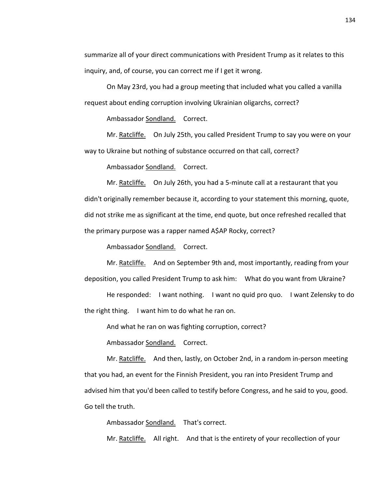summarize all of your direct communications with President Trump as it relates to this inquiry, and, of course, you can correct me if I get it wrong.

On May 23rd, you had a group meeting that included what you called a vanilla request about ending corruption involving Ukrainian oligarchs, correct?

Ambassador Sondland. Correct.

Mr. Ratcliffe. On July 25th, you called President Trump to say you were on your way to Ukraine but nothing of substance occurred on that call, correct?

Ambassador Sondland. Correct.

Mr. Ratcliffe. On July 26th, you had a 5-minute call at a restaurant that you didn't originally remember because it, according to your statement this morning, quote, did not strike me as significant at the time, end quote, but once refreshed recalled that the primary purpose was a rapper named A\$AP Rocky, correct?

Ambassador Sondland. Correct.

Mr. Ratcliffe. And on September 9th and, most importantly, reading from your deposition, you called President Trump to ask him: What do you want from Ukraine?

He responded: I want nothing. I want no quid pro quo. I want Zelensky to do the right thing. I want him to do what he ran on.

And what he ran on was fighting corruption, correct?

Ambassador Sondland. Correct.

Mr. Ratcliffe. And then, lastly, on October 2nd, in a random in-person meeting that you had, an event for the Finnish President, you ran into President Trump and advised him that you'd been called to testify before Congress, and he said to you, good. Go tell the truth.

Ambassador Sondland. That's correct.

Mr. Ratcliffe. All right. And that is the entirety of your recollection of your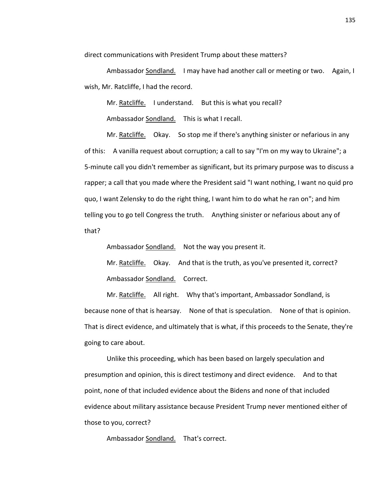direct communications with President Trump about these matters?

Ambassador Sondland. I may have had another call or meeting or two. Again, I wish, Mr. Ratcliffe, I had the record.

Mr. Ratcliffe. I understand. But this is what you recall?

Ambassador Sondland. This is what I recall.

Mr. Ratcliffe. Okay. So stop me if there's anything sinister or nefarious in any of this: A vanilla request about corruption; a call to say "I'm on my way to Ukraine"; a 5-minute call you didn't remember as significant, but its primary purpose was to discuss a rapper; a call that you made where the President said "I want nothing, I want no quid pro quo, I want Zelensky to do the right thing, I want him to do what he ran on"; and him telling you to go tell Congress the truth. Anything sinister or nefarious about any of that?

Ambassador Sondland. Not the way you present it.

Mr. Ratcliffe. Okay. And that is the truth, as you've presented it, correct? Ambassador Sondland. Correct.

Mr. Ratcliffe. All right. Why that's important, Ambassador Sondland, is because none of that is hearsay. None of that is speculation. None of that is opinion. That is direct evidence, and ultimately that is what, if this proceeds to the Senate, they're going to care about.

Unlike this proceeding, which has been based on largely speculation and presumption and opinion, this is direct testimony and direct evidence. And to that point, none of that included evidence about the Bidens and none of that included evidence about military assistance because President Trump never mentioned either of those to you, correct?

Ambassador Sondland. That's correct.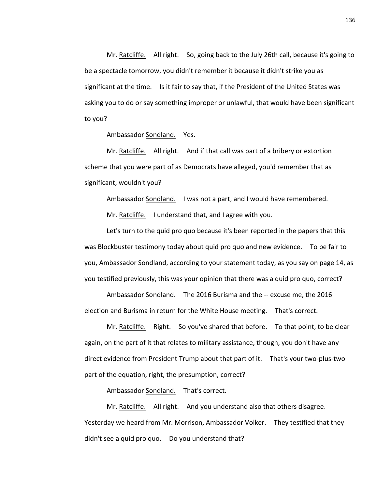Mr. Ratcliffe. All right. So, going back to the July 26th call, because it's going to be a spectacle tomorrow, you didn't remember it because it didn't strike you as significant at the time. Is it fair to say that, if the President of the United States was asking you to do or say something improper or unlawful, that would have been significant to you?

Ambassador Sondland. Yes.

Mr. Ratcliffe. All right. And if that call was part of a bribery or extortion scheme that you were part of as Democrats have alleged, you'd remember that as significant, wouldn't you?

Ambassador Sondland. I was not a part, and I would have remembered.

Mr. Ratcliffe. I understand that, and I agree with you.

Let's turn to the quid pro quo because it's been reported in the papers that this was Blockbuster testimony today about quid pro quo and new evidence. To be fair to you, Ambassador Sondland, according to your statement today, as you say on page 14, as you testified previously, this was your opinion that there was a quid pro quo, correct?

Ambassador Sondland. The 2016 Burisma and the -- excuse me, the 2016 election and Burisma in return for the White House meeting. That's correct.

Mr. Ratcliffe. Right. So you've shared that before. To that point, to be clear again, on the part of it that relates to military assistance, though, you don't have any direct evidence from President Trump about that part of it. That's your two-plus-two part of the equation, right, the presumption, correct?

Ambassador Sondland. That's correct.

Mr. Ratcliffe. All right. And you understand also that others disagree. Yesterday we heard from Mr. Morrison, Ambassador Volker. They testified that they didn't see a quid pro quo. Do you understand that?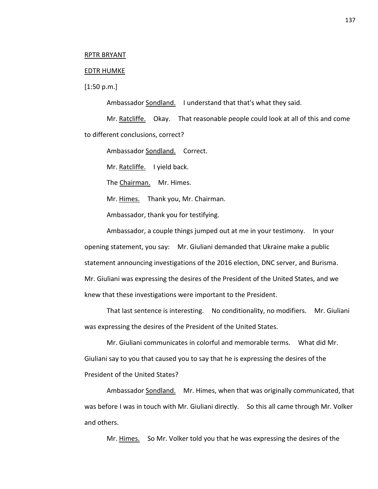## RPTR BRYANT

## EDTR HUMKE

[1:50 p.m.]

Ambassador Sondland. I understand that that's what they said.

Mr. Ratcliffe. Okay. That reasonable people could look at all of this and come to different conclusions, correct?

Ambassador Sondland. Correct.

Mr. Ratcliffe. I yield back.

The Chairman. Mr. Himes.

Mr. Himes. Thank you, Mr. Chairman.

Ambassador, thank you for testifying.

Ambassador, a couple things jumped out at me in your testimony. In your opening statement, you say: Mr. Giuliani demanded that Ukraine make a public statement announcing investigations of the 2016 election, DNC server, and Burisma. Mr. Giuliani was expressing the desires of the President of the United States, and we knew that these investigations were important to the President.

That last sentence is interesting. No conditionality, no modifiers. Mr. Giuliani was expressing the desires of the President of the United States.

Mr. Giuliani communicates in colorful and memorable terms. What did Mr. Giuliani say to you that caused you to say that he is expressing the desires of the President of the United States?

Ambassador Sondland. Mr. Himes, when that was originally communicated, that was before I was in touch with Mr. Giuliani directly. So this all came through Mr. Volker and others.

Mr. Himes. So Mr. Volker told you that he was expressing the desires of the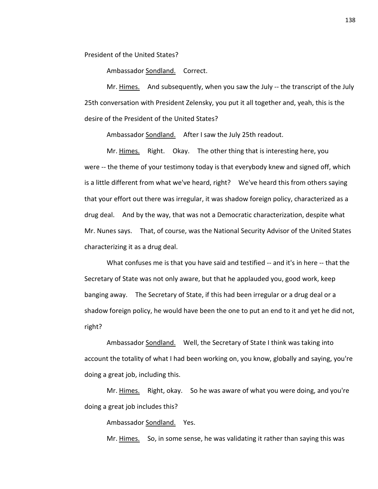President of the United States?

Ambassador Sondland. Correct.

Mr. Himes. And subsequently, when you saw the July -- the transcript of the July 25th conversation with President Zelensky, you put it all together and, yeah, this is the desire of the President of the United States?

Ambassador Sondland. After I saw the July 25th readout.

Mr. Himes. Right. Okay. The other thing that is interesting here, you were -- the theme of your testimony today is that everybody knew and signed off, which is a little different from what we've heard, right? We've heard this from others saying that your effort out there was irregular, it was shadow foreign policy, characterized as a drug deal. And by the way, that was not a Democratic characterization, despite what Mr. Nunes says. That, of course, was the National Security Advisor of the United States characterizing it as a drug deal.

What confuses me is that you have said and testified -- and it's in here -- that the Secretary of State was not only aware, but that he applauded you, good work, keep banging away. The Secretary of State, if this had been irregular or a drug deal or a shadow foreign policy, he would have been the one to put an end to it and yet he did not, right?

Ambassador Sondland. Well, the Secretary of State I think was taking into account the totality of what I had been working on, you know, globally and saying, you're doing a great job, including this.

Mr. Himes. Right, okay. So he was aware of what you were doing, and you're doing a great job includes this?

Ambassador Sondland. Yes.

Mr. Himes. So, in some sense, he was validating it rather than saying this was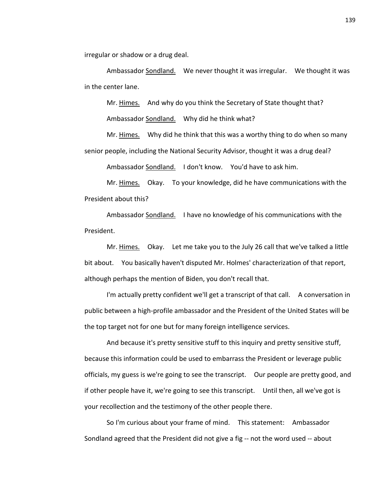irregular or shadow or a drug deal.

Ambassador Sondland. We never thought it was irregular. We thought it was in the center lane.

Mr. Himes. And why do you think the Secretary of State thought that?

Ambassador Sondland. Why did he think what?

Mr. Himes. Why did he think that this was a worthy thing to do when so many senior people, including the National Security Advisor, thought it was a drug deal?

Ambassador Sondland. I don't know. You'd have to ask him.

Mr. Himes. Okay. To your knowledge, did he have communications with the President about this?

Ambassador Sondland. I have no knowledge of his communications with the President.

Mr. Himes. Okay. Let me take you to the July 26 call that we've talked a little bit about. You basically haven't disputed Mr. Holmes' characterization of that report, although perhaps the mention of Biden, you don't recall that.

I'm actually pretty confident we'll get a transcript of that call. A conversation in public between a high-profile ambassador and the President of the United States will be the top target not for one but for many foreign intelligence services.

And because it's pretty sensitive stuff to this inquiry and pretty sensitive stuff, because this information could be used to embarrass the President or leverage public officials, my guess is we're going to see the transcript. Our people are pretty good, and if other people have it, we're going to see this transcript. Until then, all we've got is your recollection and the testimony of the other people there.

So I'm curious about your frame of mind. This statement: Ambassador Sondland agreed that the President did not give a fig -- not the word used -- about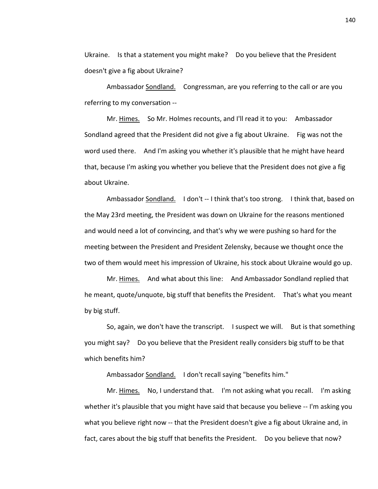Ukraine. Is that a statement you might make? Do you believe that the President doesn't give a fig about Ukraine?

Ambassador Sondland. Congressman, are you referring to the call or are you referring to my conversation --

Mr. Himes. So Mr. Holmes recounts, and I'll read it to you: Ambassador Sondland agreed that the President did not give a fig about Ukraine. Fig was not the word used there. And I'm asking you whether it's plausible that he might have heard that, because I'm asking you whether you believe that the President does not give a fig about Ukraine.

Ambassador Sondland. I don't -- I think that's too strong. I think that, based on the May 23rd meeting, the President was down on Ukraine for the reasons mentioned and would need a lot of convincing, and that's why we were pushing so hard for the meeting between the President and President Zelensky, because we thought once the two of them would meet his impression of Ukraine, his stock about Ukraine would go up.

Mr. Himes. And what about this line: And Ambassador Sondland replied that he meant, quote/unquote, big stuff that benefits the President. That's what you meant by big stuff.

So, again, we don't have the transcript. I suspect we will. But is that something you might say? Do you believe that the President really considers big stuff to be that which benefits him?

Ambassador Sondland. I don't recall saying "benefits him."

Mr. Himes. No, I understand that. I'm not asking what you recall. I'm asking whether it's plausible that you might have said that because you believe -- I'm asking you what you believe right now -- that the President doesn't give a fig about Ukraine and, in fact, cares about the big stuff that benefits the President. Do you believe that now?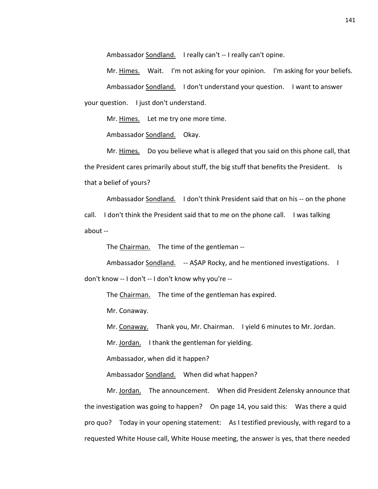Ambassador Sondland. I really can't -- I really can't opine.

Mr. Himes. Wait. I'm not asking for your opinion. I'm asking for your beliefs.

Ambassador Sondland. I don't understand your question. I want to answer your question. I just don't understand.

Mr. Himes. Let me try one more time.

Ambassador Sondland. Okay.

Mr. Himes. Do you believe what is alleged that you said on this phone call, that the President cares primarily about stuff, the big stuff that benefits the President. Is that a belief of yours?

Ambassador Sondland. I don't think President said that on his -- on the phone call. I don't think the President said that to me on the phone call. I was talking about --

The Chairman. The time of the gentleman --

Ambassador Sondland. -- A\$AP Rocky, and he mentioned investigations. I

don't know -- I don't -- I don't know why you're --

The Chairman. The time of the gentleman has expired.

Mr. Conaway.

Mr. Conaway. Thank you, Mr. Chairman. I yield 6 minutes to Mr. Jordan.

Mr. Jordan. I thank the gentleman for yielding.

Ambassador, when did it happen?

Ambassador Sondland. When did what happen?

Mr. Jordan. The announcement. When did President Zelensky announce that the investigation was going to happen? On page 14, you said this: Was there a quid pro quo? Today in your opening statement: As I testified previously, with regard to a requested White House call, White House meeting, the answer is yes, that there needed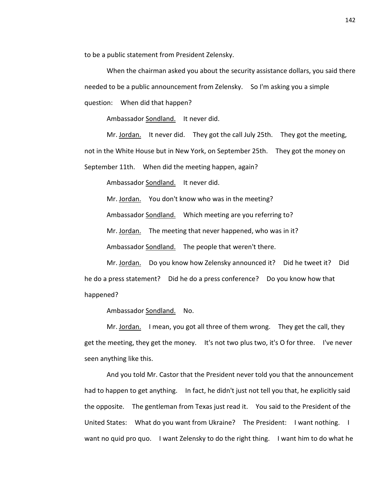to be a public statement from President Zelensky.

When the chairman asked you about the security assistance dollars, you said there needed to be a public announcement from Zelensky. So I'm asking you a simple question: When did that happen?

Ambassador Sondland. It never did.

Mr. Jordan. It never did. They got the call July 25th. They got the meeting, not in the White House but in New York, on September 25th. They got the money on September 11th. When did the meeting happen, again?

Ambassador Sondland. It never did.

Mr. Jordan. You don't know who was in the meeting?

Ambassador Sondland. Which meeting are you referring to?

Mr. Jordan. The meeting that never happened, who was in it?

Ambassador Sondland. The people that weren't there.

Mr. Jordan. Do you know how Zelensky announced it? Did he tweet it? Did he do a press statement? Did he do a press conference? Do you know how that happened?

Ambassador Sondland. No.

Mr. Jordan. I mean, you got all three of them wrong. They get the call, they get the meeting, they get the money. It's not two plus two, it's O for three. I've never seen anything like this.

And you told Mr. Castor that the President never told you that the announcement had to happen to get anything. In fact, he didn't just not tell you that, he explicitly said the opposite. The gentleman from Texas just read it. You said to the President of the United States: What do you want from Ukraine? The President: I want nothing. I want no quid pro quo. I want Zelensky to do the right thing. I want him to do what he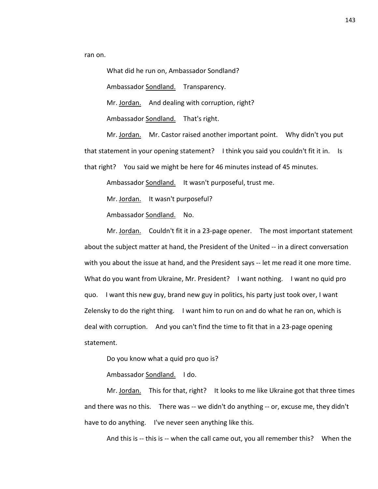ran on.

What did he run on, Ambassador Sondland?

Ambassador Sondland. Transparency.

Mr. Jordan. And dealing with corruption, right?

Ambassador Sondland. That's right.

Mr. Jordan. Mr. Castor raised another important point. Why didn't you put that statement in your opening statement? I think you said you couldn't fit it in. Is that right? You said we might be here for 46 minutes instead of 45 minutes.

Ambassador Sondland. It wasn't purposeful, trust me.

Mr. Jordan. It wasn't purposeful?

Ambassador Sondland. No.

Mr. Jordan. Couldn't fit it in a 23-page opener. The most important statement about the subject matter at hand, the President of the United -- in a direct conversation with you about the issue at hand, and the President says -- let me read it one more time. What do you want from Ukraine, Mr. President? I want nothing. I want no quid pro quo. I want this new guy, brand new guy in politics, his party just took over, I want Zelensky to do the right thing. I want him to run on and do what he ran on, which is deal with corruption. And you can't find the time to fit that in a 23-page opening statement.

Do you know what a quid pro quo is?

Ambassador Sondland. I do.

Mr. Jordan. This for that, right? It looks to me like Ukraine got that three times and there was no this. There was -- we didn't do anything -- or, excuse me, they didn't have to do anything. I've never seen anything like this.

And this is -- this is -- when the call came out, you all remember this? When the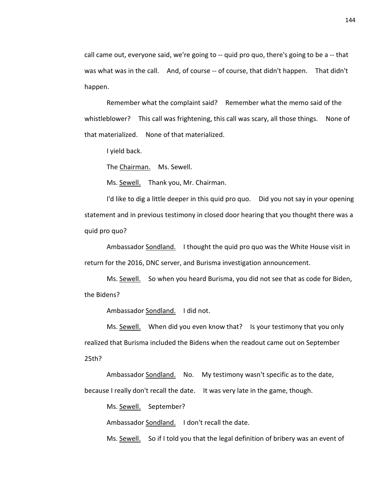call came out, everyone said, we're going to -- quid pro quo, there's going to be a -- that was what was in the call. And, of course -- of course, that didn't happen. That didn't happen.

Remember what the complaint said? Remember what the memo said of the whistleblower? This call was frightening, this call was scary, all those things. None of that materialized. None of that materialized.

I yield back.

The Chairman. Ms. Sewell.

Ms. Sewell. Thank you, Mr. Chairman.

I'd like to dig a little deeper in this quid pro quo. Did you not say in your opening statement and in previous testimony in closed door hearing that you thought there was a quid pro quo?

Ambassador Sondland. I thought the quid pro quo was the White House visit in return for the 2016, DNC server, and Burisma investigation announcement.

Ms. Sewell. So when you heard Burisma, you did not see that as code for Biden, the Bidens?

Ambassador Sondland. I did not.

Ms. Sewell. When did you even know that? Is your testimony that you only realized that Burisma included the Bidens when the readout came out on September 25th?

Ambassador Sondland. No. My testimony wasn't specific as to the date, because I really don't recall the date. It was very late in the game, though.

Ms. Sewell. September?

Ambassador Sondland. I don't recall the date.

Ms. Sewell. So if I told you that the legal definition of bribery was an event of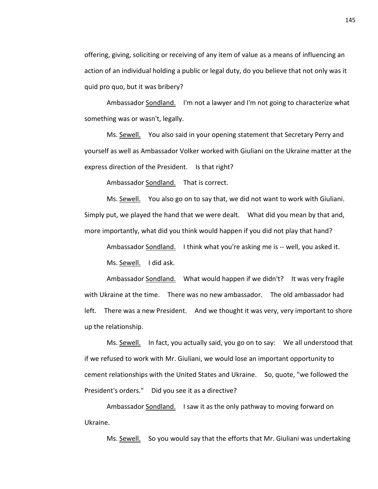offering, giving, soliciting or receiving of any item of value as a means of influencing an action of an individual holding a public or legal duty, do you believe that not only was it quid pro quo, but it was bribery?

Ambassador Sondland. I'm not a lawyer and I'm not going to characterize what something was or wasn't, legally.

Ms. Sewell. You also said in your opening statement that Secretary Perry and yourself as well as Ambassador Volker worked with Giuliani on the Ukraine matter at the express direction of the President. Is that right?

Ambassador Sondland. That is correct.

Ms. Sewell. You also go on to say that, we did not want to work with Giuliani. Simply put, we played the hand that we were dealt. What did you mean by that and, more importantly, what did you think would happen if you did not play that hand?

Ambassador Sondland. I think what you're asking me is -- well, you asked it.

Ms. Sewell. I did ask.

Ambassador Sondland. What would happen if we didn't? It was very fragile with Ukraine at the time. There was no new ambassador. The old ambassador had left. There was a new President. And we thought it was very, very important to shore up the relationship.

Ms. Sewell. In fact, you actually said, you go on to say: We all understood that if we refused to work with Mr. Giuliani, we would lose an important opportunity to cement relationships with the United States and Ukraine. So, quote, "we followed the President's orders." Did you see it as a directive?

Ambassador Sondland. I saw it as the only pathway to moving forward on Ukraine.

Ms. Sewell. So you would say that the efforts that Mr. Giuliani was undertaking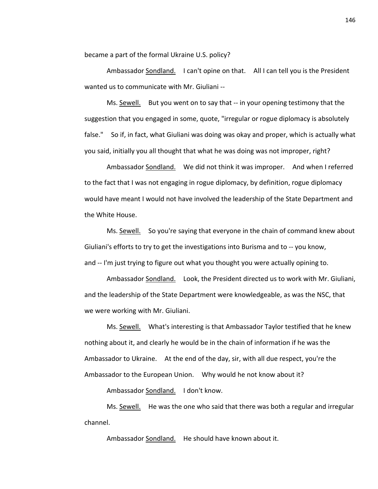became a part of the formal Ukraine U.S. policy?

Ambassador Sondland. I can't opine on that. All I can tell you is the President wanted us to communicate with Mr. Giuliani --

Ms. Sewell. But you went on to say that -- in your opening testimony that the suggestion that you engaged in some, quote, "irregular or rogue diplomacy is absolutely false." So if, in fact, what Giuliani was doing was okay and proper, which is actually what you said, initially you all thought that what he was doing was not improper, right?

Ambassador Sondland. We did not think it was improper. And when I referred to the fact that I was not engaging in rogue diplomacy, by definition, rogue diplomacy would have meant I would not have involved the leadership of the State Department and the White House.

Ms. Sewell. So you're saying that everyone in the chain of command knew about Giuliani's efforts to try to get the investigations into Burisma and to -- you know, and -- I'm just trying to figure out what you thought you were actually opining to.

Ambassador Sondland. Look, the President directed us to work with Mr. Giuliani, and the leadership of the State Department were knowledgeable, as was the NSC, that we were working with Mr. Giuliani.

Ms. Sewell. What's interesting is that Ambassador Taylor testified that he knew nothing about it, and clearly he would be in the chain of information if he was the Ambassador to Ukraine. At the end of the day, sir, with all due respect, you're the Ambassador to the European Union. Why would he not know about it?

Ambassador Sondland. I don't know.

Ms. Sewell. He was the one who said that there was both a regular and irregular channel.

Ambassador Sondland. He should have known about it.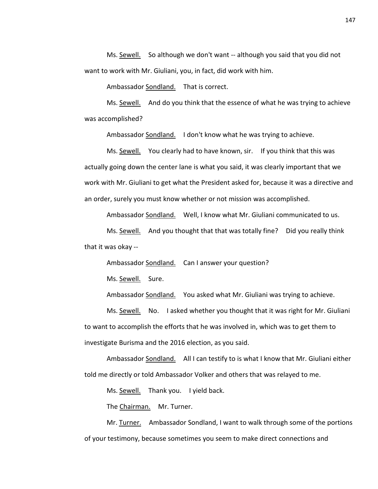Ms. Sewell. So although we don't want -- although you said that you did not want to work with Mr. Giuliani, you, in fact, did work with him.

Ambassador Sondland. That is correct.

Ms. Sewell. And do you think that the essence of what he was trying to achieve was accomplished?

Ambassador Sondland. I don't know what he was trying to achieve.

Ms. Sewell. You clearly had to have known, sir. If you think that this was actually going down the center lane is what you said, it was clearly important that we work with Mr. Giuliani to get what the President asked for, because it was a directive and an order, surely you must know whether or not mission was accomplished.

Ambassador Sondland. Well, I know what Mr. Giuliani communicated to us.

Ms. Sewell. And you thought that that was totally fine? Did you really think that it was okay --

Ambassador Sondland. Can I answer your question?

Ms. Sewell. Sure.

Ambassador Sondland. You asked what Mr. Giuliani was trying to achieve.

Ms. Sewell. No. I asked whether you thought that it was right for Mr. Giuliani to want to accomplish the efforts that he was involved in, which was to get them to investigate Burisma and the 2016 election, as you said.

Ambassador Sondland. All I can testify to is what I know that Mr. Giuliani either told me directly or told Ambassador Volker and others that was relayed to me.

Ms. Sewell. Thank you. I yield back.

The Chairman. Mr. Turner.

Mr. Turner. Ambassador Sondland, I want to walk through some of the portions of your testimony, because sometimes you seem to make direct connections and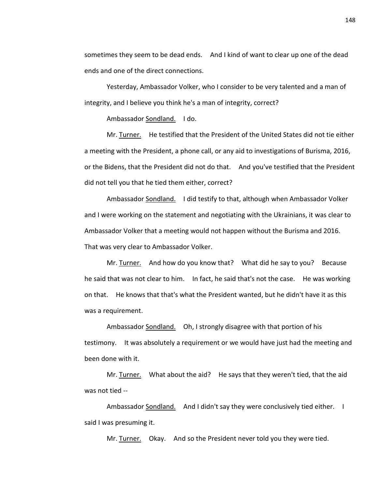sometimes they seem to be dead ends. And I kind of want to clear up one of the dead ends and one of the direct connections.

Yesterday, Ambassador Volker, who I consider to be very talented and a man of integrity, and I believe you think he's a man of integrity, correct?

Ambassador Sondland. I do.

Mr. Turner. He testified that the President of the United States did not tie either a meeting with the President, a phone call, or any aid to investigations of Burisma, 2016, or the Bidens, that the President did not do that. And you've testified that the President did not tell you that he tied them either, correct?

Ambassador Sondland. I did testify to that, although when Ambassador Volker and I were working on the statement and negotiating with the Ukrainians, it was clear to Ambassador Volker that a meeting would not happen without the Burisma and 2016. That was very clear to Ambassador Volker.

Mr. Turner. And how do you know that? What did he say to you? Because he said that was not clear to him. In fact, he said that's not the case. He was working on that. He knows that that's what the President wanted, but he didn't have it as this was a requirement.

Ambassador Sondland. Oh, I strongly disagree with that portion of his testimony. It was absolutely a requirement or we would have just had the meeting and been done with it.

Mr. Turner. What about the aid? He says that they weren't tied, that the aid was not tied --

Ambassador Sondland. And I didn't say they were conclusively tied either. I said I was presuming it.

Mr. Turner. Okay. And so the President never told you they were tied.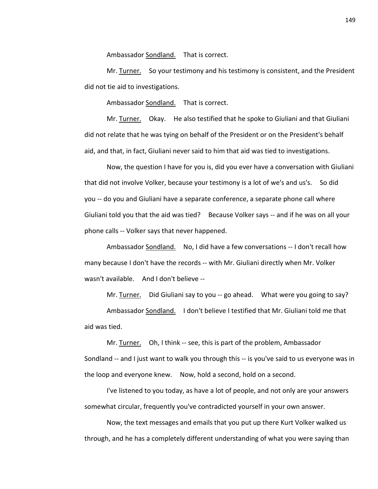Ambassador Sondland. That is correct.

Mr. Turner. So your testimony and his testimony is consistent, and the President did not tie aid to investigations.

Ambassador Sondland. That is correct.

Mr. Turner. Okay. He also testified that he spoke to Giuliani and that Giuliani did not relate that he was tying on behalf of the President or on the President's behalf aid, and that, in fact, Giuliani never said to him that aid was tied to investigations.

Now, the question I have for you is, did you ever have a conversation with Giuliani that did not involve Volker, because your testimony is a lot of we's and us's. So did you -- do you and Giuliani have a separate conference, a separate phone call where Giuliani told you that the aid was tied? Because Volker says -- and if he was on all your phone calls -- Volker says that never happened.

Ambassador Sondland. No, I did have a few conversations -- I don't recall how many because I don't have the records -- with Mr. Giuliani directly when Mr. Volker wasn't available. And I don't believe --

Mr. **Turner.** Did Giuliani say to you -- go ahead. What were you going to say?

Ambassador Sondland. I don't believe I testified that Mr. Giuliani told me that aid was tied.

Mr. Turner. Oh, I think -- see, this is part of the problem, Ambassador Sondland -- and I just want to walk you through this -- is you've said to us everyone was in the loop and everyone knew. Now, hold a second, hold on a second.

I've listened to you today, as have a lot of people, and not only are your answers somewhat circular, frequently you've contradicted yourself in your own answer.

Now, the text messages and emails that you put up there Kurt Volker walked us through, and he has a completely different understanding of what you were saying than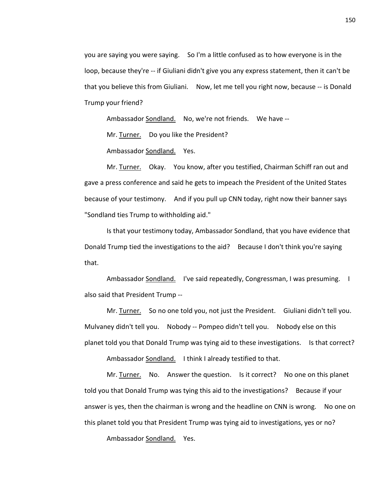you are saying you were saying. So I'm a little confused as to how everyone is in the loop, because they're -- if Giuliani didn't give you any express statement, then it can't be that you believe this from Giuliani. Now, let me tell you right now, because -- is Donald Trump your friend?

Ambassador Sondland. No, we're not friends. We have --

Mr. Turner. Do you like the President?

Ambassador Sondland. Yes.

Mr. Turner. Okay. You know, after you testified, Chairman Schiff ran out and gave a press conference and said he gets to impeach the President of the United States because of your testimony. And if you pull up CNN today, right now their banner says "Sondland ties Trump to withholding aid."

Is that your testimony today, Ambassador Sondland, that you have evidence that Donald Trump tied the investigations to the aid? Because I don't think you're saying that.

Ambassador Sondland. I've said repeatedly, Congressman, I was presuming. I also said that President Trump --

Mr. Turner. So no one told you, not just the President. Giuliani didn't tell you. Mulvaney didn't tell you. Nobody -- Pompeo didn't tell you. Nobody else on this planet told you that Donald Trump was tying aid to these investigations. Is that correct?

Ambassador Sondland. I think I already testified to that.

Mr. Turner. No. Answer the question. Is it correct? No one on this planet told you that Donald Trump was tying this aid to the investigations? Because if your answer is yes, then the chairman is wrong and the headline on CNN is wrong. No one on this planet told you that President Trump was tying aid to investigations, yes or no?

Ambassador Sondland. Yes.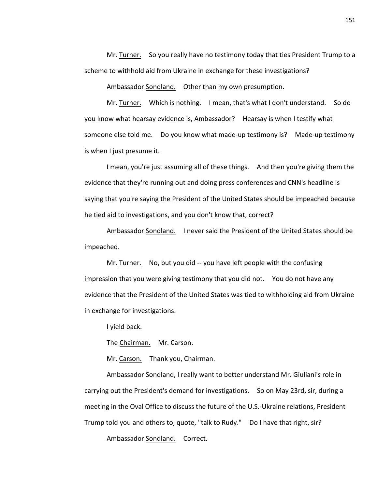Mr. Turner. So you really have no testimony today that ties President Trump to a scheme to withhold aid from Ukraine in exchange for these investigations?

Ambassador Sondland. Other than my own presumption.

Mr. Turner. Which is nothing. I mean, that's what I don't understand. So do you know what hearsay evidence is, Ambassador? Hearsay is when I testify what someone else told me. Do you know what made-up testimony is? Made-up testimony is when I just presume it.

I mean, you're just assuming all of these things. And then you're giving them the evidence that they're running out and doing press conferences and CNN's headline is saying that you're saying the President of the United States should be impeached because he tied aid to investigations, and you don't know that, correct?

Ambassador Sondland. I never said the President of the United States should be impeached.

Mr. Turner. No, but you did -- you have left people with the confusing impression that you were giving testimony that you did not. You do not have any evidence that the President of the United States was tied to withholding aid from Ukraine in exchange for investigations.

I yield back.

The Chairman. Mr. Carson.

Mr. Carson. Thank you, Chairman.

Ambassador Sondland, I really want to better understand Mr. Giuliani's role in carrying out the President's demand for investigations. So on May 23rd, sir, during a meeting in the Oval Office to discuss the future of the U.S.-Ukraine relations, President Trump told you and others to, quote, "talk to Rudy." Do I have that right, sir?

Ambassador Sondland. Correct.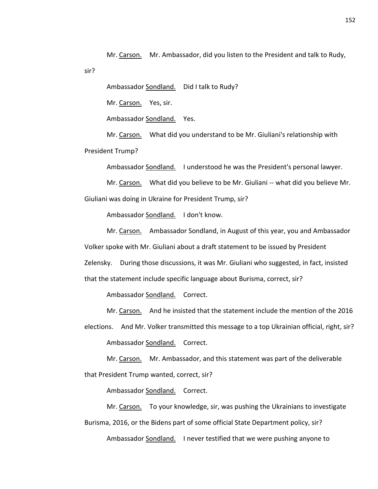Mr. Carson. Mr. Ambassador, did you listen to the President and talk to Rudy, sir?

Ambassador Sondland. Did I talk to Rudy?

Mr. Carson. Yes, sir.

Ambassador Sondland. Yes.

Mr. Carson. What did you understand to be Mr. Giuliani's relationship with President Trump?

Ambassador Sondland. I understood he was the President's personal lawyer.

Mr. Carson. What did you believe to be Mr. Giuliani -- what did you believe Mr. Giuliani was doing in Ukraine for President Trump, sir?

Ambassador Sondland. I don't know.

Mr. Carson. Ambassador Sondland, in August of this year, you and Ambassador Volker spoke with Mr. Giuliani about a draft statement to be issued by President Zelensky. During those discussions, it was Mr. Giuliani who suggested, in fact, insisted that the statement include specific language about Burisma, correct, sir?

Ambassador Sondland. Correct.

Mr. Carson. And he insisted that the statement include the mention of the 2016

elections. And Mr. Volker transmitted this message to a top Ukrainian official, right, sir? Ambassador Sondland. Correct.

Mr. Carson. Mr. Ambassador, and this statement was part of the deliverable that President Trump wanted, correct, sir?

Ambassador Sondland. Correct.

Mr. Carson. To your knowledge, sir, was pushing the Ukrainians to investigate Burisma, 2016, or the Bidens part of some official State Department policy, sir? Ambassador Sondland. I never testified that we were pushing anyone to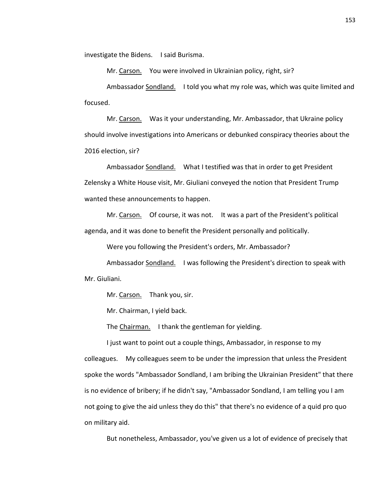investigate the Bidens. I said Burisma.

Mr. Carson. You were involved in Ukrainian policy, right, sir?

Ambassador Sondland. I told you what my role was, which was quite limited and focused.

Mr. Carson. Was it your understanding, Mr. Ambassador, that Ukraine policy should involve investigations into Americans or debunked conspiracy theories about the 2016 election, sir?

Ambassador Sondland. What I testified was that in order to get President Zelensky a White House visit, Mr. Giuliani conveyed the notion that President Trump wanted these announcements to happen.

Mr. Carson. Of course, it was not. It was a part of the President's political agenda, and it was done to benefit the President personally and politically.

Were you following the President's orders, Mr. Ambassador?

Ambassador Sondland. I was following the President's direction to speak with Mr. Giuliani.

Mr. Carson. Thank you, sir.

Mr. Chairman, I yield back.

The Chairman. I thank the gentleman for yielding.

I just want to point out a couple things, Ambassador, in response to my colleagues. My colleagues seem to be under the impression that unless the President spoke the words "Ambassador Sondland, I am bribing the Ukrainian President" that there is no evidence of bribery; if he didn't say, "Ambassador Sondland, I am telling you I am not going to give the aid unless they do this" that there's no evidence of a quid pro quo on military aid.

But nonetheless, Ambassador, you've given us a lot of evidence of precisely that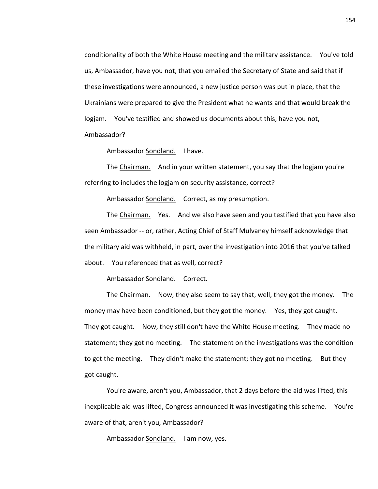conditionality of both the White House meeting and the military assistance. You've told us, Ambassador, have you not, that you emailed the Secretary of State and said that if these investigations were announced, a new justice person was put in place, that the Ukrainians were prepared to give the President what he wants and that would break the logjam. You've testified and showed us documents about this, have you not, Ambassador?

Ambassador Sondland. I have.

The Chairman. And in your written statement, you say that the logjam you're referring to includes the logjam on security assistance, correct?

Ambassador Sondland. Correct, as my presumption.

The Chairman. Yes. And we also have seen and you testified that you have also seen Ambassador -- or, rather, Acting Chief of Staff Mulvaney himself acknowledge that the military aid was withheld, in part, over the investigation into 2016 that you've talked about. You referenced that as well, correct?

Ambassador Sondland. Correct.

The Chairman. Now, they also seem to say that, well, they got the money. The money may have been conditioned, but they got the money. Yes, they got caught. They got caught. Now, they still don't have the White House meeting. They made no statement; they got no meeting. The statement on the investigations was the condition to get the meeting. They didn't make the statement; they got no meeting. But they got caught.

You're aware, aren't you, Ambassador, that 2 days before the aid was lifted, this inexplicable aid was lifted, Congress announced it was investigating this scheme. You're aware of that, aren't you, Ambassador?

Ambassador Sondland. I am now, yes.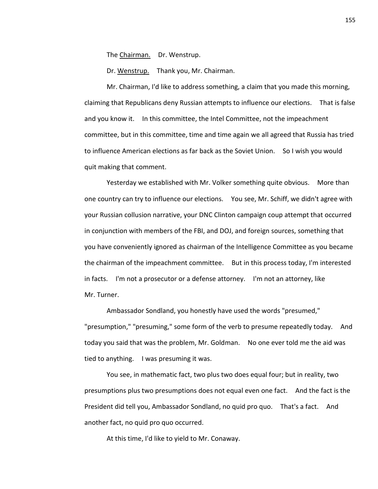The Chairman. Dr. Wenstrup.

Dr. Wenstrup. Thank you, Mr. Chairman.

Mr. Chairman, I'd like to address something, a claim that you made this morning, claiming that Republicans deny Russian attempts to influence our elections. That is false and you know it. In this committee, the Intel Committee, not the impeachment committee, but in this committee, time and time again we all agreed that Russia has tried to influence American elections as far back as the Soviet Union. So I wish you would quit making that comment.

Yesterday we established with Mr. Volker something quite obvious. More than one country can try to influence our elections. You see, Mr. Schiff, we didn't agree with your Russian collusion narrative, your DNC Clinton campaign coup attempt that occurred in conjunction with members of the FBI, and DOJ, and foreign sources, something that you have conveniently ignored as chairman of the Intelligence Committee as you became the chairman of the impeachment committee. But in this process today, I'm interested in facts. I'm not a prosecutor or a defense attorney. I'm not an attorney, like Mr. Turner.

Ambassador Sondland, you honestly have used the words "presumed," "presumption," "presuming," some form of the verb to presume repeatedly today. And today you said that was the problem, Mr. Goldman. No one ever told me the aid was tied to anything. I was presuming it was.

You see, in mathematic fact, two plus two does equal four; but in reality, two presumptions plus two presumptions does not equal even one fact. And the fact is the President did tell you, Ambassador Sondland, no quid pro quo. That's a fact. And another fact, no quid pro quo occurred.

At this time, I'd like to yield to Mr. Conaway.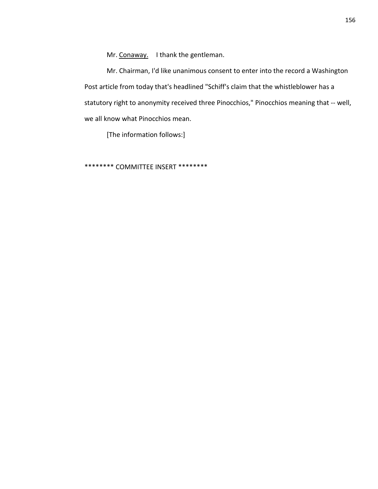Mr. Conaway. I thank the gentleman.

Mr. Chairman, I'd like unanimous consent to enter into the record a Washington Post article from today that's headlined "Schiff's claim that the whistleblower has a statutory right to anonymity received three Pinocchios," Pinocchios meaning that -- well, we all know what Pinocchios mean.

[The information follows:]

\*\*\*\*\*\*\*\* COMMITTEE INSERT \*\*\*\*\*\*\*\*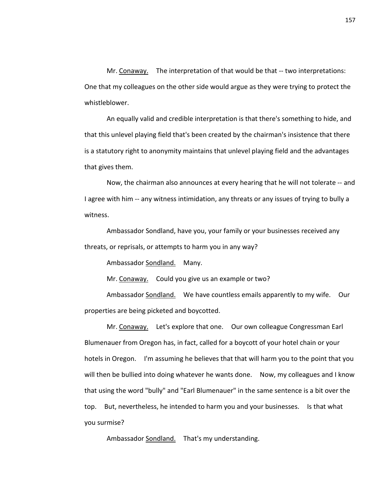Mr. Conaway. The interpretation of that would be that -- two interpretations: One that my colleagues on the other side would argue as they were trying to protect the whistleblower.

An equally valid and credible interpretation is that there's something to hide, and that this unlevel playing field that's been created by the chairman's insistence that there is a statutory right to anonymity maintains that unlevel playing field and the advantages that gives them.

Now, the chairman also announces at every hearing that he will not tolerate -- and I agree with him -- any witness intimidation, any threats or any issues of trying to bully a witness.

Ambassador Sondland, have you, your family or your businesses received any threats, or reprisals, or attempts to harm you in any way?

Ambassador Sondland. Many.

Mr. Conaway. Could you give us an example or two?

Ambassador Sondland. We have countless emails apparently to my wife. Our properties are being picketed and boycotted.

Mr. Conaway. Let's explore that one. Our own colleague Congressman Earl Blumenauer from Oregon has, in fact, called for a boycott of your hotel chain or your hotels in Oregon. I'm assuming he believes that that will harm you to the point that you will then be bullied into doing whatever he wants done. Now, my colleagues and I know that using the word "bully" and "Earl Blumenauer" in the same sentence is a bit over the top. But, nevertheless, he intended to harm you and your businesses. Is that what you surmise?

Ambassador Sondland. That's my understanding.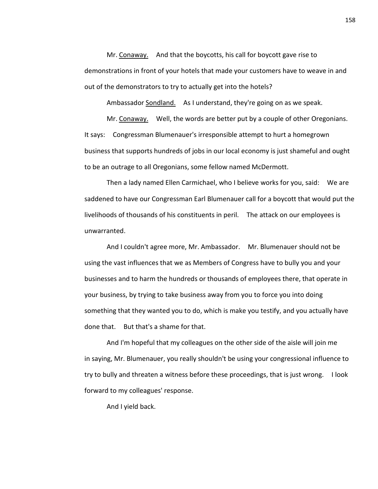Mr. Conaway. And that the boycotts, his call for boycott gave rise to demonstrations in front of your hotels that made your customers have to weave in and out of the demonstrators to try to actually get into the hotels?

Ambassador Sondland. As I understand, they're going on as we speak.

Mr. Conaway. Well, the words are better put by a couple of other Oregonians. It says: Congressman Blumenauer's irresponsible attempt to hurt a homegrown business that supports hundreds of jobs in our local economy is just shameful and ought to be an outrage to all Oregonians, some fellow named McDermott.

Then a lady named Ellen Carmichael, who I believe works for you, said: We are saddened to have our Congressman Earl Blumenauer call for a boycott that would put the livelihoods of thousands of his constituents in peril. The attack on our employees is unwarranted.

And I couldn't agree more, Mr. Ambassador. Mr. Blumenauer should not be using the vast influences that we as Members of Congress have to bully you and your businesses and to harm the hundreds or thousands of employees there, that operate in your business, by trying to take business away from you to force you into doing something that they wanted you to do, which is make you testify, and you actually have done that. But that's a shame for that.

And I'm hopeful that my colleagues on the other side of the aisle will join me in saying, Mr. Blumenauer, you really shouldn't be using your congressional influence to try to bully and threaten a witness before these proceedings, that is just wrong. I look forward to my colleagues' response.

And I yield back.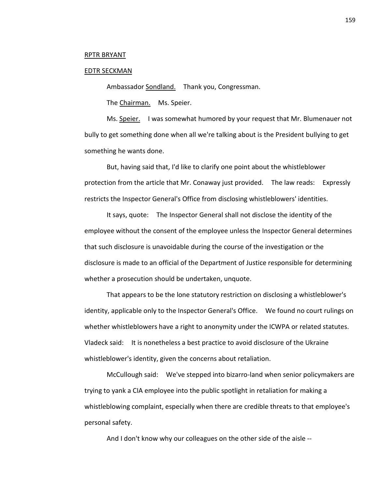## RPTR BRYANT

## EDTR SECKMAN

Ambassador Sondland. Thank you, Congressman.

The Chairman. Ms. Speier.

Ms. Speier. I was somewhat humored by your request that Mr. Blumenauer not bully to get something done when all we're talking about is the President bullying to get something he wants done.

But, having said that, I'd like to clarify one point about the whistleblower protection from the article that Mr. Conaway just provided. The law reads: Expressly restricts the Inspector General's Office from disclosing whistleblowers' identities.

It says, quote: The Inspector General shall not disclose the identity of the employee without the consent of the employee unless the Inspector General determines that such disclosure is unavoidable during the course of the investigation or the disclosure is made to an official of the Department of Justice responsible for determining whether a prosecution should be undertaken, unquote.

That appears to be the lone statutory restriction on disclosing a whistleblower's identity, applicable only to the Inspector General's Office. We found no court rulings on whether whistleblowers have a right to anonymity under the ICWPA or related statutes. Vladeck said: It is nonetheless a best practice to avoid disclosure of the Ukraine whistleblower's identity, given the concerns about retaliation.

McCullough said: We've stepped into bizarro-land when senior policymakers are trying to yank a CIA employee into the public spotlight in retaliation for making a whistleblowing complaint, especially when there are credible threats to that employee's personal safety.

And I don't know why our colleagues on the other side of the aisle --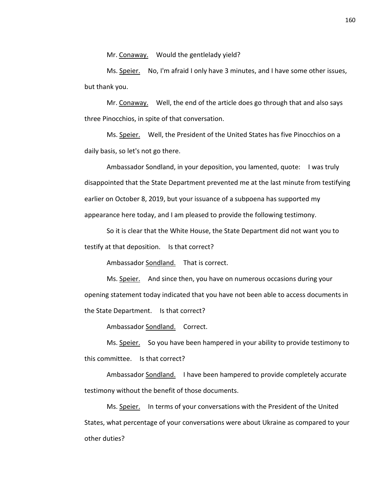Mr. Conaway. Would the gentlelady yield?

Ms. Speier. No, I'm afraid I only have 3 minutes, and I have some other issues, but thank you.

Mr. Conaway. Well, the end of the article does go through that and also says three Pinocchios, in spite of that conversation.

Ms. Speier. Well, the President of the United States has five Pinocchios on a daily basis, so let's not go there.

Ambassador Sondland, in your deposition, you lamented, quote: I was truly disappointed that the State Department prevented me at the last minute from testifying earlier on October 8, 2019, but your issuance of a subpoena has supported my appearance here today, and I am pleased to provide the following testimony.

So it is clear that the White House, the State Department did not want you to testify at that deposition. Is that correct?

Ambassador Sondland. That is correct.

Ms. Speier. And since then, you have on numerous occasions during your opening statement today indicated that you have not been able to access documents in the State Department. Is that correct?

Ambassador Sondland. Correct.

Ms. Speier. So you have been hampered in your ability to provide testimony to this committee. Is that correct?

Ambassador Sondland. I have been hampered to provide completely accurate testimony without the benefit of those documents.

Ms. Speier. In terms of your conversations with the President of the United States, what percentage of your conversations were about Ukraine as compared to your other duties?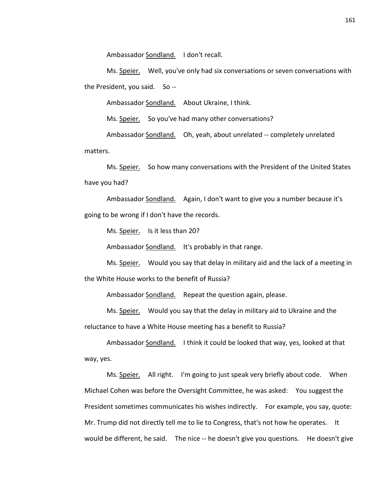Ambassador Sondland. I don't recall.

Ms. Speier. Well, you've only had six conversations or seven conversations with the President, you said. So --

Ambassador Sondland. About Ukraine, I think.

Ms. Speier. So you've had many other conversations?

Ambassador Sondland. Oh, yeah, about unrelated -- completely unrelated matters.

Ms. Speier. So how many conversations with the President of the United States have you had?

Ambassador Sondland. Again, I don't want to give you a number because it's going to be wrong if I don't have the records.

Ms. Speier. Is it less than 20?

Ambassador Sondland. It's probably in that range.

Ms. Speier. Would you say that delay in military aid and the lack of a meeting in the White House works to the benefit of Russia?

Ambassador Sondland. Repeat the question again, please.

Ms. Speier. Would you say that the delay in military aid to Ukraine and the reluctance to have a White House meeting has a benefit to Russia?

Ambassador Sondland. I think it could be looked that way, yes, looked at that way, yes.

Ms. Speier. All right. I'm going to just speak very briefly about code. When Michael Cohen was before the Oversight Committee, he was asked: You suggest the President sometimes communicates his wishes indirectly. For example, you say, quote: Mr. Trump did not directly tell me to lie to Congress, that's not how he operates. It would be different, he said. The nice -- he doesn't give you questions. He doesn't give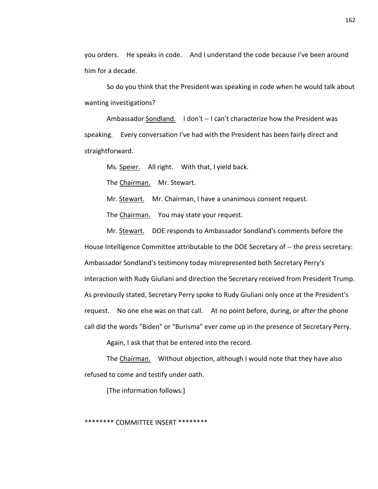you orders. He speaks in code. And I understand the code because I've been around him for a decade.

So do you think that the President was speaking in code when he would talk about wanting investigations?

Ambassador Sondland. I don't -- I can't characterize how the President was speaking. Every conversation I've had with the President has been fairly direct and straightforward.

Ms. Speier. All right. With that, I yield back.

The Chairman. Mr. Stewart.

Mr. Stewart. Mr. Chairman, I have a unanimous consent request.

The Chairman. You may state your request.

Mr. Stewart. DOE responds to Ambassador Sondland's comments before the House Intelligence Committee attributable to the DOE Secretary of -- the press secretary: Ambassador Sondland's testimony today misrepresented both Secretary Perry's interaction with Rudy Giuliani and direction the Secretary received from President Trump. As previously stated, Secretary Perry spoke to Rudy Giuliani only once at the President's request. No one else was on that call. At no point before, during, or after the phone call did the words "Biden" or "Burisma" ever come up in the presence of Secretary Perry.

Again, I ask that that be entered into the record.

The Chairman. Without objection, although I would note that they have also refused to come and testify under oath.

[The information follows:]

\*\*\*\*\*\*\*\* COMMITTEE INSERT \*\*\*\*\*\*\*\*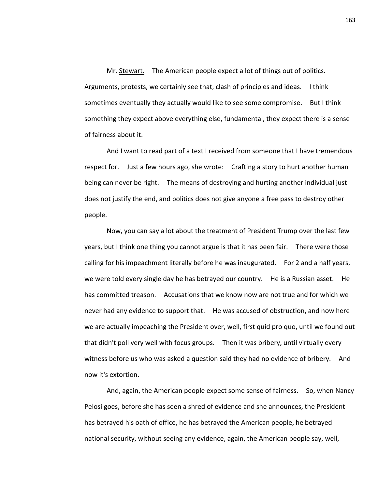Mr. Stewart. The American people expect a lot of things out of politics. Arguments, protests, we certainly see that, clash of principles and ideas. I think sometimes eventually they actually would like to see some compromise. But I think something they expect above everything else, fundamental, they expect there is a sense of fairness about it.

And I want to read part of a text I received from someone that I have tremendous respect for. Just a few hours ago, she wrote: Crafting a story to hurt another human being can never be right. The means of destroying and hurting another individual just does not justify the end, and politics does not give anyone a free pass to destroy other people.

Now, you can say a lot about the treatment of President Trump over the last few years, but I think one thing you cannot argue is that it has been fair. There were those calling for his impeachment literally before he was inaugurated. For 2 and a half years, we were told every single day he has betrayed our country. He is a Russian asset. He has committed treason. Accusations that we know now are not true and for which we never had any evidence to support that. He was accused of obstruction, and now here we are actually impeaching the President over, well, first quid pro quo, until we found out that didn't poll very well with focus groups. Then it was bribery, until virtually every witness before us who was asked a question said they had no evidence of bribery. And now it's extortion.

And, again, the American people expect some sense of fairness. So, when Nancy Pelosi goes, before she has seen a shred of evidence and she announces, the President has betrayed his oath of office, he has betrayed the American people, he betrayed national security, without seeing any evidence, again, the American people say, well,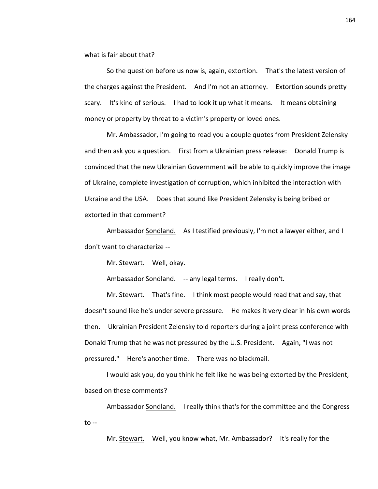what is fair about that?

So the question before us now is, again, extortion. That's the latest version of the charges against the President. And I'm not an attorney. Extortion sounds pretty scary. It's kind of serious. I had to look it up what it means. It means obtaining money or property by threat to a victim's property or loved ones.

Mr. Ambassador, I'm going to read you a couple quotes from President Zelensky and then ask you a question. First from a Ukrainian press release: Donald Trump is convinced that the new Ukrainian Government will be able to quickly improve the image of Ukraine, complete investigation of corruption, which inhibited the interaction with Ukraine and the USA. Does that sound like President Zelensky is being bribed or extorted in that comment?

Ambassador Sondland. As I testified previously, I'm not a lawyer either, and I don't want to characterize --

Mr. Stewart. Well, okay.

Ambassador Sondland. -- any legal terms. I really don't.

Mr. Stewart. That's fine. I think most people would read that and say, that doesn't sound like he's under severe pressure. He makes it very clear in his own words then. Ukrainian President Zelensky told reporters during a joint press conference with Donald Trump that he was not pressured by the U.S. President. Again, "I was not pressured." Here's another time. There was no blackmail.

I would ask you, do you think he felt like he was being extorted by the President, based on these comments?

Ambassador Sondland. I really think that's for the committee and the Congress  $to --$ 

Mr. Stewart. Well, you know what, Mr. Ambassador? It's really for the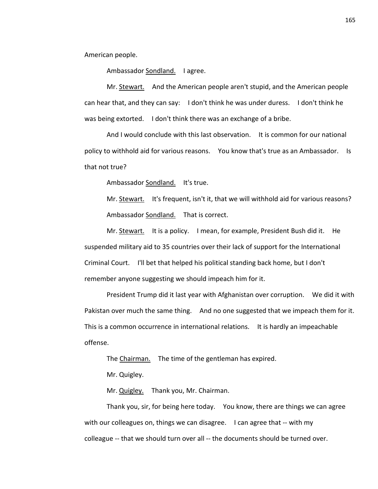American people.

Ambassador Sondland. I agree.

Mr. **Stewart.** And the American people aren't stupid, and the American people can hear that, and they can say: I don't think he was under duress. I don't think he was being extorted. I don't think there was an exchange of a bribe.

And I would conclude with this last observation. It is common for our national policy to withhold aid for various reasons. You know that's true as an Ambassador. Is that not true?

Ambassador Sondland. It's true.

Mr. Stewart. It's frequent, isn't it, that we will withhold aid for various reasons? Ambassador Sondland. That is correct.

Mr. Stewart. It is a policy. I mean, for example, President Bush did it. He suspended military aid to 35 countries over their lack of support for the International Criminal Court. I'll bet that helped his political standing back home, but I don't remember anyone suggesting we should impeach him for it.

President Trump did it last year with Afghanistan over corruption. We did it with Pakistan over much the same thing. And no one suggested that we impeach them for it. This is a common occurrence in international relations. It is hardly an impeachable offense.

The Chairman. The time of the gentleman has expired.

Mr. Quigley.

Mr. Quigley. Thank you, Mr. Chairman.

Thank you, sir, for being here today. You know, there are things we can agree with our colleagues on, things we can disagree. I can agree that -- with my colleague -- that we should turn over all -- the documents should be turned over.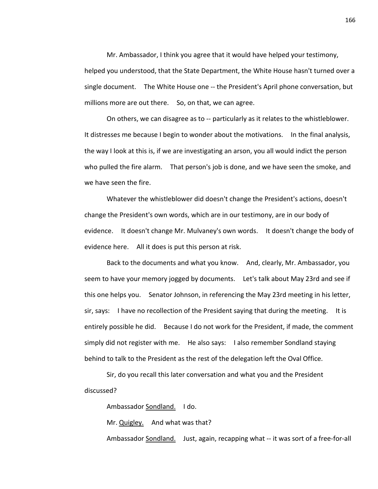Mr. Ambassador, I think you agree that it would have helped your testimony, helped you understood, that the State Department, the White House hasn't turned over a single document. The White House one -- the President's April phone conversation, but millions more are out there. So, on that, we can agree.

On others, we can disagree as to -- particularly as it relates to the whistleblower. It distresses me because I begin to wonder about the motivations. In the final analysis, the way I look at this is, if we are investigating an arson, you all would indict the person who pulled the fire alarm. That person's job is done, and we have seen the smoke, and we have seen the fire.

Whatever the whistleblower did doesn't change the President's actions, doesn't change the President's own words, which are in our testimony, are in our body of evidence. It doesn't change Mr. Mulvaney's own words. It doesn't change the body of evidence here. All it does is put this person at risk.

Back to the documents and what you know. And, clearly, Mr. Ambassador, you seem to have your memory jogged by documents. Let's talk about May 23rd and see if this one helps you. Senator Johnson, in referencing the May 23rd meeting in his letter, sir, says: I have no recollection of the President saying that during the meeting. It is entirely possible he did. Because I do not work for the President, if made, the comment simply did not register with me. He also says: I also remember Sondland staying behind to talk to the President as the rest of the delegation left the Oval Office.

Sir, do you recall this later conversation and what you and the President discussed?

Ambassador Sondland. I do.

Mr. Quigley. And what was that?

Ambassador Sondland. Just, again, recapping what -- it was sort of a free-for-all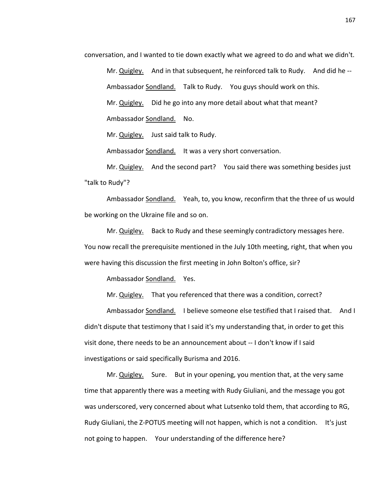conversation, and I wanted to tie down exactly what we agreed to do and what we didn't.

Mr. Quigley. And in that subsequent, he reinforced talk to Rudy. And did he --Ambassador Sondland. Talk to Rudy. You guys should work on this. Mr. Quigley. Did he go into any more detail about what that meant? Ambassador Sondland. No.

Mr. Quigley. Just said talk to Rudy.

Ambassador Sondland. It was a very short conversation.

Mr. Quigley. And the second part? You said there was something besides just "talk to Rudy"?

Ambassador Sondland. Yeah, to, you know, reconfirm that the three of us would be working on the Ukraine file and so on.

Mr. Quigley. Back to Rudy and these seemingly contradictory messages here. You now recall the prerequisite mentioned in the July 10th meeting, right, that when you were having this discussion the first meeting in John Bolton's office, sir?

Ambassador Sondland. Yes.

Mr. Quigley. That you referenced that there was a condition, correct?

Ambassador Sondland. I believe someone else testified that I raised that. And I didn't dispute that testimony that I said it's my understanding that, in order to get this visit done, there needs to be an announcement about -- I don't know if I said investigations or said specifically Burisma and 2016.

Mr. Quigley. Sure. But in your opening, you mention that, at the very same time that apparently there was a meeting with Rudy Giuliani, and the message you got was underscored, very concerned about what Lutsenko told them, that according to RG, Rudy Giuliani, the Z-POTUS meeting will not happen, which is not a condition. It's just not going to happen. Your understanding of the difference here?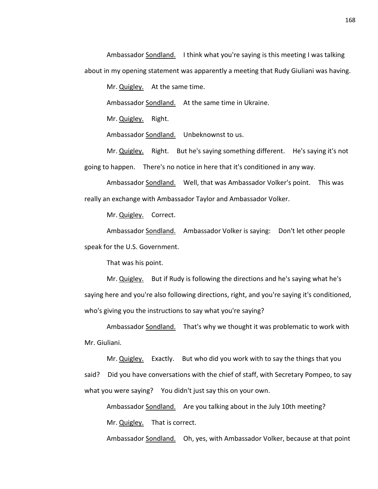Ambassador Sondland. I think what you're saying is this meeting I was talking about in my opening statement was apparently a meeting that Rudy Giuliani was having.

Mr. Quigley. At the same time.

Ambassador Sondland. At the same time in Ukraine.

Mr. Quigley. Right.

Ambassador Sondland. Unbeknownst to us.

Mr. Quigley. Right. But he's saying something different. He's saying it's not going to happen. There's no notice in here that it's conditioned in any way.

Ambassador Sondland. Well, that was Ambassador Volker's point. This was really an exchange with Ambassador Taylor and Ambassador Volker.

Mr. Quigley. Correct.

Ambassador Sondland. Ambassador Volker is saying: Don't let other people speak for the U.S. Government.

That was his point.

Mr. Quigley. But if Rudy is following the directions and he's saying what he's saying here and you're also following directions, right, and you're saying it's conditioned, who's giving you the instructions to say what you're saying?

Ambassador Sondland. That's why we thought it was problematic to work with Mr. Giuliani.

Mr. Quigley. Exactly. But who did you work with to say the things that you said? Did you have conversations with the chief of staff, with Secretary Pompeo, to say what you were saying? You didn't just say this on your own.

Ambassador Sondland. Are you talking about in the July 10th meeting?

Mr. Quigley. That is correct.

Ambassador Sondland. Oh, yes, with Ambassador Volker, because at that point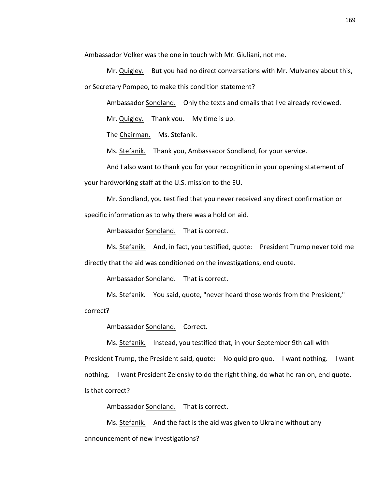Ambassador Volker was the one in touch with Mr. Giuliani, not me.

Mr. Quigley. But you had no direct conversations with Mr. Mulvaney about this, or Secretary Pompeo, to make this condition statement?

Ambassador Sondland. Only the texts and emails that I've already reviewed.

Mr. Quigley. Thank you. My time is up.

The Chairman. Ms. Stefanik.

Ms. Stefanik. Thank you, Ambassador Sondland, for your service.

And I also want to thank you for your recognition in your opening statement of

your hardworking staff at the U.S. mission to the EU.

Mr. Sondland, you testified that you never received any direct confirmation or specific information as to why there was a hold on aid.

Ambassador Sondland. That is correct.

Ms. Stefanik. And, in fact, you testified, quote: President Trump never told me directly that the aid was conditioned on the investigations, end quote.

Ambassador Sondland. That is correct.

Ms. Stefanik. You said, quote, "never heard those words from the President," correct?

Ambassador Sondland. Correct.

Ms. Stefanik. Instead, you testified that, in your September 9th call with President Trump, the President said, quote: No quid pro quo. I want nothing. I want nothing. I want President Zelensky to do the right thing, do what he ran on, end quote. Is that correct?

Ambassador Sondland. That is correct.

Ms. Stefanik. And the fact is the aid was given to Ukraine without any announcement of new investigations?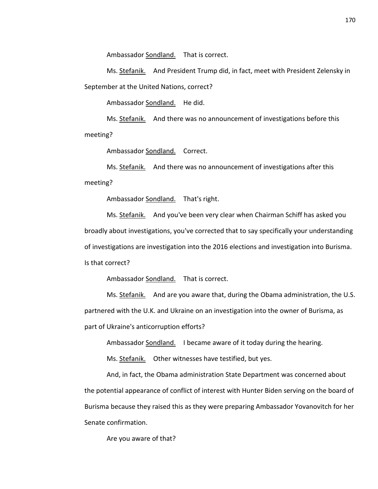Ambassador Sondland. That is correct.

Ms. Stefanik. And President Trump did, in fact, meet with President Zelensky in September at the United Nations, correct?

Ambassador Sondland. He did.

Ms. Stefanik. And there was no announcement of investigations before this meeting?

Ambassador Sondland. Correct.

Ms. Stefanik. And there was no announcement of investigations after this meeting?

Ambassador Sondland. That's right.

Ms. Stefanik. And you've been very clear when Chairman Schiff has asked you broadly about investigations, you've corrected that to say specifically your understanding of investigations are investigation into the 2016 elections and investigation into Burisma. Is that correct?

Ambassador Sondland. That is correct.

Ms. **Stefanik.** And are you aware that, during the Obama administration, the U.S. partnered with the U.K. and Ukraine on an investigation into the owner of Burisma, as part of Ukraine's anticorruption efforts?

Ambassador Sondland. I became aware of it today during the hearing.

Ms. Stefanik. Other witnesses have testified, but yes.

And, in fact, the Obama administration State Department was concerned about the potential appearance of conflict of interest with Hunter Biden serving on the board of Burisma because they raised this as they were preparing Ambassador Yovanovitch for her Senate confirmation.

Are you aware of that?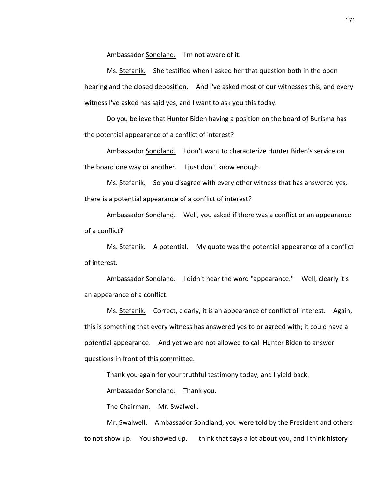Ambassador Sondland. I'm not aware of it.

Ms. Stefanik. She testified when I asked her that question both in the open hearing and the closed deposition. And I've asked most of our witnesses this, and every witness I've asked has said yes, and I want to ask you this today.

Do you believe that Hunter Biden having a position on the board of Burisma has the potential appearance of a conflict of interest?

Ambassador Sondland. I don't want to characterize Hunter Biden's service on the board one way or another. I just don't know enough.

Ms. Stefanik. So you disagree with every other witness that has answered yes, there is a potential appearance of a conflict of interest?

Ambassador Sondland. Well, you asked if there was a conflict or an appearance of a conflict?

Ms. Stefanik. A potential. My quote was the potential appearance of a conflict of interest.

Ambassador Sondland. I didn't hear the word "appearance." Well, clearly it's an appearance of a conflict.

Ms. **Stefanik.** Correct, clearly, it is an appearance of conflict of interest. Again, this is something that every witness has answered yes to or agreed with; it could have a potential appearance. And yet we are not allowed to call Hunter Biden to answer questions in front of this committee.

Thank you again for your truthful testimony today, and I yield back.

Ambassador Sondland. Thank you.

The Chairman. Mr. Swalwell.

Mr. Swalwell. Ambassador Sondland, you were told by the President and others to not show up. You showed up. I think that says a lot about you, and I think history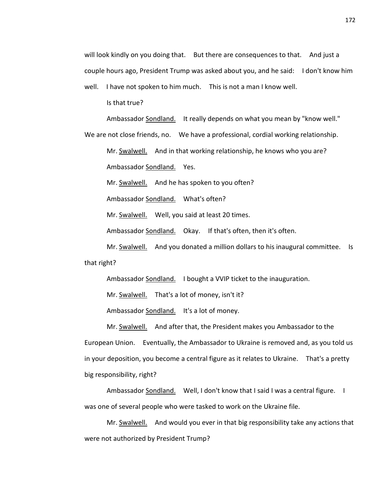will look kindly on you doing that. But there are consequences to that. And just a couple hours ago, President Trump was asked about you, and he said: I don't know him

well. I have not spoken to him much. This is not a man I know well.

Is that true?

Ambassador Sondland. It really depends on what you mean by "know well."

We are not close friends, no. We have a professional, cordial working relationship.

Mr. Swalwell. And in that working relationship, he knows who you are?

Ambassador Sondland. Yes.

Mr. Swalwell. And he has spoken to you often?

Ambassador Sondland. What's often?

Mr. Swalwell. Well, you said at least 20 times.

Ambassador Sondland. Okay. If that's often, then it's often.

Mr. Swalwell. And you donated a million dollars to his inaugural committee. Is that right?

Ambassador Sondland. I bought a VVIP ticket to the inauguration.

Mr. Swalwell. That's a lot of money, isn't it?

Ambassador Sondland. It's a lot of money.

Mr. Swalwell. And after that, the President makes you Ambassador to the European Union. Eventually, the Ambassador to Ukraine is removed and, as you told us in your deposition, you become a central figure as it relates to Ukraine. That's a pretty big responsibility, right?

Ambassador Sondland. Well, I don't know that I said I was a central figure. I was one of several people who were tasked to work on the Ukraine file.

Mr. Swalwell. And would you ever in that big responsibility take any actions that were not authorized by President Trump?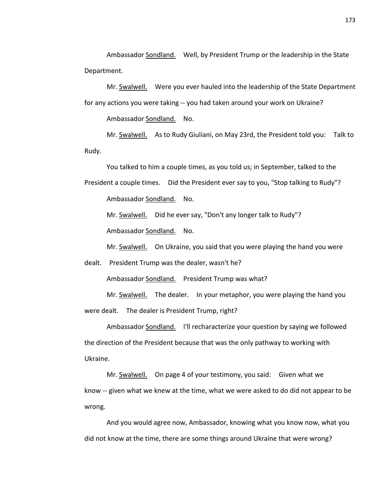Ambassador Sondland. Well, by President Trump or the leadership in the State Department.

Mr. Swalwell. Were you ever hauled into the leadership of the State Department for any actions you were taking -- you had taken around your work on Ukraine?

Ambassador Sondland. No.

Mr. Swalwell. As to Rudy Giuliani, on May 23rd, the President told you: Talk to Rudy.

You talked to him a couple times, as you told us; in September, talked to the

President a couple times. Did the President ever say to you, "Stop talking to Rudy"? Ambassador Sondland. No.

Mr. Swalwell. Did he ever say, "Don't any longer talk to Rudy"?

Ambassador Sondland. No.

Mr. Swalwell. On Ukraine, you said that you were playing the hand you were

dealt. President Trump was the dealer, wasn't he?

Ambassador Sondland. President Trump was what?

Mr. Swalwell. The dealer. In your metaphor, you were playing the hand you were dealt. The dealer is President Trump, right?

Ambassador Sondland. I'll recharacterize your question by saying we followed the direction of the President because that was the only pathway to working with Ukraine.

Mr. Swalwell. On page 4 of your testimony, you said: Given what we know -- given what we knew at the time, what we were asked to do did not appear to be wrong.

And you would agree now, Ambassador, knowing what you know now, what you did not know at the time, there are some things around Ukraine that were wrong?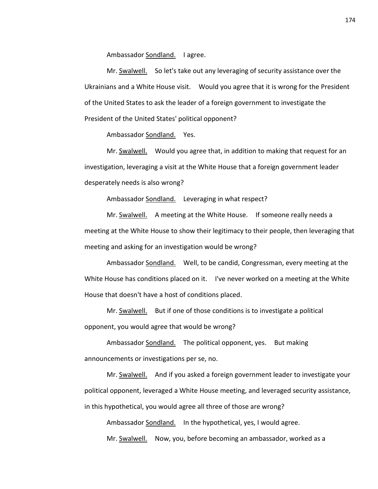Ambassador Sondland. I agree.

Mr. Swalwell. So let's take out any leveraging of security assistance over the Ukrainians and a White House visit. Would you agree that it is wrong for the President of the United States to ask the leader of a foreign government to investigate the President of the United States' political opponent?

Ambassador Sondland. Yes.

Mr. Swalwell. Would you agree that, in addition to making that request for an investigation, leveraging a visit at the White House that a foreign government leader desperately needs is also wrong?

Ambassador Sondland. Leveraging in what respect?

Mr. Swalwell. A meeting at the White House. If someone really needs a meeting at the White House to show their legitimacy to their people, then leveraging that meeting and asking for an investigation would be wrong?

Ambassador Sondland. Well, to be candid, Congressman, every meeting at the White House has conditions placed on it. I've never worked on a meeting at the White House that doesn't have a host of conditions placed.

Mr. Swalwell. But if one of those conditions is to investigate a political opponent, you would agree that would be wrong?

Ambassador Sondland. The political opponent, yes. But making announcements or investigations per se, no.

Mr. Swalwell. And if you asked a foreign government leader to investigate your political opponent, leveraged a White House meeting, and leveraged security assistance, in this hypothetical, you would agree all three of those are wrong?

Ambassador Sondland. In the hypothetical, yes, I would agree.

Mr. Swalwell. Now, you, before becoming an ambassador, worked as a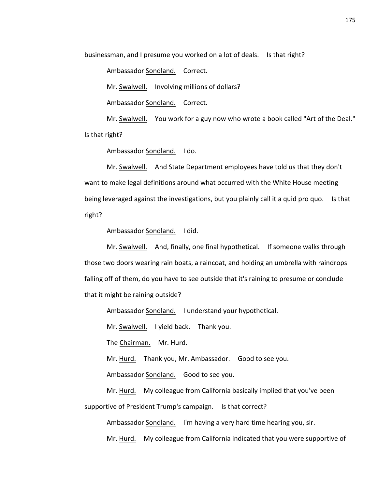businessman, and I presume you worked on a lot of deals. Is that right?

Ambassador Sondland. Correct.

Mr. Swalwell. Involving millions of dollars?

Ambassador Sondland. Correct.

Mr. Swalwell. You work for a guy now who wrote a book called "Art of the Deal." Is that right?

Ambassador Sondland. I do.

Mr. Swalwell. And State Department employees have told us that they don't want to make legal definitions around what occurred with the White House meeting being leveraged against the investigations, but you plainly call it a quid pro quo. Is that right?

Ambassador Sondland. I did.

Mr. Swalwell. And, finally, one final hypothetical. If someone walks through those two doors wearing rain boats, a raincoat, and holding an umbrella with raindrops falling off of them, do you have to see outside that it's raining to presume or conclude that it might be raining outside?

Ambassador Sondland. I understand your hypothetical.

Mr. Swalwell. I yield back. Thank you.

The Chairman. Mr. Hurd.

Mr. Hurd. Thank you, Mr. Ambassador. Good to see you.

Ambassador Sondland. Good to see you.

Mr. Hurd. My colleague from California basically implied that you've been supportive of President Trump's campaign. Is that correct?

Ambassador Sondland. I'm having a very hard time hearing you, sir.

Mr. Hurd. My colleague from California indicated that you were supportive of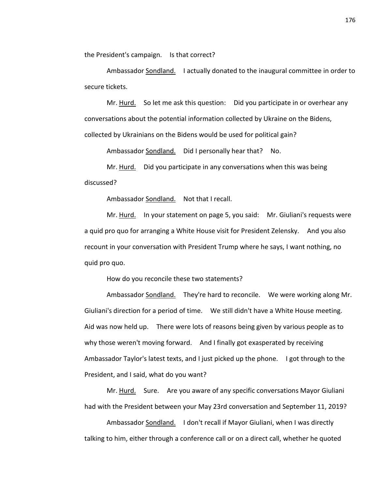the President's campaign. Is that correct?

Ambassador Sondland. I actually donated to the inaugural committee in order to secure tickets.

Mr. Hurd. So let me ask this question: Did you participate in or overhear any conversations about the potential information collected by Ukraine on the Bidens, collected by Ukrainians on the Bidens would be used for political gain?

Ambassador Sondland. Did I personally hear that? No.

Mr. Hurd. Did you participate in any conversations when this was being discussed?

Ambassador Sondland. Not that I recall.

Mr. Hurd. In your statement on page 5, you said: Mr. Giuliani's requests were a quid pro quo for arranging a White House visit for President Zelensky. And you also recount in your conversation with President Trump where he says, I want nothing, no quid pro quo.

How do you reconcile these two statements?

Ambassador Sondland. They're hard to reconcile. We were working along Mr. Giuliani's direction for a period of time. We still didn't have a White House meeting. Aid was now held up. There were lots of reasons being given by various people as to why those weren't moving forward. And I finally got exasperated by receiving Ambassador Taylor's latest texts, and I just picked up the phone. I got through to the President, and I said, what do you want?

Mr. Hurd. Sure. Are you aware of any specific conversations Mayor Giuliani had with the President between your May 23rd conversation and September 11, 2019?

Ambassador Sondland. I don't recall if Mayor Giuliani, when I was directly talking to him, either through a conference call or on a direct call, whether he quoted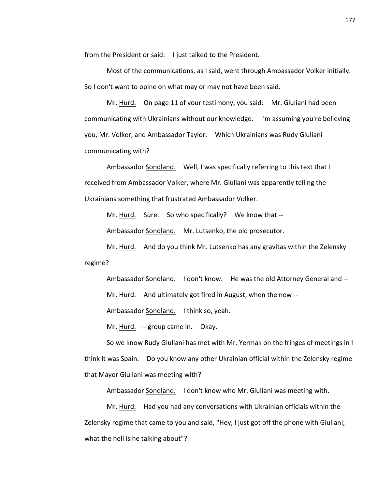from the President or said: I just talked to the President.

Most of the communications, as I said, went through Ambassador Volker initially. So I don't want to opine on what may or may not have been said.

Mr. Hurd. On page 11 of your testimony, you said: Mr. Giuliani had been communicating with Ukrainians without our knowledge. I'm assuming you're believing you, Mr. Volker, and Ambassador Taylor. Which Ukrainians was Rudy Giuliani communicating with?

Ambassador Sondland. Well, I was specifically referring to this text that I received from Ambassador Volker, where Mr. Giuliani was apparently telling the Ukrainians something that frustrated Ambassador Volker.

Mr. Hurd. Sure. So who specifically? We know that --

Ambassador Sondland. Mr. Lutsenko, the old prosecutor.

Mr. Hurd. And do you think Mr. Lutsenko has any gravitas within the Zelensky regime?

Ambassador Sondland. I don't know. He was the old Attorney General and --

Mr. Hurd. And ultimately got fired in August, when the new --

Ambassador Sondland. I think so, yeah.

Mr. Hurd. -- group came in. Okay.

So we know Rudy Giuliani has met with Mr. Yermak on the fringes of meetings in I think it was Spain. Do you know any other Ukrainian official within the Zelensky regime that Mayor Giuliani was meeting with?

Ambassador Sondland. I don't know who Mr. Giuliani was meeting with.

Mr. Hurd. Had you had any conversations with Ukrainian officials within the Zelensky regime that came to you and said, "Hey, I just got off the phone with Giuliani; what the hell is he talking about"?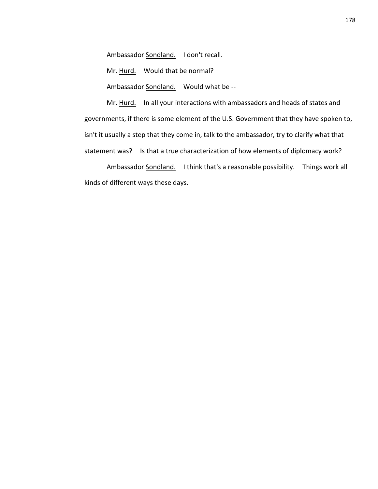Ambassador Sondland. I don't recall.

Mr. Hurd. Would that be normal?

Ambassador Sondland. Would what be --

Mr. Hurd. In all your interactions with ambassadors and heads of states and governments, if there is some element of the U.S. Government that they have spoken to, isn't it usually a step that they come in, talk to the ambassador, try to clarify what that statement was? Is that a true characterization of how elements of diplomacy work?

Ambassador Sondland. I think that's a reasonable possibility. Things work all kinds of different ways these days.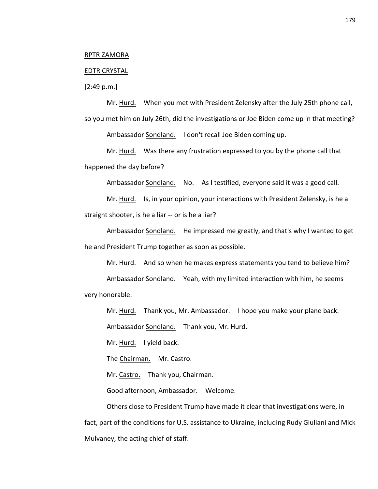## RPTR ZAMORA

## EDTR CRYSTAL

 $[2:49 \text{ p.m.}]$ 

Mr. Hurd. When you met with President Zelensky after the July 25th phone call, so you met him on July 26th, did the investigations or Joe Biden come up in that meeting?

Ambassador Sondland. I don't recall Joe Biden coming up.

Mr. Hurd. Was there any frustration expressed to you by the phone call that happened the day before?

Ambassador Sondland. No. As I testified, everyone said it was a good call.

Mr. Hurd. Is, in your opinion, your interactions with President Zelensky, is he a straight shooter, is he a liar -- or is he a liar?

Ambassador Sondland. He impressed me greatly, and that's why I wanted to get he and President Trump together as soon as possible.

Mr. Hurd. And so when he makes express statements you tend to believe him? Ambassador Sondland. Yeah, with my limited interaction with him, he seems very honorable.

Mr. Hurd. Thank you, Mr. Ambassador. I hope you make your plane back.

Ambassador Sondland. Thank you, Mr. Hurd.

Mr. Hurd. I yield back.

The Chairman. Mr. Castro.

Mr. Castro. Thank you, Chairman.

Good afternoon, Ambassador. Welcome.

Others close to President Trump have made it clear that investigations were, in fact, part of the conditions for U.S. assistance to Ukraine, including Rudy Giuliani and Mick Mulvaney, the acting chief of staff.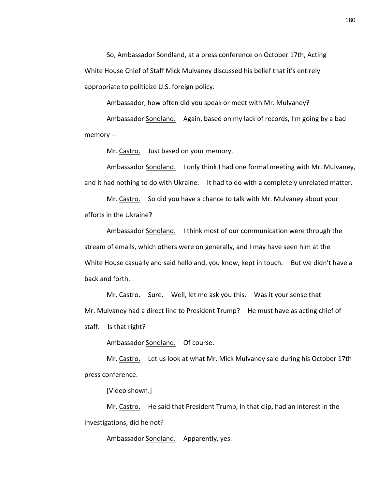So, Ambassador Sondland, at a press conference on October 17th, Acting White House Chief of Staff Mick Mulvaney discussed his belief that it's entirely appropriate to politicize U.S. foreign policy.

Ambassador, how often did you speak or meet with Mr. Mulvaney?

Ambassador Sondland. Again, based on my lack of records, I'm going by a bad memory --

Mr. Castro. Just based on your memory.

Ambassador Sondland. I only think I had one formal meeting with Mr. Mulvaney, and it had nothing to do with Ukraine. It had to do with a completely unrelated matter.

Mr. Castro. So did you have a chance to talk with Mr. Mulvaney about your efforts in the Ukraine?

Ambassador Sondland. I think most of our communication were through the stream of emails, which others were on generally, and I may have seen him at the White House casually and said hello and, you know, kept in touch. But we didn't have a back and forth.

Mr. Castro. Sure. Well, let me ask you this. Was it your sense that Mr. Mulvaney had a direct line to President Trump? He must have as acting chief of

staff. Is that right?

Ambassador Sondland. Of course.

Mr. Castro. Let us look at what Mr. Mick Mulvaney said during his October 17th press conference.

[Video shown.]

Mr. Castro. He said that President Trump, in that clip, had an interest in the investigations, did he not?

Ambassador Sondland. Apparently, yes.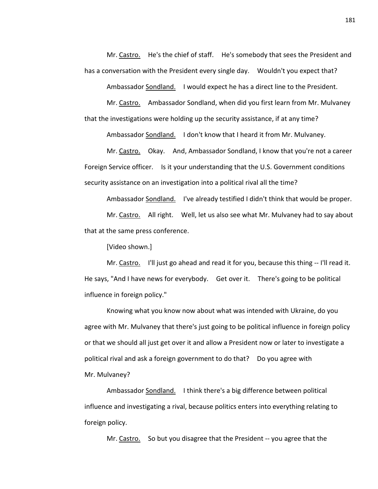Mr. Castro. He's the chief of staff. He's somebody that sees the President and has a conversation with the President every single day. Wouldn't you expect that?

Ambassador Sondland. I would expect he has a direct line to the President.

Mr. Castro. Ambassador Sondland, when did you first learn from Mr. Mulvaney that the investigations were holding up the security assistance, if at any time?

Ambassador Sondland. I don't know that I heard it from Mr. Mulvaney.

Mr. Castro. Okay. And, Ambassador Sondland, I know that you're not a career Foreign Service officer. Is it your understanding that the U.S. Government conditions security assistance on an investigation into a political rival all the time?

Ambassador Sondland. I've already testified I didn't think that would be proper.

Mr. Castro. All right. Well, let us also see what Mr. Mulvaney had to say about that at the same press conference.

[Video shown.]

Mr. Castro. I'll just go ahead and read it for you, because this thing -- I'll read it. He says, "And I have news for everybody. Get over it. There's going to be political influence in foreign policy."

Knowing what you know now about what was intended with Ukraine, do you agree with Mr. Mulvaney that there's just going to be political influence in foreign policy or that we should all just get over it and allow a President now or later to investigate a political rival and ask a foreign government to do that? Do you agree with Mr. Mulvaney?

Ambassador Sondland. I think there's a big difference between political influence and investigating a rival, because politics enters into everything relating to foreign policy.

Mr. Castro. So but you disagree that the President -- you agree that the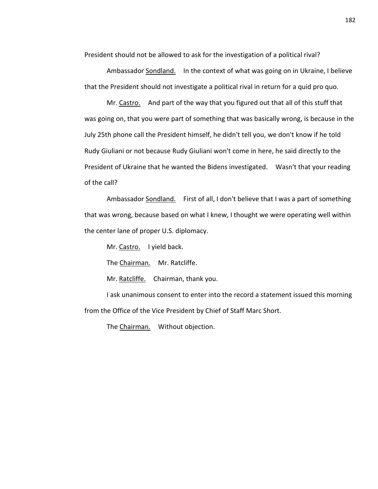President should not be allowed to ask for the investigation of a political rival?

Ambassador Sondland. In the context of what was going on in Ukraine, I believe that the President should not investigate a political rival in return for a quid pro quo.

Mr. Castro. And part of the way that you figured out that all of this stuff that was going on, that you were part of something that was basically wrong, is because in the July 25th phone call the President himself, he didn't tell you, we don't know if he told Rudy Giuliani or not because Rudy Giuliani won't come in here, he said directly to the President of Ukraine that he wanted the Bidens investigated. Wasn't that your reading of the call?

Ambassador Sondland. First of all, I don't believe that I was a part of something that was wrong, because based on what I knew, I thought we were operating well within the center lane of proper U.S. diplomacy.

Mr. Castro. I yield back.

The Chairman. Mr. Ratcliffe.

Mr. Ratcliffe. Chairman, thank you.

I ask unanimous consent to enter into the record a statement issued this morning from the Office of the Vice President by Chief of Staff Marc Short.

The Chairman. Without objection.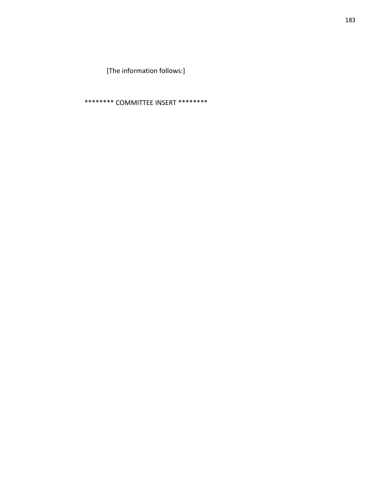[The information follows:]

\*\*\*\*\*\*\*\* COMMITTEE INSERT \*\*\*\*\*\*\*\*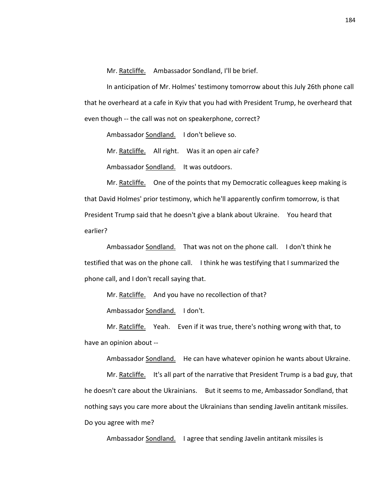Mr. Ratcliffe. Ambassador Sondland, I'll be brief.

In anticipation of Mr. Holmes' testimony tomorrow about this July 26th phone call that he overheard at a cafe in Kyiv that you had with President Trump, he overheard that even though -- the call was not on speakerphone, correct?

Ambassador Sondland. I don't believe so.

Mr. Ratcliffe. All right. Was it an open air cafe?

Ambassador Sondland. It was outdoors.

Mr. Ratcliffe. One of the points that my Democratic colleagues keep making is that David Holmes' prior testimony, which he'll apparently confirm tomorrow, is that President Trump said that he doesn't give a blank about Ukraine. You heard that earlier?

Ambassador Sondland. That was not on the phone call. I don't think he testified that was on the phone call. I think he was testifying that I summarized the phone call, and I don't recall saying that.

Mr. Ratcliffe. And you have no recollection of that?

Ambassador Sondland. I don't.

Mr. Ratcliffe. Yeah. Even if it was true, there's nothing wrong with that, to have an opinion about --

Ambassador Sondland. He can have whatever opinion he wants about Ukraine.

Mr. Ratcliffe. It's all part of the narrative that President Trump is a bad guy, that he doesn't care about the Ukrainians. But it seems to me, Ambassador Sondland, that nothing says you care more about the Ukrainians than sending Javelin antitank missiles. Do you agree with me?

Ambassador Sondland. I agree that sending Javelin antitank missiles is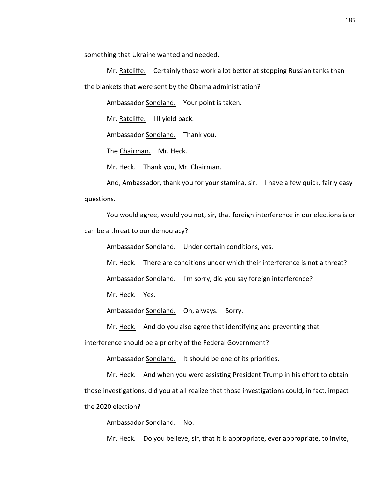something that Ukraine wanted and needed.

Mr. Ratcliffe. Certainly those work a lot better at stopping Russian tanks than the blankets that were sent by the Obama administration?

Ambassador Sondland. Your point is taken.

Mr. Ratcliffe. I'll yield back.

Ambassador Sondland. Thank you.

The Chairman. Mr. Heck.

Mr. Heck. Thank you, Mr. Chairman.

And, Ambassador, thank you for your stamina, sir. I have a few quick, fairly easy questions.

You would agree, would you not, sir, that foreign interference in our elections is or can be a threat to our democracy?

Ambassador Sondland. Under certain conditions, yes.

Mr. Heck. There are conditions under which their interference is not a threat?

Ambassador Sondland. I'm sorry, did you say foreign interference?

Mr. Heck. Yes.

Ambassador Sondland. Oh, always. Sorry.

Mr. Heck. And do you also agree that identifying and preventing that

interference should be a priority of the Federal Government?

Ambassador Sondland. It should be one of its priorities.

Mr. Heck. And when you were assisting President Trump in his effort to obtain those investigations, did you at all realize that those investigations could, in fact, impact the 2020 election?

Ambassador Sondland. No.

Mr. Heck. Do you believe, sir, that it is appropriate, ever appropriate, to invite,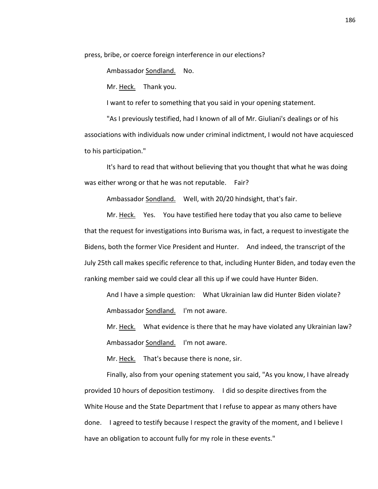press, bribe, or coerce foreign interference in our elections?

Ambassador Sondland. No.

Mr. Heck. Thank you.

I want to refer to something that you said in your opening statement.

"As I previously testified, had I known of all of Mr. Giuliani's dealings or of his associations with individuals now under criminal indictment, I would not have acquiesced to his participation."

It's hard to read that without believing that you thought that what he was doing was either wrong or that he was not reputable. Fair?

Ambassador Sondland. Well, with 20/20 hindsight, that's fair.

Mr. Heck. Yes. You have testified here today that you also came to believe that the request for investigations into Burisma was, in fact, a request to investigate the Bidens, both the former Vice President and Hunter. And indeed, the transcript of the July 25th call makes specific reference to that, including Hunter Biden, and today even the ranking member said we could clear all this up if we could have Hunter Biden.

And I have a simple question: What Ukrainian law did Hunter Biden violate? Ambassador Sondland. I'm not aware.

Mr. Heck. What evidence is there that he may have violated any Ukrainian law? Ambassador Sondland. I'm not aware.

Mr. Heck. That's because there is none, sir.

Finally, also from your opening statement you said, "As you know, I have already provided 10 hours of deposition testimony. I did so despite directives from the White House and the State Department that I refuse to appear as many others have done. I agreed to testify because I respect the gravity of the moment, and I believe I have an obligation to account fully for my role in these events."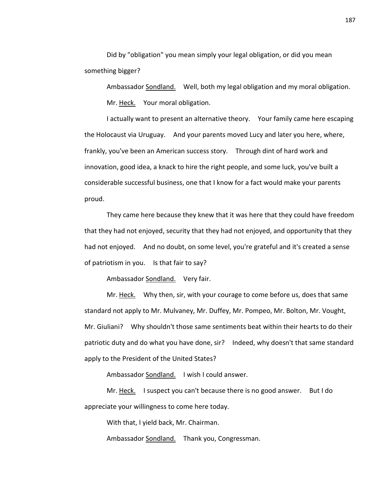Did by "obligation" you mean simply your legal obligation, or did you mean something bigger?

Ambassador Sondland. Well, both my legal obligation and my moral obligation. Mr. Heck. Your moral obligation.

I actually want to present an alternative theory. Your family came here escaping the Holocaust via Uruguay. And your parents moved Lucy and later you here, where, frankly, you've been an American success story. Through dint of hard work and innovation, good idea, a knack to hire the right people, and some luck, you've built a considerable successful business, one that I know for a fact would make your parents proud.

They came here because they knew that it was here that they could have freedom that they had not enjoyed, security that they had not enjoyed, and opportunity that they had not enjoyed. And no doubt, on some level, you're grateful and it's created a sense of patriotism in you. Is that fair to say?

Ambassador Sondland. Very fair.

Mr. Heck. Why then, sir, with your courage to come before us, does that same standard not apply to Mr. Mulvaney, Mr. Duffey, Mr. Pompeo, Mr. Bolton, Mr. Vought, Mr. Giuliani? Why shouldn't those same sentiments beat within their hearts to do their patriotic duty and do what you have done, sir? Indeed, why doesn't that same standard apply to the President of the United States?

Ambassador Sondland. I wish I could answer.

Mr. Heck. I suspect you can't because there is no good answer. But I do appreciate your willingness to come here today.

With that, I yield back, Mr. Chairman.

Ambassador Sondland. Thank you, Congressman.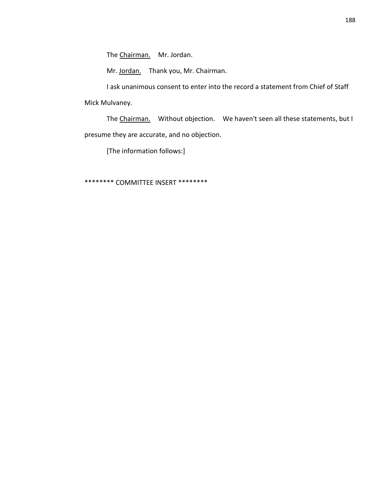The Chairman. Mr. Jordan.

Mr. Jordan. Thank you, Mr. Chairman.

I ask unanimous consent to enter into the record a statement from Chief of Staff Mick Mulvaney.

The Chairman. Without objection. We haven't seen all these statements, but I presume they are accurate, and no objection.

[The information follows:]

\*\*\*\*\*\*\*\* COMMITTEE INSERT \*\*\*\*\*\*\*\*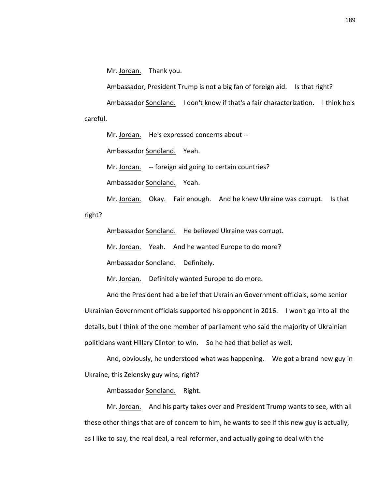Mr. Jordan. Thank you.

Ambassador, President Trump is not a big fan of foreign aid. Is that right?

Ambassador Sondland. I don't know if that's a fair characterization. I think he's careful.

Mr. Jordan. He's expressed concerns about --

Ambassador Sondland. Yeah.

Mr. Jordan. -- foreign aid going to certain countries?

Ambassador Sondland. Yeah.

Mr. Jordan. Okay. Fair enough. And he knew Ukraine was corrupt. Is that right?

Ambassador Sondland. He believed Ukraine was corrupt.

Mr. Jordan. Yeah. And he wanted Europe to do more?

Ambassador Sondland. Definitely.

Mr. Jordan. Definitely wanted Europe to do more.

And the President had a belief that Ukrainian Government officials, some senior Ukrainian Government officials supported his opponent in 2016. I won't go into all the details, but I think of the one member of parliament who said the majority of Ukrainian politicians want Hillary Clinton to win. So he had that belief as well.

And, obviously, he understood what was happening. We got a brand new guy in Ukraine, this Zelensky guy wins, right?

Ambassador Sondland. Right.

Mr. Jordan. And his party takes over and President Trump wants to see, with all these other things that are of concern to him, he wants to see if this new guy is actually, as I like to say, the real deal, a real reformer, and actually going to deal with the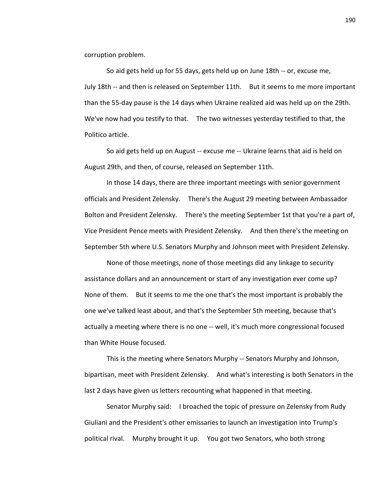corruption problem.

So aid gets held up for 55 days, gets held up on June 18th -- or, excuse me, July 18th -- and then is released on September 11th. But it seems to me more important than the 55-day pause is the 14 days when Ukraine realized aid was held up on the 29th. We've now had you testify to that. The two witnesses yesterday testified to that, the Politico article.

So aid gets held up on August -- excuse me -- Ukraine learns that aid is held on August 29th, and then, of course, released on September 11th.

In those 14 days, there are three important meetings with senior government officials and President Zelensky. There's the August 29 meeting between Ambassador Bolton and President Zelensky. There's the meeting September 1st that you're a part of, Vice President Pence meets with President Zelensky. And then there's the meeting on September 5th where U.S. Senators Murphy and Johnson meet with President Zelensky.

None of those meetings, none of those meetings did any linkage to security assistance dollars and an announcement or start of any investigation ever come up? None of them. But it seems to me the one that's the most important is probably the one we've talked least about, and that's the September 5th meeting, because that's actually a meeting where there is no one -- well, it's much more congressional focused than White House focused.

This is the meeting where Senators Murphy -- Senators Murphy and Johnson, bipartisan, meet with President Zelensky. And what's interesting is both Senators in the last 2 days have given us letters recounting what happened in that meeting.

Senator Murphy said: I broached the topic of pressure on Zelensky from Rudy Giuliani and the President's other emissaries to launch an investigation into Trump's political rival. Murphy brought it up. You got two Senators, who both strong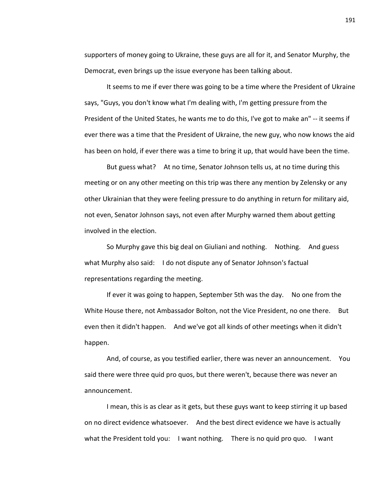supporters of money going to Ukraine, these guys are all for it, and Senator Murphy, the Democrat, even brings up the issue everyone has been talking about.

It seems to me if ever there was going to be a time where the President of Ukraine says, "Guys, you don't know what I'm dealing with, I'm getting pressure from the President of the United States, he wants me to do this, I've got to make an" -- it seems if ever there was a time that the President of Ukraine, the new guy, who now knows the aid has been on hold, if ever there was a time to bring it up, that would have been the time.

But guess what? At no time, Senator Johnson tells us, at no time during this meeting or on any other meeting on this trip was there any mention by Zelensky or any other Ukrainian that they were feeling pressure to do anything in return for military aid, not even, Senator Johnson says, not even after Murphy warned them about getting involved in the election.

So Murphy gave this big deal on Giuliani and nothing. Nothing. And guess what Murphy also said: I do not dispute any of Senator Johnson's factual representations regarding the meeting.

If ever it was going to happen, September 5th was the day. No one from the White House there, not Ambassador Bolton, not the Vice President, no one there. But even then it didn't happen. And we've got all kinds of other meetings when it didn't happen.

And, of course, as you testified earlier, there was never an announcement. You said there were three quid pro quos, but there weren't, because there was never an announcement.

I mean, this is as clear as it gets, but these guys want to keep stirring it up based on no direct evidence whatsoever. And the best direct evidence we have is actually what the President told you: I want nothing. There is no quid pro quo. I want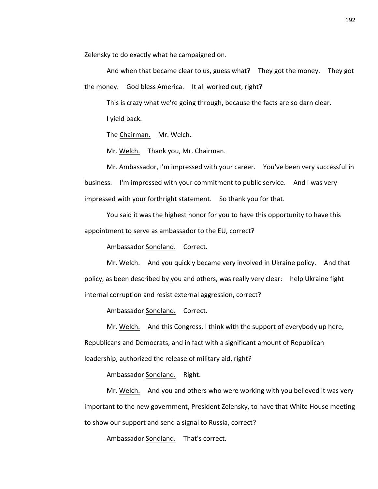Zelensky to do exactly what he campaigned on.

And when that became clear to us, guess what? They got the money. They got the money. God bless America. It all worked out, right?

This is crazy what we're going through, because the facts are so darn clear.

I yield back.

The Chairman. Mr. Welch.

Mr. Welch. Thank you, Mr. Chairman.

Mr. Ambassador, I'm impressed with your career. You've been very successful in business. I'm impressed with your commitment to public service. And I was very impressed with your forthright statement. So thank you for that.

You said it was the highest honor for you to have this opportunity to have this appointment to serve as ambassador to the EU, correct?

Ambassador Sondland. Correct.

Mr. Welch. And you quickly became very involved in Ukraine policy. And that policy, as been described by you and others, was really very clear: help Ukraine fight internal corruption and resist external aggression, correct?

Ambassador Sondland. Correct.

Mr. Welch. And this Congress, I think with the support of everybody up here, Republicans and Democrats, and in fact with a significant amount of Republican leadership, authorized the release of military aid, right?

Ambassador Sondland. Right.

Mr. Welch. And you and others who were working with you believed it was very important to the new government, President Zelensky, to have that White House meeting to show our support and send a signal to Russia, correct?

Ambassador Sondland. That's correct.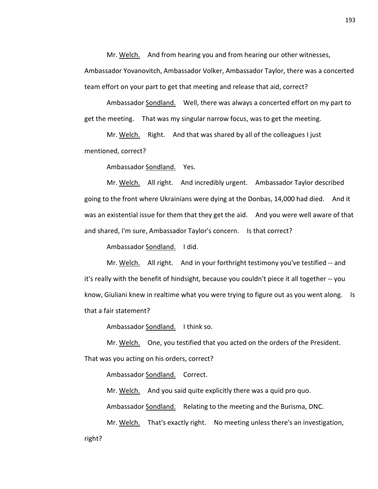Mr. Welch. And from hearing you and from hearing our other witnesses, Ambassador Yovanovitch, Ambassador Volker, Ambassador Taylor, there was a concerted

team effort on your part to get that meeting and release that aid, correct?

Ambassador Sondland. Well, there was always a concerted effort on my part to get the meeting. That was my singular narrow focus, was to get the meeting.

Mr. Welch. Right. And that was shared by all of the colleagues I just mentioned, correct?

Ambassador Sondland. Yes.

Mr. Welch. All right. And incredibly urgent. Ambassador Taylor described going to the front where Ukrainians were dying at the Donbas, 14,000 had died. And it was an existential issue for them that they get the aid. And you were well aware of that and shared, I'm sure, Ambassador Taylor's concern. Is that correct?

Ambassador Sondland. I did.

Mr. Welch. All right. And in your forthright testimony you've testified -- and it's really with the benefit of hindsight, because you couldn't piece it all together -- you know, Giuliani knew in realtime what you were trying to figure out as you went along. Is that a fair statement?

Ambassador Sondland. I think so.

Mr. Welch. One, you testified that you acted on the orders of the President. That was you acting on his orders, correct?

Ambassador Sondland. Correct.

Mr. Welch. And you said quite explicitly there was a quid pro quo.

Ambassador Sondland. Relating to the meeting and the Burisma, DNC.

Mr. Welch. That's exactly right. No meeting unless there's an investigation,

right?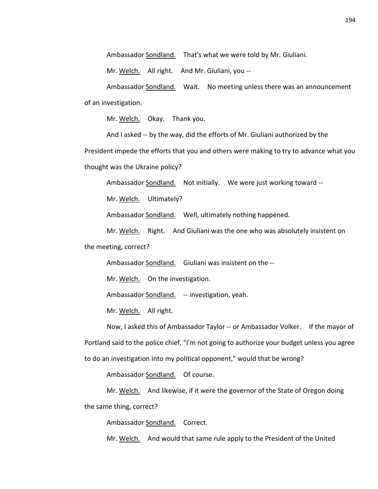Ambassador Sondland. That's what we were told by Mr. Giuliani.

Mr. Welch. All right. And Mr. Giuliani, you --

Ambassador Sondland. Wait. No meeting unless there was an announcement of an investigation.

Mr. Welch. Okay. Thank you.

And I asked -- by the way, did the efforts of Mr. Giuliani authorized by the

President impede the efforts that you and others were making to try to advance what you thought was the Ukraine policy?

Ambassador Sondland. Not initially. We were just working toward --

Mr. Welch. Ultimately?

Ambassador Sondland. Well, ultimately nothing happened.

Mr. Welch. Right. And Giuliani was the one who was absolutely insistent on the meeting, correct?

Ambassador Sondland. Giuliani was insistent on the --

Mr. Welch. On the investigation.

Ambassador Sondland. -- investigation, yeah.

Mr. Welch. All right.

Now, I asked this of Ambassador Taylor -- or Ambassador Volker. If the mayor of Portland said to the police chief, "I'm not going to authorize your budget unless you agree to do an investigation into my political opponent," would that be wrong?

Ambassador Sondland. Of course.

Mr. Welch. And likewise, if it were the governor of the State of Oregon doing the same thing, correct?

Ambassador Sondland. Correct.

Mr. Welch. And would that same rule apply to the President of the United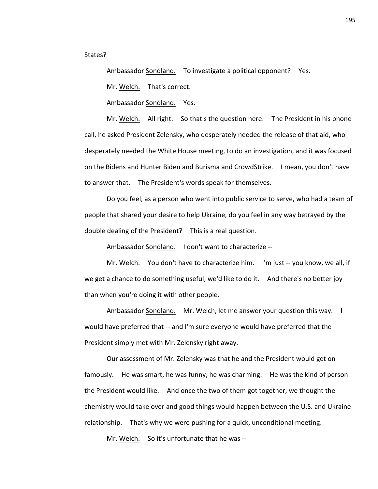States?

Ambassador Sondland. To investigate a political opponent? Yes.

Mr. Welch. That's correct.

Ambassador Sondland. Yes.

Mr. Welch. All right. So that's the question here. The President in his phone call, he asked President Zelensky, who desperately needed the release of that aid, who desperately needed the White House meeting, to do an investigation, and it was focused on the Bidens and Hunter Biden and Burisma and CrowdStrike. I mean, you don't have to answer that. The President's words speak for themselves.

Do you feel, as a person who went into public service to serve, who had a team of people that shared your desire to help Ukraine, do you feel in any way betrayed by the double dealing of the President? This is a real question.

Ambassador Sondland. I don't want to characterize --

Mr. Welch. You don't have to characterize him. I'm just -- you know, we all, if we get a chance to do something useful, we'd like to do it. And there's no better joy than when you're doing it with other people.

Ambassador Sondland. Mr. Welch, let me answer your question this way. I would have preferred that -- and I'm sure everyone would have preferred that the President simply met with Mr. Zelensky right away.

Our assessment of Mr. Zelensky was that he and the President would get on famously. He was smart, he was funny, he was charming. He was the kind of person the President would like. And once the two of them got together, we thought the chemistry would take over and good things would happen between the U.S. and Ukraine relationship. That's why we were pushing for a quick, unconditional meeting.

Mr. Welch. So it's unfortunate that he was --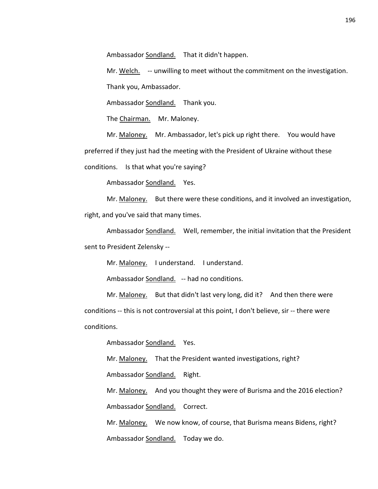Ambassador Sondland. That it didn't happen.

Mr. Welch. -- unwilling to meet without the commitment on the investigation. Thank you, Ambassador.

Ambassador Sondland. Thank you.

The Chairman. Mr. Maloney.

Mr. Maloney. Mr. Ambassador, let's pick up right there. You would have preferred if they just had the meeting with the President of Ukraine without these conditions. Is that what you're saying?

Ambassador Sondland. Yes.

Mr. Maloney. But there were these conditions, and it involved an investigation, right, and you've said that many times.

Ambassador Sondland. Well, remember, the initial invitation that the President sent to President Zelensky --

Mr. Maloney. I understand. I understand.

Ambassador Sondland. -- had no conditions.

Mr. Maloney. But that didn't last very long, did it? And then there were conditions -- this is not controversial at this point, I don't believe, sir -- there were conditions.

Ambassador Sondland. Yes.

Mr. Maloney. That the President wanted investigations, right?

Ambassador Sondland. Right.

Mr. Maloney. And you thought they were of Burisma and the 2016 election? Ambassador Sondland. Correct.

Mr. Maloney. We now know, of course, that Burisma means Bidens, right? Ambassador Sondland. Today we do.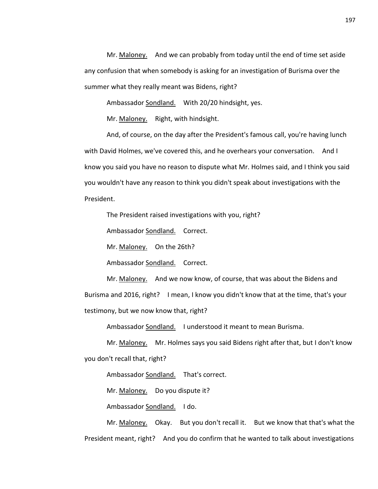Mr. Maloney. And we can probably from today until the end of time set aside any confusion that when somebody is asking for an investigation of Burisma over the summer what they really meant was Bidens, right?

Ambassador Sondland. With 20/20 hindsight, yes.

Mr. Maloney. Right, with hindsight.

And, of course, on the day after the President's famous call, you're having lunch with David Holmes, we've covered this, and he overhears your conversation. And I know you said you have no reason to dispute what Mr. Holmes said, and I think you said you wouldn't have any reason to think you didn't speak about investigations with the President.

The President raised investigations with you, right?

Ambassador Sondland. Correct.

Mr. Maloney. On the 26th?

Ambassador Sondland. Correct.

Mr. Maloney. And we now know, of course, that was about the Bidens and Burisma and 2016, right? I mean, I know you didn't know that at the time, that's your testimony, but we now know that, right?

Ambassador Sondland. I understood it meant to mean Burisma.

Mr. Maloney. Mr. Holmes says you said Bidens right after that, but I don't know you don't recall that, right?

Ambassador Sondland. That's correct.

Mr. Maloney. Do you dispute it?

Ambassador Sondland. I do.

Mr. Maloney. Okay. But you don't recall it. But we know that that's what the President meant, right? And you do confirm that he wanted to talk about investigations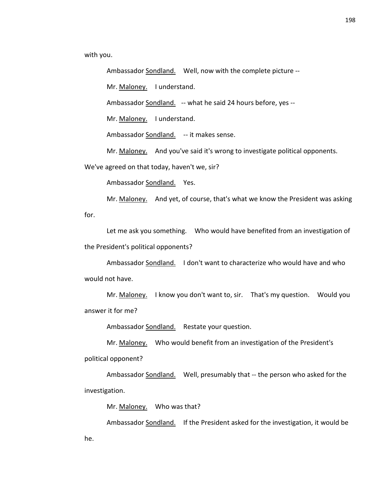with you.

Ambassador Sondland. Well, now with the complete picture --

Mr. Maloney. I understand.

Ambassador Sondland. -- what he said 24 hours before, yes --

Mr. Maloney. I understand.

Ambassador Sondland. -- it makes sense.

Mr. Maloney. And you've said it's wrong to investigate political opponents.

We've agreed on that today, haven't we, sir?

Ambassador Sondland. Yes.

Mr. Maloney. And yet, of course, that's what we know the President was asking for.

Let me ask you something. Who would have benefited from an investigation of the President's political opponents?

Ambassador Sondland. I don't want to characterize who would have and who would not have.

Mr. Maloney. I know you don't want to, sir. That's my question. Would you answer it for me?

Ambassador Sondland. Restate your question.

Mr. Maloney. Who would benefit from an investigation of the President's

political opponent?

Ambassador Sondland. Well, presumably that -- the person who asked for the investigation.

Mr. Maloney. Who was that?

Ambassador Sondland. If the President asked for the investigation, it would be he.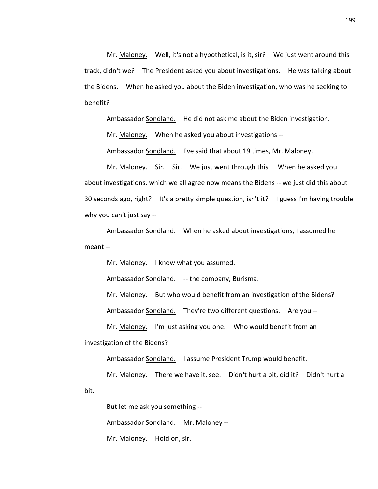Mr. Maloney. Well, it's not a hypothetical, is it, sir? We just went around this track, didn't we? The President asked you about investigations. He was talking about the Bidens. When he asked you about the Biden investigation, who was he seeking to benefit?

Ambassador Sondland. He did not ask me about the Biden investigation.

Mr. Maloney. When he asked you about investigations --

Ambassador Sondland. I've said that about 19 times, Mr. Maloney.

Mr. Maloney. Sir. Sir. We just went through this. When he asked you about investigations, which we all agree now means the Bidens -- we just did this about 30 seconds ago, right? It's a pretty simple question, isn't it? I guess I'm having trouble why you can't just say --

Ambassador Sondland. When he asked about investigations, I assumed he meant --

Mr. Maloney. I know what you assumed.

Ambassador Sondland. -- the company, Burisma.

Mr. Maloney. But who would benefit from an investigation of the Bidens? Ambassador Sondland. They're two different questions. Are you --

Mr. Maloney. I'm just asking you one. Who would benefit from an investigation of the Bidens?

Ambassador Sondland. I assume President Trump would benefit.

Mr. Maloney. There we have it, see. Didn't hurt a bit, did it? Didn't hurt a bit.

But let me ask you something --

Ambassador Sondland. Mr. Maloney --

Mr. Maloney. Hold on, sir.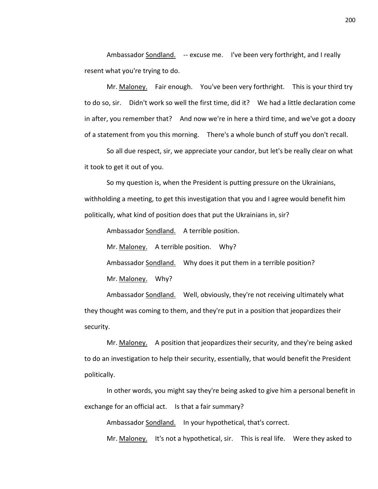Ambassador Sondland. -- excuse me. I've been very forthright, and I really resent what you're trying to do.

Mr. Maloney. Fair enough. You've been very forthright. This is your third try to do so, sir. Didn't work so well the first time, did it? We had a little declaration come in after, you remember that? And now we're in here a third time, and we've got a doozy of a statement from you this morning. There's a whole bunch of stuff you don't recall.

So all due respect, sir, we appreciate your candor, but let's be really clear on what it took to get it out of you.

So my question is, when the President is putting pressure on the Ukrainians, withholding a meeting, to get this investigation that you and I agree would benefit him politically, what kind of position does that put the Ukrainians in, sir?

Ambassador Sondland. A terrible position.

Mr. Maloney. A terrible position. Why?

Ambassador Sondland. Why does it put them in a terrible position?

Mr. Maloney. Why?

Ambassador Sondland. Well, obviously, they're not receiving ultimately what they thought was coming to them, and they're put in a position that jeopardizes their security.

Mr. Maloney. A position that jeopardizes their security, and they're being asked to do an investigation to help their security, essentially, that would benefit the President politically.

In other words, you might say they're being asked to give him a personal benefit in exchange for an official act. Is that a fair summary?

Ambassador Sondland. In your hypothetical, that's correct.

Mr. Maloney. It's not a hypothetical, sir. This is real life. Were they asked to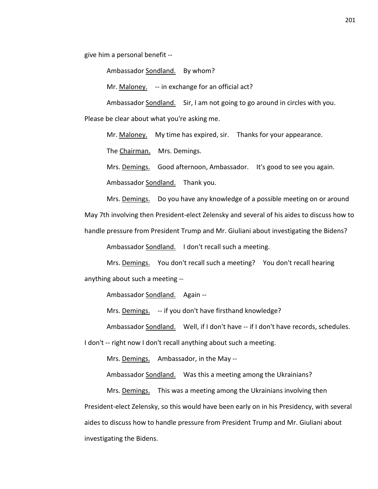give him a personal benefit --

Ambassador Sondland. By whom?

Mr. Maloney. -- in exchange for an official act?

Ambassador Sondland. Sir, I am not going to go around in circles with you. Please be clear about what you're asking me.

Mr. Maloney. My time has expired, sir. Thanks for your appearance.

The Chairman. Mrs. Demings.

Mrs. Demings. Good afternoon, Ambassador. It's good to see you again.

Ambassador Sondland. Thank you.

Mrs. Demings. Do you have any knowledge of a possible meeting on or around May 7th involving then President-elect Zelensky and several of his aides to discuss how to handle pressure from President Trump and Mr. Giuliani about investigating the Bidens?

Ambassador Sondland. I don't recall such a meeting.

Mrs. Demings. You don't recall such a meeting? You don't recall hearing anything about such a meeting --

Ambassador Sondland. Again --

Mrs. Demings. -- if you don't have firsthand knowledge?

Ambassador Sondland. Well, if I don't have -- if I don't have records, schedules.

I don't -- right now I don't recall anything about such a meeting.

Mrs. Demings. Ambassador, in the May --

Ambassador Sondland. Was this a meeting among the Ukrainians?

Mrs. Demings. This was a meeting among the Ukrainians involving then President-elect Zelensky, so this would have been early on in his Presidency, with several aides to discuss how to handle pressure from President Trump and Mr. Giuliani about investigating the Bidens.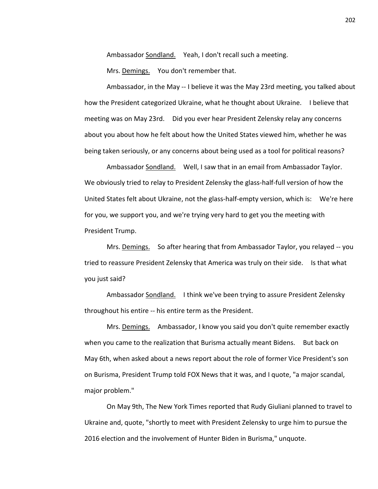Ambassador Sondland. Yeah, I don't recall such a meeting.

Mrs. Demings. You don't remember that.

Ambassador, in the May -- I believe it was the May 23rd meeting, you talked about how the President categorized Ukraine, what he thought about Ukraine. I believe that meeting was on May 23rd. Did you ever hear President Zelensky relay any concerns about you about how he felt about how the United States viewed him, whether he was being taken seriously, or any concerns about being used as a tool for political reasons?

Ambassador Sondland. Well, I saw that in an email from Ambassador Taylor. We obviously tried to relay to President Zelensky the glass-half-full version of how the United States felt about Ukraine, not the glass-half-empty version, which is: We're here for you, we support you, and we're trying very hard to get you the meeting with President Trump.

Mrs. Demings. So after hearing that from Ambassador Taylor, you relayed -- you tried to reassure President Zelensky that America was truly on their side. Is that what you just said?

Ambassador Sondland. I think we've been trying to assure President Zelensky throughout his entire -- his entire term as the President.

Mrs. Demings. Ambassador, I know you said you don't quite remember exactly when you came to the realization that Burisma actually meant Bidens. But back on May 6th, when asked about a news report about the role of former Vice President's son on Burisma, President Trump told FOX News that it was, and I quote, "a major scandal, major problem."

On May 9th, The New York Times reported that Rudy Giuliani planned to travel to Ukraine and, quote, "shortly to meet with President Zelensky to urge him to pursue the 2016 election and the involvement of Hunter Biden in Burisma," unquote.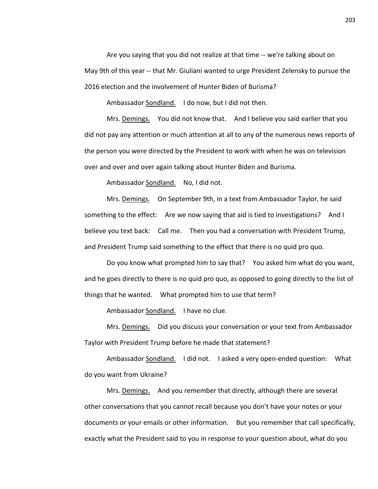Are you saying that you did not realize at that time -- we're talking about on May 9th of this year -- that Mr. Giuliani wanted to urge President Zelensky to pursue the 2016 election and the involvement of Hunter Biden of Burisma?

Ambassador Sondland. I do now, but I did not then.

Mrs. Demings. You did not know that. And I believe you said earlier that you did not pay any attention or much attention at all to any of the numerous news reports of the person you were directed by the President to work with when he was on television over and over and over again talking about Hunter Biden and Burisma.

Ambassador Sondland. No, I did not.

Mrs. Demings. On September 9th, in a text from Ambassador Taylor, he said something to the effect: Are we now saying that aid is tied to investigations? And I believe you text back: Call me. Then you had a conversation with President Trump, and President Trump said something to the effect that there is no quid pro quo.

Do you know what prompted him to say that? You asked him what do you want, and he goes directly to there is no quid pro quo, as opposed to going directly to the list of things that he wanted. What prompted him to use that term?

Ambassador Sondland. I have no clue.

Mrs. Demings. Did you discuss your conversation or your text from Ambassador Taylor with President Trump before he made that statement?

Ambassador Sondland. I did not. I asked a very open-ended question: What do you want from Ukraine?

Mrs. Demings. And you remember that directly, although there are several other conversations that you cannot recall because you don't have your notes or your documents or your emails or other information. But you remember that call specifically, exactly what the President said to you in response to your question about, what do you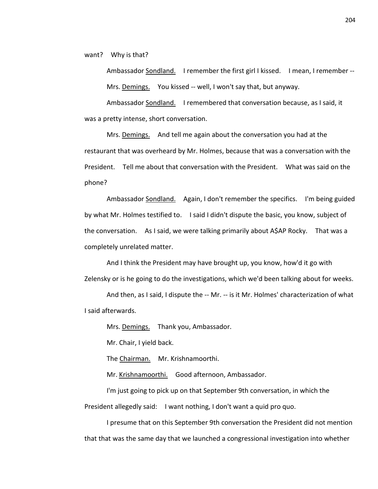want? Why is that?

Ambassador Sondland. I remember the first girl I kissed. I mean, I remember -- Mrs. Demings. You kissed -- well, I won't say that, but anyway.

Ambassador Sondland. I remembered that conversation because, as I said, it was a pretty intense, short conversation.

Mrs. Demings. And tell me again about the conversation you had at the restaurant that was overheard by Mr. Holmes, because that was a conversation with the President. Tell me about that conversation with the President. What was said on the phone?

Ambassador Sondland. Again, I don't remember the specifics. I'm being guided by what Mr. Holmes testified to. I said I didn't dispute the basic, you know, subject of the conversation. As I said, we were talking primarily about A\$AP Rocky. That was a completely unrelated matter.

And I think the President may have brought up, you know, how'd it go with Zelensky or is he going to do the investigations, which we'd been talking about for weeks.

And then, as I said, I dispute the -- Mr. -- is it Mr. Holmes' characterization of what I said afterwards.

Mrs. Demings. Thank you, Ambassador.

Mr. Chair, I yield back.

The Chairman. Mr. Krishnamoorthi.

Mr. Krishnamoorthi. Good afternoon, Ambassador.

I'm just going to pick up on that September 9th conversation, in which the President allegedly said: I want nothing, I don't want a quid pro quo.

I presume that on this September 9th conversation the President did not mention that that was the same day that we launched a congressional investigation into whether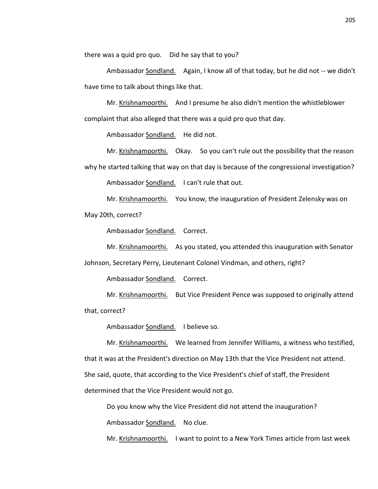there was a quid pro quo. Did he say that to you?

Ambassador Sondland. Again, I know all of that today, but he did not -- we didn't have time to talk about things like that.

Mr. Krishnamoorthi. And I presume he also didn't mention the whistleblower complaint that also alleged that there was a quid pro quo that day.

Ambassador Sondland. He did not.

Mr. Krishnamoorthi. Okay. So you can't rule out the possibility that the reason why he started talking that way on that day is because of the congressional investigation?

Ambassador Sondland. I can't rule that out.

Mr. Krishnamoorthi. You know, the inauguration of President Zelensky was on May 20th, correct?

Ambassador Sondland. Correct.

Mr. Krishnamoorthi. As you stated, you attended this inauguration with Senator Johnson, Secretary Perry, Lieutenant Colonel Vindman, and others, right?

Ambassador Sondland. Correct.

Mr. Krishnamoorthi. But Vice President Pence was supposed to originally attend that, correct?

Ambassador Sondland. I believe so.

Mr. Krishnamoorthi. We learned from Jennifer Williams, a witness who testified, that it was at the President's direction on May 13th that the Vice President not attend. She said, quote, that according to the Vice President's chief of staff, the President determined that the Vice President would not go.

Do you know why the Vice President did not attend the inauguration?

Ambassador Sondland. No clue.

Mr. Krishnamoorthi. I want to point to a New York Times article from last week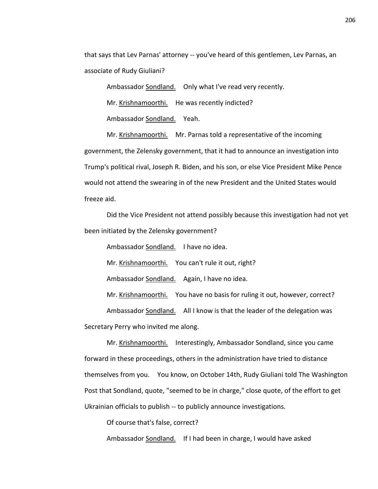that says that Lev Parnas' attorney -- you've heard of this gentlemen, Lev Parnas, an associate of Rudy Giuliani?

Ambassador Sondland. Only what I've read very recently.

Mr. Krishnamoorthi. He was recently indicted?

Ambassador Sondland. Yeah.

Mr. Krishnamoorthi. Mr. Parnas told a representative of the incoming government, the Zelensky government, that it had to announce an investigation into Trump's political rival, Joseph R. Biden, and his son, or else Vice President Mike Pence would not attend the swearing in of the new President and the United States would freeze aid.

Did the Vice President not attend possibly because this investigation had not yet been initiated by the Zelensky government?

Ambassador Sondland. I have no idea.

Mr. Krishnamoorthi. You can't rule it out, right?

Ambassador Sondland. Again, I have no idea.

Mr. Krishnamoorthi. You have no basis for ruling it out, however, correct? Ambassador Sondland. All I know is that the leader of the delegation was Secretary Perry who invited me along.

Mr. Krishnamoorthi. Interestingly, Ambassador Sondland, since you came forward in these proceedings, others in the administration have tried to distance themselves from you. You know, on October 14th, Rudy Giuliani told The Washington Post that Sondland, quote, "seemed to be in charge," close quote, of the effort to get Ukrainian officials to publish -- to publicly announce investigations.

Of course that's false, correct?

Ambassador Sondland. If I had been in charge, I would have asked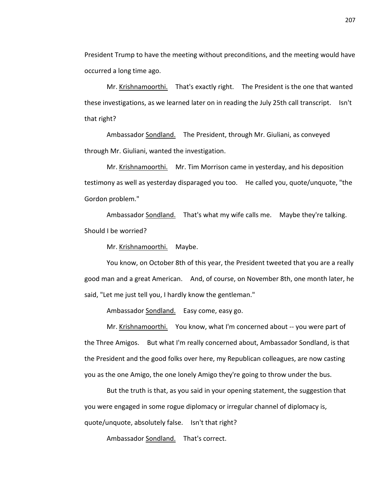President Trump to have the meeting without preconditions, and the meeting would have occurred a long time ago.

Mr. Krishnamoorthi. That's exactly right. The President is the one that wanted these investigations, as we learned later on in reading the July 25th call transcript. Isn't that right?

Ambassador Sondland. The President, through Mr. Giuliani, as conveyed through Mr. Giuliani, wanted the investigation.

Mr. Krishnamoorthi. Mr. Tim Morrison came in yesterday, and his deposition testimony as well as yesterday disparaged you too. He called you, quote/unquote, "the Gordon problem."

Ambassador Sondland. That's what my wife calls me. Maybe they're talking. Should I be worried?

Mr. Krishnamoorthi. Maybe.

You know, on October 8th of this year, the President tweeted that you are a really good man and a great American. And, of course, on November 8th, one month later, he said, "Let me just tell you, I hardly know the gentleman."

Ambassador Sondland. Easy come, easy go.

Mr. Krishnamoorthi. You know, what I'm concerned about -- you were part of the Three Amigos. But what I'm really concerned about, Ambassador Sondland, is that the President and the good folks over here, my Republican colleagues, are now casting you as the one Amigo, the one lonely Amigo they're going to throw under the bus.

But the truth is that, as you said in your opening statement, the suggestion that you were engaged in some rogue diplomacy or irregular channel of diplomacy is, quote/unquote, absolutely false. Isn't that right?

Ambassador Sondland. That's correct.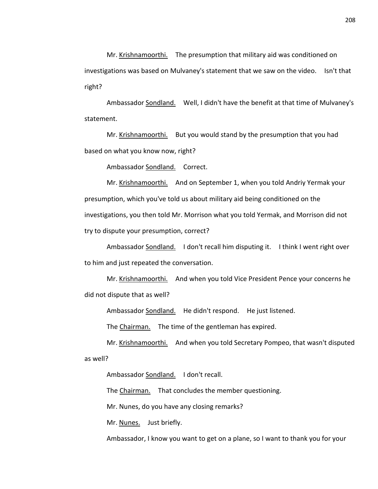Mr. Krishnamoorthi. The presumption that military aid was conditioned on investigations was based on Mulvaney's statement that we saw on the video. Isn't that right?

Ambassador Sondland. Well, I didn't have the benefit at that time of Mulvaney's statement.

Mr. Krishnamoorthi. But you would stand by the presumption that you had based on what you know now, right?

Ambassador Sondland. Correct.

Mr. Krishnamoorthi. And on September 1, when you told Andriy Yermak your presumption, which you've told us about military aid being conditioned on the investigations, you then told Mr. Morrison what you told Yermak, and Morrison did not try to dispute your presumption, correct?

Ambassador Sondland. I don't recall him disputing it. I think I went right over to him and just repeated the conversation.

Mr. Krishnamoorthi. And when you told Vice President Pence your concerns he did not dispute that as well?

Ambassador Sondland. He didn't respond. He just listened.

The Chairman. The time of the gentleman has expired.

Mr. Krishnamoorthi. And when you told Secretary Pompeo, that wasn't disputed as well?

Ambassador Sondland. I don't recall.

The Chairman. That concludes the member questioning.

Mr. Nunes, do you have any closing remarks?

Mr. Nunes. Just briefly.

Ambassador, I know you want to get on a plane, so I want to thank you for your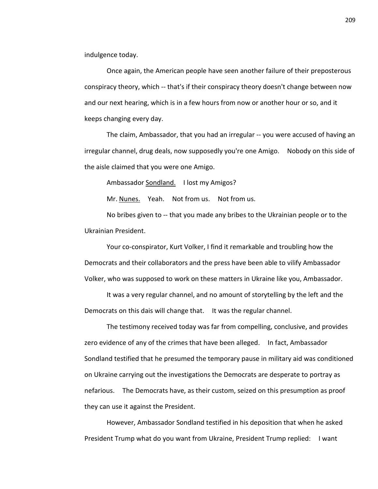indulgence today.

Once again, the American people have seen another failure of their preposterous conspiracy theory, which -- that's if their conspiracy theory doesn't change between now and our next hearing, which is in a few hours from now or another hour or so, and it keeps changing every day.

The claim, Ambassador, that you had an irregular -- you were accused of having an irregular channel, drug deals, now supposedly you're one Amigo. Nobody on this side of the aisle claimed that you were one Amigo.

Ambassador Sondland. I lost my Amigos?

Mr. Nunes. Yeah. Not from us. Not from us.

No bribes given to -- that you made any bribes to the Ukrainian people or to the Ukrainian President.

Your co-conspirator, Kurt Volker, I find it remarkable and troubling how the Democrats and their collaborators and the press have been able to vilify Ambassador Volker, who was supposed to work on these matters in Ukraine like you, Ambassador.

It was a very regular channel, and no amount of storytelling by the left and the Democrats on this dais will change that. It was the regular channel.

The testimony received today was far from compelling, conclusive, and provides zero evidence of any of the crimes that have been alleged. In fact, Ambassador Sondland testified that he presumed the temporary pause in military aid was conditioned on Ukraine carrying out the investigations the Democrats are desperate to portray as nefarious. The Democrats have, as their custom, seized on this presumption as proof they can use it against the President.

However, Ambassador Sondland testified in his deposition that when he asked President Trump what do you want from Ukraine, President Trump replied: I want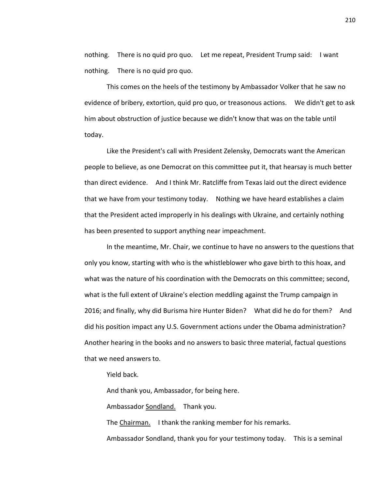nothing. There is no quid pro quo. Let me repeat, President Trump said: I want nothing. There is no quid pro quo.

This comes on the heels of the testimony by Ambassador Volker that he saw no evidence of bribery, extortion, quid pro quo, or treasonous actions. We didn't get to ask him about obstruction of justice because we didn't know that was on the table until today.

Like the President's call with President Zelensky, Democrats want the American people to believe, as one Democrat on this committee put it, that hearsay is much better than direct evidence. And I think Mr. Ratcliffe from Texas laid out the direct evidence that we have from your testimony today. Nothing we have heard establishes a claim that the President acted improperly in his dealings with Ukraine, and certainly nothing has been presented to support anything near impeachment.

In the meantime, Mr. Chair, we continue to have no answers to the questions that only you know, starting with who is the whistleblower who gave birth to this hoax, and what was the nature of his coordination with the Democrats on this committee; second, what is the full extent of Ukraine's election meddling against the Trump campaign in 2016; and finally, why did Burisma hire Hunter Biden? What did he do for them? And did his position impact any U.S. Government actions under the Obama administration? Another hearing in the books and no answers to basic three material, factual questions that we need answers to.

Yield back.

And thank you, Ambassador, for being here.

Ambassador Sondland. Thank you.

The Chairman. I thank the ranking member for his remarks.

Ambassador Sondland, thank you for your testimony today. This is a seminal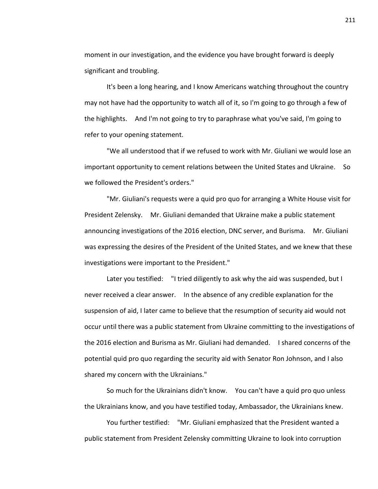moment in our investigation, and the evidence you have brought forward is deeply significant and troubling.

It's been a long hearing, and I know Americans watching throughout the country may not have had the opportunity to watch all of it, so I'm going to go through a few of the highlights. And I'm not going to try to paraphrase what you've said, I'm going to refer to your opening statement.

"We all understood that if we refused to work with Mr. Giuliani we would lose an important opportunity to cement relations between the United States and Ukraine. So we followed the President's orders."

"Mr. Giuliani's requests were a quid pro quo for arranging a White House visit for President Zelensky. Mr. Giuliani demanded that Ukraine make a public statement announcing investigations of the 2016 election, DNC server, and Burisma. Mr. Giuliani was expressing the desires of the President of the United States, and we knew that these investigations were important to the President."

Later you testified: "I tried diligently to ask why the aid was suspended, but I never received a clear answer. In the absence of any credible explanation for the suspension of aid, I later came to believe that the resumption of security aid would not occur until there was a public statement from Ukraine committing to the investigations of the 2016 election and Burisma as Mr. Giuliani had demanded. I shared concerns of the potential quid pro quo regarding the security aid with Senator Ron Johnson, and I also shared my concern with the Ukrainians."

So much for the Ukrainians didn't know. You can't have a quid pro quo unless the Ukrainians know, and you have testified today, Ambassador, the Ukrainians knew.

You further testified: "Mr. Giuliani emphasized that the President wanted a public statement from President Zelensky committing Ukraine to look into corruption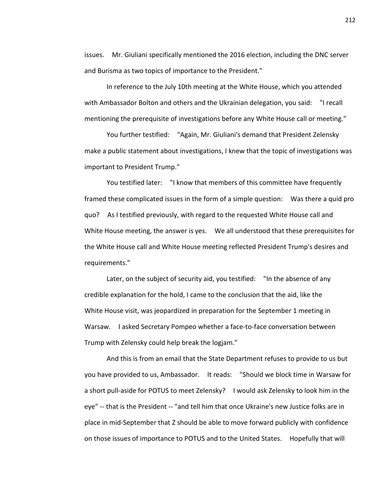issues. Mr. Giuliani specifically mentioned the 2016 election, including the DNC server and Burisma as two topics of importance to the President."

In reference to the July 10th meeting at the White House, which you attended with Ambassador Bolton and others and the Ukrainian delegation, you said: "I recall mentioning the prerequisite of investigations before any White House call or meeting."

You further testified: "Again, Mr. Giuliani's demand that President Zelensky make a public statement about investigations, I knew that the topic of investigations was important to President Trump."

You testified later: "I know that members of this committee have frequently framed these complicated issues in the form of a simple question: Was there a quid pro quo? As I testified previously, with regard to the requested White House call and White House meeting, the answer is yes. We all understood that these prerequisites for the White House call and White House meeting reflected President Trump's desires and requirements."

Later, on the subject of security aid, you testified: "In the absence of any credible explanation for the hold, I came to the conclusion that the aid, like the White House visit, was jeopardized in preparation for the September 1 meeting in Warsaw. I asked Secretary Pompeo whether a face-to-face conversation between Trump with Zelensky could help break the logjam."

And this is from an email that the State Department refuses to provide to us but you have provided to us, Ambassador. It reads: "Should we block time in Warsaw for a short pull-aside for POTUS to meet Zelensky? I would ask Zelensky to look him in the eye" -- that is the President -- "and tell him that once Ukraine's new Justice folks are in place in mid-September that Z should be able to move forward publicly with confidence on those issues of importance to POTUS and to the United States. Hopefully that will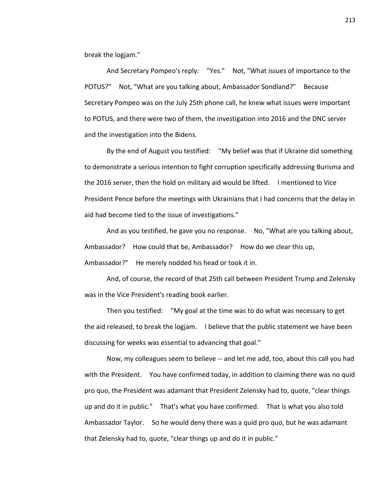break the logjam."

And Secretary Pompeo's reply: "Yes." Not, "What issues of importance to the POTUS?" Not, "What are you talking about, Ambassador Sondland?" Because Secretary Pompeo was on the July 25th phone call, he knew what issues were important to POTUS, and there were two of them, the investigation into 2016 and the DNC server and the investigation into the Bidens.

By the end of August you testified: "My belief was that if Ukraine did something to demonstrate a serious intention to fight corruption specifically addressing Burisma and the 2016 server, then the hold on military aid would be lifted. I mentioned to Vice President Pence before the meetings with Ukrainians that I had concerns that the delay in aid had become tied to the issue of investigations."

And as you testified, he gave you no response. No, "What are you talking about, Ambassador? How could that be, Ambassador? How do we clear this up, Ambassador?" He merely nodded his head or took it in.

And, of course, the record of that 25th call between President Trump and Zelensky was in the Vice President's reading book earlier.

Then you testified: "My goal at the time was to do what was necessary to get the aid released, to break the logjam. I believe that the public statement we have been discussing for weeks was essential to advancing that goal."

Now, my colleagues seem to believe -- and let me add, too, about this call you had with the President. You have confirmed today, in addition to claiming there was no quid pro quo, the President was adamant that President Zelensky had to, quote, "clear things up and do it in public." That's what you have confirmed. That is what you also told Ambassador Taylor. So he would deny there was a quid pro quo, but he was adamant that Zelensky had to, quote, "clear things up and do it in public."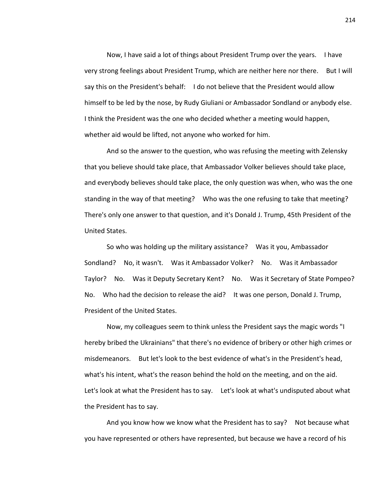Now, I have said a lot of things about President Trump over the years. I have very strong feelings about President Trump, which are neither here nor there. But I will say this on the President's behalf: I do not believe that the President would allow himself to be led by the nose, by Rudy Giuliani or Ambassador Sondland or anybody else. I think the President was the one who decided whether a meeting would happen, whether aid would be lifted, not anyone who worked for him.

And so the answer to the question, who was refusing the meeting with Zelensky that you believe should take place, that Ambassador Volker believes should take place, and everybody believes should take place, the only question was when, who was the one standing in the way of that meeting? Who was the one refusing to take that meeting? There's only one answer to that question, and it's Donald J. Trump, 45th President of the United States.

So who was holding up the military assistance? Was it you, Ambassador Sondland? No, it wasn't. Was it Ambassador Volker? No. Was it Ambassador Taylor? No. Was it Deputy Secretary Kent? No. Was it Secretary of State Pompeo? No. Who had the decision to release the aid? It was one person, Donald J. Trump, President of the United States.

Now, my colleagues seem to think unless the President says the magic words "I hereby bribed the Ukrainians" that there's no evidence of bribery or other high crimes or misdemeanors. But let's look to the best evidence of what's in the President's head, what's his intent, what's the reason behind the hold on the meeting, and on the aid. Let's look at what the President has to say. Let's look at what's undisputed about what the President has to say.

And you know how we know what the President has to say? Not because what you have represented or others have represented, but because we have a record of his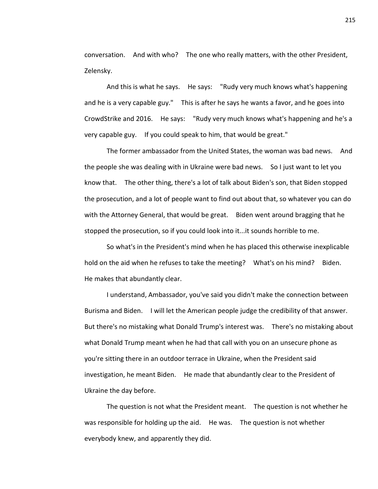conversation. And with who? The one who really matters, with the other President, Zelensky.

And this is what he says. He says: "Rudy very much knows what's happening and he is a very capable guy." This is after he says he wants a favor, and he goes into CrowdStrike and 2016. He says: "Rudy very much knows what's happening and he's a very capable guy. If you could speak to him, that would be great."

The former ambassador from the United States, the woman was bad news. And the people she was dealing with in Ukraine were bad news. So I just want to let you know that. The other thing, there's a lot of talk about Biden's son, that Biden stopped the prosecution, and a lot of people want to find out about that, so whatever you can do with the Attorney General, that would be great. Biden went around bragging that he stopped the prosecution, so if you could look into it...it sounds horrible to me.

So what's in the President's mind when he has placed this otherwise inexplicable hold on the aid when he refuses to take the meeting? What's on his mind? Biden. He makes that abundantly clear.

I understand, Ambassador, you've said you didn't make the connection between Burisma and Biden. I will let the American people judge the credibility of that answer. But there's no mistaking what Donald Trump's interest was. There's no mistaking about what Donald Trump meant when he had that call with you on an unsecure phone as you're sitting there in an outdoor terrace in Ukraine, when the President said investigation, he meant Biden. He made that abundantly clear to the President of Ukraine the day before.

The question is not what the President meant. The question is not whether he was responsible for holding up the aid. He was. The question is not whether everybody knew, and apparently they did.